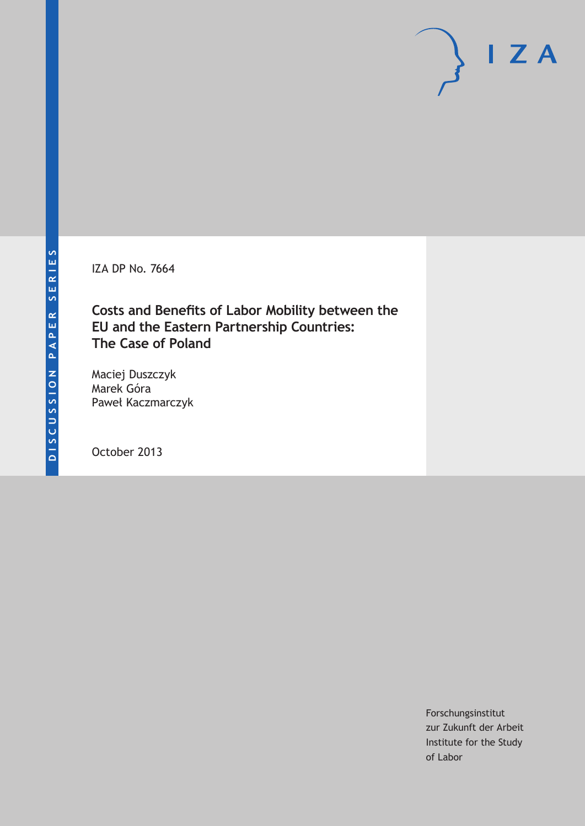IZA DP No. 7664

# **Costs and Benefits of Labor Mobility between the EU and the Eastern Partnership Countries: The Case of Poland**

Maciej Duszczyk Marek Góra Paweł Kaczmarczyk

October 2013

Forschungsinstitut zur Zukunft der Arbeit Institute for the Study of Labor

 $I Z A$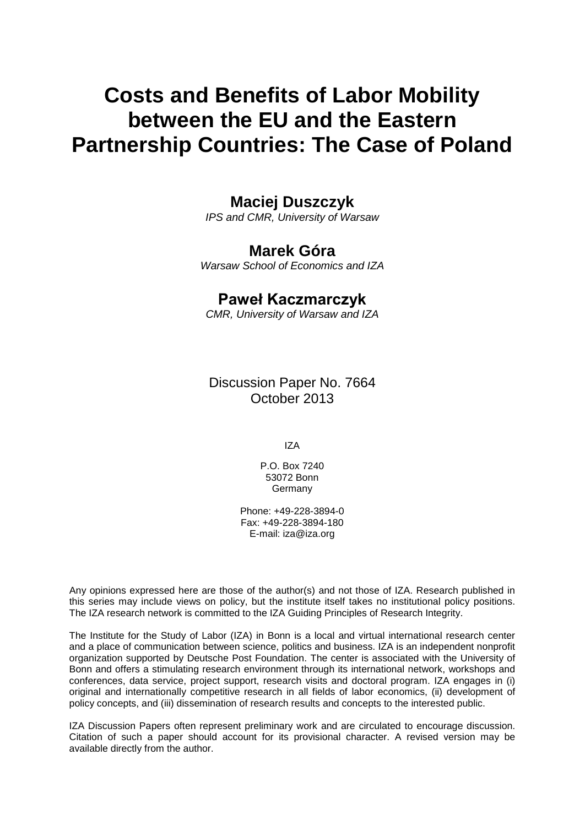# **Costs and Benefits of Labor Mobility between the EU and the Eastern Partnership Countries: The Case of Poland**

# **Maciej Duszczyk**

*IPS and CMR, University of Warsaw*

# **Marek Góra**

*Warsaw School of Economics and IZA*

# **Paweł Kaczmarczyk**

*CMR, University of Warsaw and IZA*

Discussion Paper No. 7664 October 2013

IZA

P.O. Box 7240 53072 Bonn Germany

Phone: +49-228-3894-0 Fax: +49-228-3894-180 E-mail: [iza@iza.org](mailto:iza@iza.org)

Any opinions expressed here are those of the author(s) and not those of IZA. Research published in this series may include views on policy, but the institute itself takes no institutional policy positions. The IZA research network is committed to the IZA Guiding Principles of Research Integrity.

The Institute for the Study of Labor (IZA) in Bonn is a local and virtual international research center and a place of communication between science, politics and business. IZA is an independent nonprofit organization supported by Deutsche Post Foundation. The center is associated with the University of Bonn and offers a stimulating research environment through its international network, workshops and conferences, data service, project support, research visits and doctoral program. IZA engages in (i) original and internationally competitive research in all fields of labor economics, (ii) development of policy concepts, and (iii) dissemination of research results and concepts to the interested public.

<span id="page-1-0"></span>IZA Discussion Papers often represent preliminary work and are circulated to encourage discussion. Citation of such a paper should account for its provisional character. A revised version may be available directly from the author.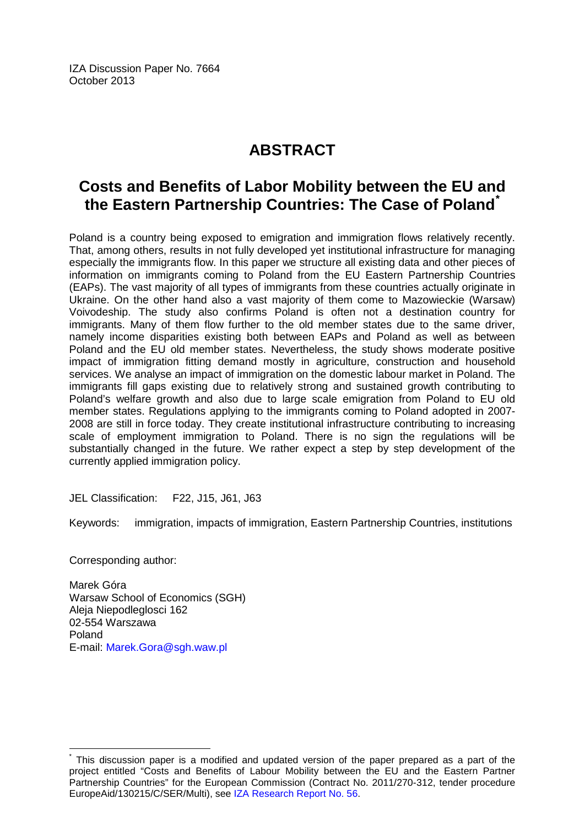IZA Discussion Paper No. 7664 October 2013

# **ABSTRACT**

# **Costs and Benefits of Labor Mobility between the EU and the Eastern Partnership Countries: The Case of Poland[\\*](#page-1-0)**

Poland is a country being exposed to emigration and immigration flows relatively recently. That, among others, results in not fully developed yet institutional infrastructure for managing especially the immigrants flow. In this paper we structure all existing data and other pieces of information on immigrants coming to Poland from the EU Eastern Partnership Countries (EAPs). The vast majority of all types of immigrants from these countries actually originate in Ukraine. On the other hand also a vast majority of them come to Mazowieckie (Warsaw) Voivodeship. The study also confirms Poland is often not a destination country for immigrants. Many of them flow further to the old member states due to the same driver, namely income disparities existing both between EAPs and Poland as well as between Poland and the EU old member states. Nevertheless, the study shows moderate positive impact of immigration fitting demand mostly in agriculture, construction and household services. We analyse an impact of immigration on the domestic labour market in Poland. The immigrants fill gaps existing due to relatively strong and sustained growth contributing to Poland's welfare growth and also due to large scale emigration from Poland to EU old member states. Regulations applying to the immigrants coming to Poland adopted in 2007- 2008 are still in force today. They create institutional infrastructure contributing to increasing scale of employment immigration to Poland. There is no sign the regulations will be substantially changed in the future. We rather expect a step by step development of the currently applied immigration policy.

JEL Classification: F22, J15, J61, J63

Keywords: immigration, impacts of immigration, Eastern Partnership Countries, institutions

Corresponding author:

Marek Góra Warsaw School of Economics (SGH) Aleja Niepodleglosci 162 02-554 Warszawa Poland E-mail: [Marek.Gora@sgh.waw.pl](mailto:Marek.Gora@sgh.waw.pl)

This discussion paper is a modified and updated version of the paper prepared as a part of the project entitled "Costs and Benefits of Labour Mobility between the EU and the Eastern Partner Partnership Countries" for the European Commission (Contract No. 2011/270-312, tender procedure EuropeAid/130215/C/SER/Multi), see [IZA Research Report No. 56.](http://www.iza.org/en/webcontent/publications/reports/report_pdfs/iza_report_56.pdf)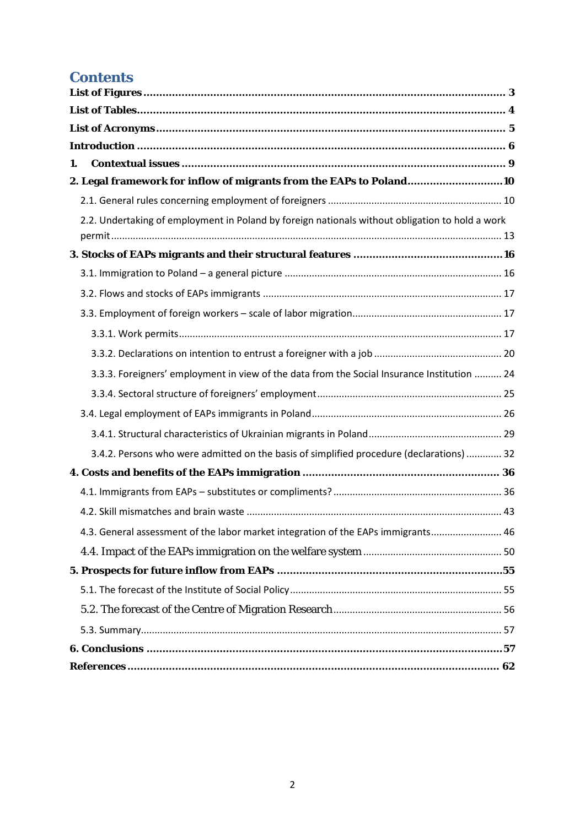# **Contents**

| 1.                                                                                              |
|-------------------------------------------------------------------------------------------------|
| 2. Legal framework for inflow of migrants from the EAPs to Poland10                             |
|                                                                                                 |
| 2.2. Undertaking of employment in Poland by foreign nationals without obligation to hold a work |
|                                                                                                 |
|                                                                                                 |
|                                                                                                 |
|                                                                                                 |
|                                                                                                 |
|                                                                                                 |
| 3.3.3. Foreigners' employment in view of the data from the Social Insurance Institution  24     |
|                                                                                                 |
|                                                                                                 |
|                                                                                                 |
| 3.4.2. Persons who were admitted on the basis of simplified procedure (declarations)  32        |
|                                                                                                 |
|                                                                                                 |
|                                                                                                 |
| 4.3. General assessment of the labor market integration of the EAPs immigrants 46               |
|                                                                                                 |
|                                                                                                 |
|                                                                                                 |
|                                                                                                 |
|                                                                                                 |
|                                                                                                 |
|                                                                                                 |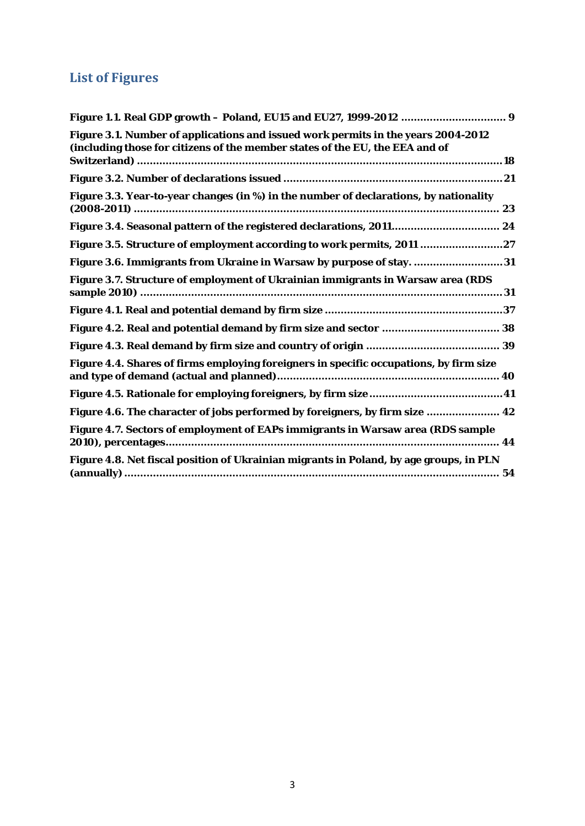# <span id="page-4-0"></span>**List of Figures**

| Figure 3.1. Number of applications and issued work permits in the years 2004-2012<br>(including those for citizens of the member states of the EU, the EEA and of |  |
|-------------------------------------------------------------------------------------------------------------------------------------------------------------------|--|
|                                                                                                                                                                   |  |
| Figure 3.3. Year-to-year changes (in %) in the number of declarations, by nationality                                                                             |  |
| Figure 3.4. Seasonal pattern of the registered declarations, 2011 24                                                                                              |  |
| Figure 3.5. Structure of employment according to work permits, 2011 27                                                                                            |  |
| Figure 3.6. Immigrants from Ukraine in Warsaw by purpose of stay. 31                                                                                              |  |
| Figure 3.7. Structure of employment of Ukrainian immigrants in Warsaw area (RDS                                                                                   |  |
|                                                                                                                                                                   |  |
|                                                                                                                                                                   |  |
|                                                                                                                                                                   |  |
| Figure 4.4. Shares of firms employing foreigners in specific occupations, by firm size                                                                            |  |
|                                                                                                                                                                   |  |
| Figure 4.6. The character of jobs performed by foreigners, by firm size  42                                                                                       |  |
| Figure 4.7. Sectors of employment of EAPs immigrants in Warsaw area (RDS sample                                                                                   |  |
| Figure 4.8. Net fiscal position of Ukrainian migrants in Poland, by age groups, in PLN                                                                            |  |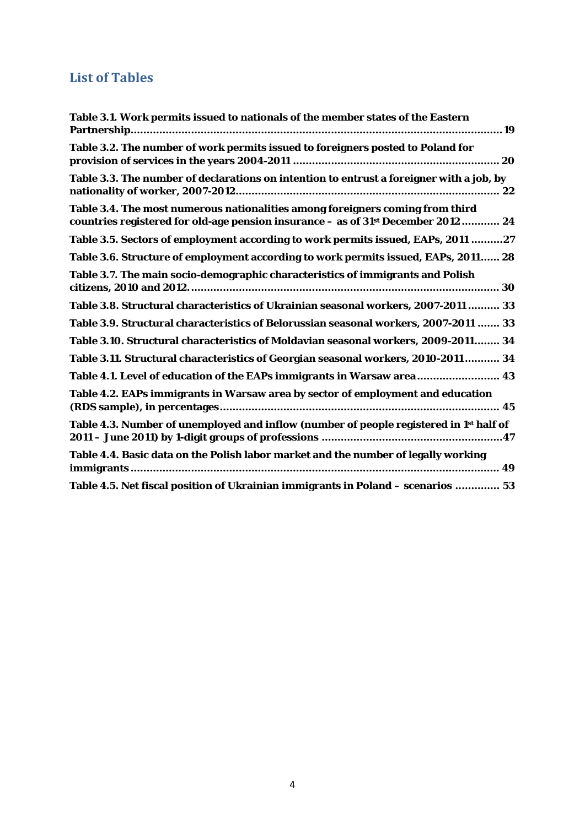# <span id="page-5-0"></span>**List of Tables**

| Table 3.1. Work permits issued to nationals of the member states of the Eastern                                                                                    |
|--------------------------------------------------------------------------------------------------------------------------------------------------------------------|
| Table 3.2. The number of work permits issued to foreigners posted to Poland for<br>20                                                                              |
| Table 3.3. The number of declarations on intention to entrust a foreigner with a job, by<br>22                                                                     |
| Table 3.4. The most numerous nationalities among foreigners coming from third<br>countries registered for old-age pension insurance - as of 31st December 2012  24 |
| Table 3.5. Sectors of employment according to work permits issued, EAPs, 2011 27                                                                                   |
| Table 3.6. Structure of employment according to work permits issued, EAPs, 2011 28                                                                                 |
| Table 3.7. The main socio-demographic characteristics of immigrants and Polish                                                                                     |
| Table 3.8. Structural characteristics of Ukrainian seasonal workers, 2007-2011  33                                                                                 |
| Table 3.9. Structural characteristics of Belorussian seasonal workers, 2007-2011  33                                                                               |
| Table 3.10. Structural characteristics of Moldavian seasonal workers, 2009-2011 34                                                                                 |
| Table 3.11. Structural characteristics of Georgian seasonal workers, 2010-2011  34                                                                                 |
| Table 4.1. Level of education of the EAPs immigrants in Warsaw area 43                                                                                             |
| Table 4.2. EAPs immigrants in Warsaw area by sector of employment and education                                                                                    |
| Table 4.3. Number of unemployed and inflow (number of people registered in 1st half of                                                                             |
| Table 4.4. Basic data on the Polish labor market and the number of legally working                                                                                 |
| Table 4.5. Net fiscal position of Ukrainian immigrants in Poland - scenarios  53                                                                                   |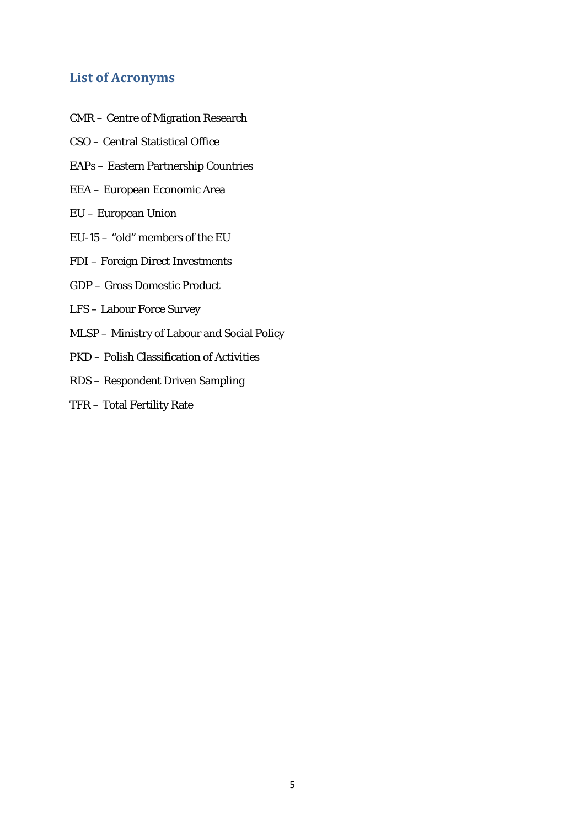#### <span id="page-6-0"></span>**List of Acronyms**

- CMR Centre of Migration Research
- CSO Central Statistical Office
- EAPs Eastern Partnership Countries
- EEA European Economic Area
- EU European Union
- EU-15 "old" members of the EU
- FDI Foreign Direct Investments
- GDP Gross Domestic Product
- LFS Labour Force Survey
- MLSP Ministry of Labour and Social Policy
- PKD Polish Classification of Activities
- RDS Respondent Driven Sampling
- TFR Total Fertility Rate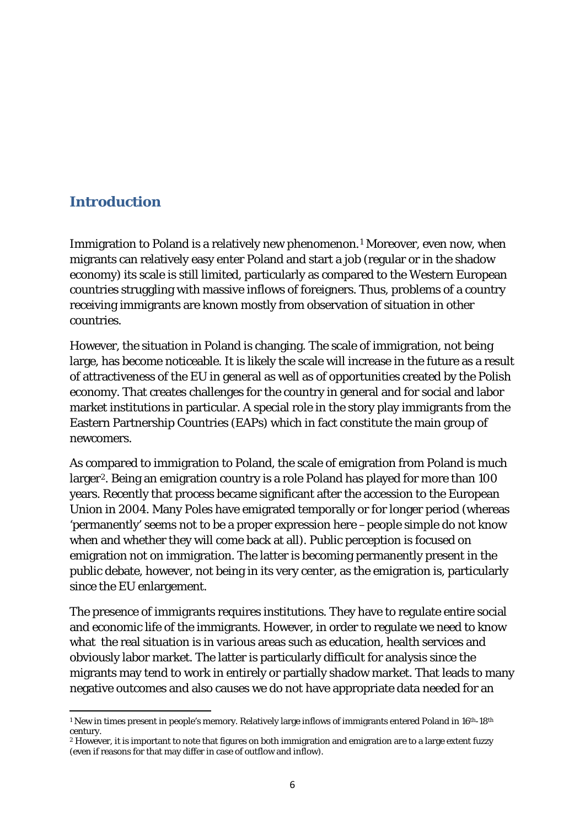# <span id="page-7-0"></span>**Introduction**

Immigration to Poland is a relatively new phenomenon.<sup>1</sup> Moreover, even now, when migrants can relatively easy enter Poland and start a job (regular or in the shadow economy) its scale is still limited, particularly as compared to the Western European countries struggling with massive inflows of foreigners. Thus, problems of a country receiving immigrants are known mostly from observation of situation in other countries.

However, the situation in Poland is changing. The scale of immigration, not being large, has become noticeable. It is likely the scale will increase in the future as a result of attractiveness of the EU in general as well as of opportunities created by the Polish economy. That creates challenges for the country in general and for social and labor market institutions in particular. A special role in the story play immigrants from the Eastern Partnership Countries (EAPs) which in fact constitute the main group of newcomers.

As compared to immigration to Poland, the scale of emigration from Poland is much larger<sup>2</sup>. Being an emigration country is a role Poland has played for more than 100 years. Recently that process became significant after the accession to the European Union in 2004. Many Poles have emigrated temporally or for longer period (whereas 'permanently' seems not to be a proper expression here –people simple do not know when and whether they will come back at all). Public perception is focused on emigration not on immigration. The latter is becoming permanently present in the public debate, however, not being in its very center, as the emigration is, particularly since the EU enlargement.

The presence of immigrants requires institutions. They have to regulate entire social and economic life of the immigrants. However, in order to regulate we need to know what the real situation is in various areas such as education, health services and obviously labor market. The latter is particularly difficult for analysis since the migrants may tend to work in entirely or partially shadow market. That leads to many negative outcomes and also causes we do not have appropriate data needed for an

 $\overline{a}$ <sup>1</sup> New in times present in people's memory. Relatively large inflows of immigrants entered Poland in 16<sup>th</sup>-18<sup>th</sup> century.

<span id="page-7-2"></span><span id="page-7-1"></span><sup>2</sup> However, it is important to note that figures on both immigration and emigration are to a large extent fuzzy (even if reasons for that may differ in case of outflow and inflow).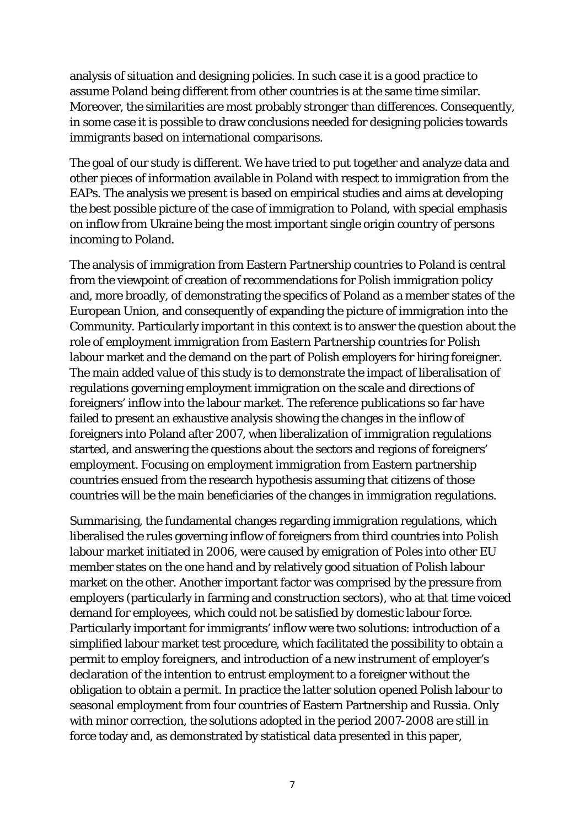analysis of situation and designing policies. In such case it is a good practice to assume Poland being different from other countries is at the same time similar. Moreover, the similarities are most probably stronger than differences. Consequently, in some case it is possible to draw conclusions needed for designing policies towards immigrants based on international comparisons.

The goal of our study is different. We have tried to put together and analyze data and other pieces of information available in Poland with respect to immigration from the EAPs. The analysis we present is based on empirical studies and aims at developing the best possible picture of the case of immigration to Poland, with special emphasis on inflow from Ukraine being the most important single origin country of persons incoming to Poland.

The analysis of immigration from Eastern Partnership countries to Poland is central from the viewpoint of creation of recommendations for Polish immigration policy and, more broadly, of demonstrating the specifics of Poland as a member states of the European Union, and consequently of expanding the picture of immigration into the Community. Particularly important in this context is to answer the question about the role of employment immigration from Eastern Partnership countries for Polish labour market and the demand on the part of Polish employers for hiring foreigner. The main added value of this study is to demonstrate the impact of liberalisation of regulations governing employment immigration on the scale and directions of foreigners' inflow into the labour market. The reference publications so far have failed to present an exhaustive analysis showing the changes in the inflow of foreigners into Poland after 2007, when liberalization of immigration regulations started, and answering the questions about the sectors and regions of foreigners' employment. Focusing on employment immigration from Eastern partnership countries ensued from the research hypothesis assuming that citizens of those countries will be the main beneficiaries of the changes in immigration regulations.

Summarising, the fundamental changes regarding immigration regulations, which liberalised the rules governing inflow of foreigners from third countries into Polish labour market initiated in 2006, were caused by emigration of Poles into other EU member states on the one hand and by relatively good situation of Polish labour market on the other. Another important factor was comprised by the pressure from employers (particularly in farming and construction sectors), who at that time voiced demand for employees, which could not be satisfied by domestic labour force. Particularly important for immigrants' inflow were two solutions: introduction of a simplified labour market test procedure, which facilitated the possibility to obtain a permit to employ foreigners, and introduction of a new instrument of employer's declaration of the intention to entrust employment to a foreigner without the obligation to obtain a permit. In practice the latter solution opened Polish labour to seasonal employment from four countries of Eastern Partnership and Russia. Only with minor correction, the solutions adopted in the period 2007-2008 are still in force today and, as demonstrated by statistical data presented in this paper,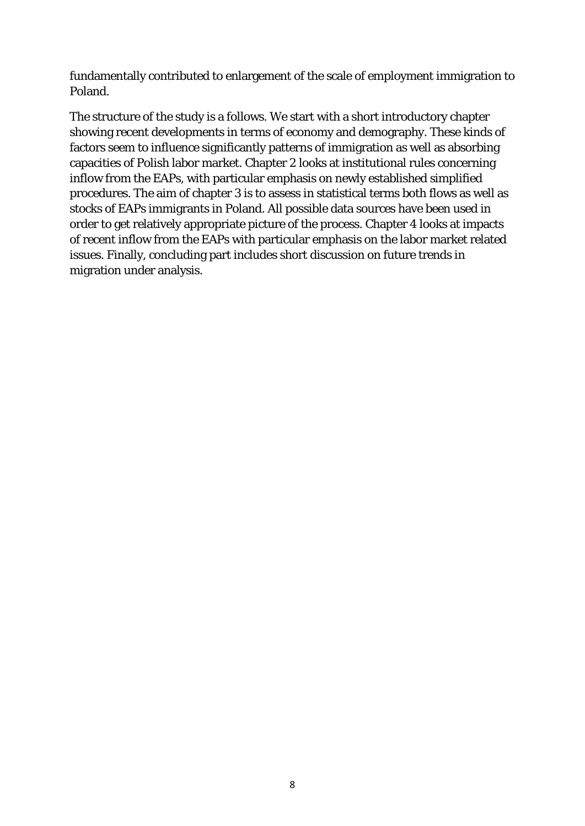fundamentally contributed to enlargement of the scale of employment immigration to Poland.

The structure of the study is a follows. We start with a short introductory chapter showing recent developments in terms of economy and demography. These kinds of factors seem to influence significantly patterns of immigration as well as absorbing capacities of Polish labor market. Chapter 2 looks at institutional rules concerning inflow from the EAPs, with particular emphasis on newly established simplified procedures. The aim of chapter 3 is to assess in statistical terms both flows as well as stocks of EAPs immigrants in Poland. All possible data sources have been used in order to get relatively appropriate picture of the process. Chapter 4 looks at impacts of recent inflow from the EAPs with particular emphasis on the labor market related issues. Finally, concluding part includes short discussion on future trends in migration under analysis.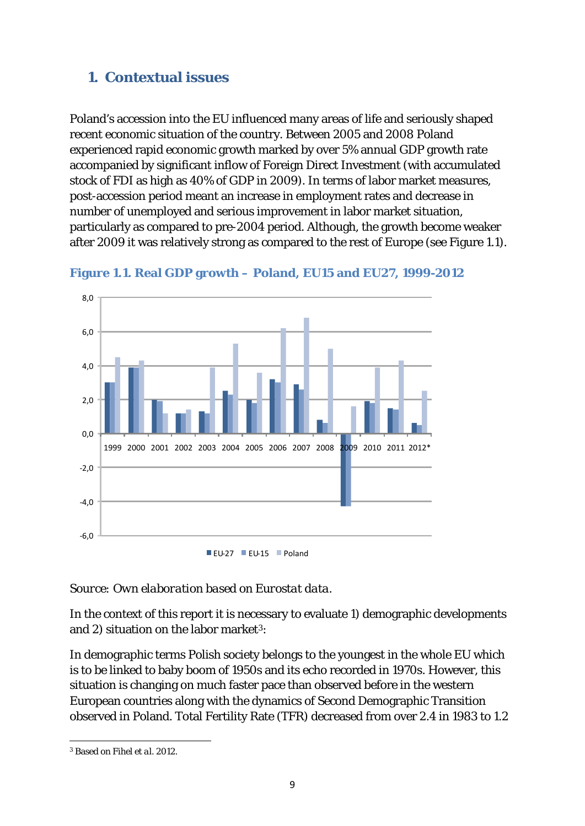# <span id="page-10-0"></span>**1. Contextual issues**

Poland's accession into the EU influenced many areas of life and seriously shaped recent economic situation of the country. Between 2005 and 2008 Poland experienced rapid economic growth marked by over 5% annual GDP growth rate accompanied by significant inflow of Foreign Direct Investment (with accumulated stock of FDI as high as 40% of GDP in 2009). In terms of labor market measures, post-accession period meant an increase in employment rates and decrease in number of unemployed and serious improvement in labor market situation, particularly as compared to pre-2004 period. Although, the growth become weaker after 2009 it was relatively strong as compared to the rest of Europe (see Figure 1.1).



<span id="page-10-1"></span>**Figure 1.1. Real GDP growth – Poland, EU15 and EU27, 1999-2012**

# *Source: Own elaboration based on Eurostat data.*

In the context of this report it is necessary to evaluate 1) demographic developments and 2) situation on the labor market<sup>[3](#page-7-2)</sup>:

<span id="page-10-2"></span>In demographic terms Polish society belongs to the youngest in the whole EU which is to be linked to baby boom of 1950s and its echo recorded in 1970s. However, this situation is changing on much faster pace than observed before in the western European countries along with the dynamics of Second Demographic Transition observed in Poland. Total Fertility Rate (TFR) decreased from over 2.4 in 1983 to 1.2

 $\overline{a}$ <sup>3</sup> Based on Fihel *et al*. 2012.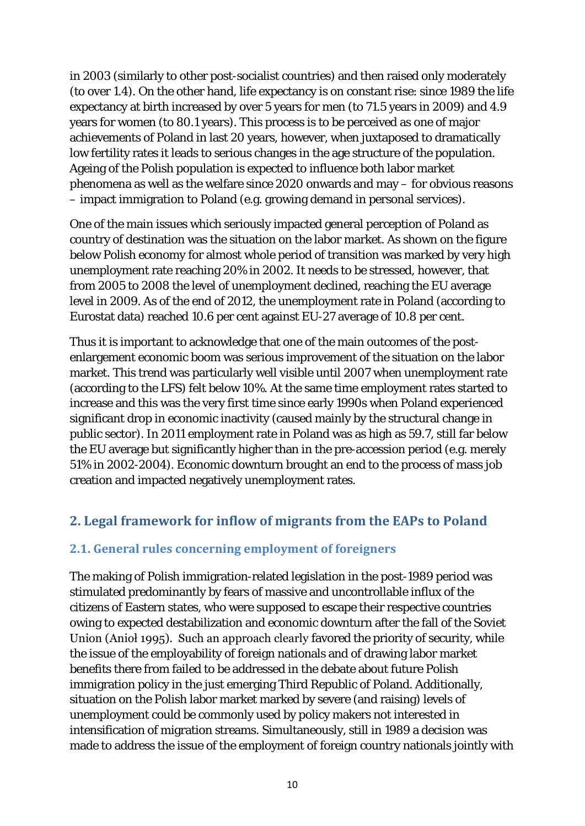in 2003 (similarly to other post-socialist countries) and then raised only moderately (to over 1.4). On the other hand, life expectancy is on constant rise: since 1989 the life expectancy at birth increased by over 5 years for men (to 71.5 years in 2009) and 4.9 years for women (to 80.1 years). This process is to be perceived as one of major achievements of Poland in last 20 years, however, when juxtaposed to dramatically low fertility rates it leads to serious changes in the age structure of the population. Ageing of the Polish population is expected to influence both labor market phenomena as well as the welfare since 2020 onwards and may – for obvious reasons – impact immigration to Poland (e.g. growing demand in personal services).

One of the main issues which seriously impacted general perception of Poland as country of destination was the situation on the labor market. As shown on the figure below Polish economy for almost whole period of transition was marked by very high unemployment rate reaching 20% in 2002. It needs to be stressed, however, that from 2005 to 2008 the level of unemployment declined, reaching the EU average level in 2009. As of the end of 2012, the unemployment rate in Poland (according to Eurostat data) reached 10.6 per cent against EU-27 average of 10.8 per cent.

Thus it is important to acknowledge that one of the main outcomes of the postenlargement economic boom was serious improvement of the situation on the labor market. This trend was particularly well visible until 2007 when unemployment rate (according to the LFS) felt below 10%. At the same time employment rates started to increase and this was the very first time since early 1990s when Poland experienced significant drop in economic inactivity (caused mainly by the structural change in public sector). In 2011 employment rate in Poland was as high as 59.7, still far below the EU average but significantly higher than in the pre-accession period (e.g. merely 51% in 2002-2004). Economic downturn brought an end to the process of mass job creation and impacted negatively unemployment rates.

# <span id="page-11-0"></span>**2. Legal framework for inflow of migrants from the EAPs to Poland**

# <span id="page-11-1"></span>**2.1. General rules concerning employment of foreigners**

The making of Polish immigration-related legislation in the post-1989 period was stimulated predominantly by fears of massive and uncontrollable influx of the citizens of Eastern states, who were supposed to escape their respective countries owing to expected destabilization and economic downturn after the fall of the Soviet Union (Anioł 1995). Such an approach clearly favored the priority of security, while the issue of the employability of foreign nationals and of drawing labor market benefits there from failed to be addressed in the debate about future Polish immigration policy in the just emerging Third Republic of Poland. Additionally, situation on the Polish labor market marked by severe (and raising) levels of unemployment could be commonly used by policy makers not interested in intensification of migration streams. Simultaneously, still in 1989 a decision was made to address the issue of the employment of foreign country nationals jointly with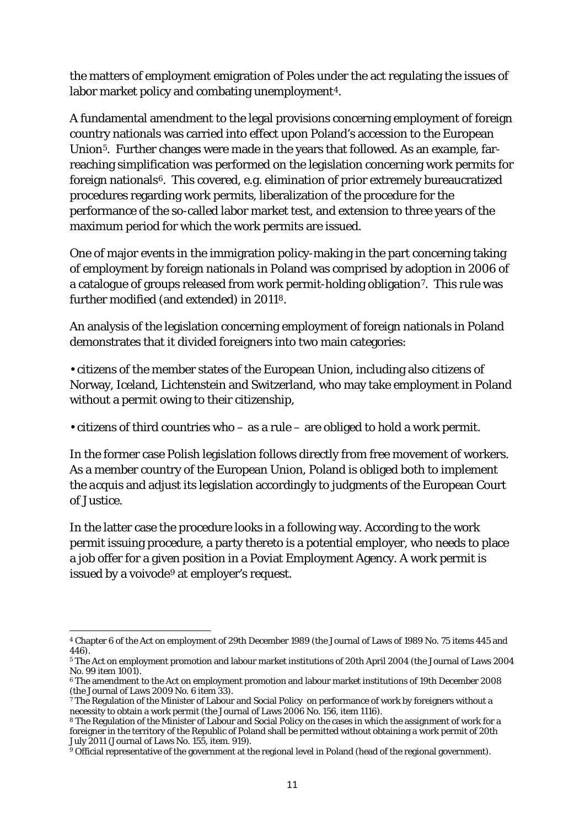the matters of employment emigration of Poles under the act regulating the issues of labor market policy and combating unemployment<sup>[4](#page-10-2)</sup>.

A fundamental amendment to the legal provisions concerning employment of foreign country nationals was carried into effect upon Poland's accession to the European Union[5.](#page-12-0) Further changes were made in the years that followed. As an example, farreaching simplification was performed on the legislation concerning work permits for foreign nationals[6.](#page-12-1) This covered, e.g. elimination of prior extremely bureaucratized procedures regarding work permits, liberalization of the procedure for the performance of the so-called labor market test, and extension to three years of the maximum period for which the work permits are issued.

One of major events in the immigration policy-making in the part concerning taking of employment by foreign nationals in Poland was comprised by adoption in 2006 of a catalogue of groups released from work permit-holding obligation<sup>[7](#page-12-2)</sup>. This rule was further modified (and extended) in 2011[8](#page-12-3).

An analysis of the legislation concerning employment of foreign nationals in Poland demonstrates that it divided foreigners into two main categories:

• citizens of the member states of the European Union, including also citizens of Norway, Iceland, Lichtenstein and Switzerland, who may take employment in Poland without a permit owing to their citizenship,

• citizens of third countries who – as a rule – are obliged to hold a work permit.

In the former case Polish legislation follows directly from free movement of workers. As a member country of the European Union, Poland is obliged both to implement the *acquis* and adjust its legislation accordingly to judgments of the European Court of Justice.

In the latter case the procedure looks in a following way. According to the work permit issuing procedure, a party thereto is a potential employer, who needs to place a job offer for a given position in a Poviat Employment Agency. A work permit is issued by a voivode[9](#page-12-4) at employer's request.

 $\overline{a}$ <sup>4</sup> Chapter 6 of the Act on employment of 29th December 1989 (the Journal of Laws of 1989 No. 75 items 445 and 446).

<span id="page-12-0"></span><sup>5</sup> The Act on employment promotion and labour market institutions of 20th April 2004 (the Journal of Laws 2004 No. 99 item 1001).

<span id="page-12-1"></span><sup>6</sup> The amendment to the Act on employment promotion and labour market institutions of 19th December 2008 (the Journal of Laws 2009 No. 6 item 33).

<span id="page-12-2"></span><sup>&</sup>lt;sup>7</sup> The Regulation of the Minister of Labour and Social Policy on performance of work by foreigners without a necessity to obtain a work permit (the Journal of Laws 2006 No. 156, item 1116).

<span id="page-12-5"></span><span id="page-12-3"></span><sup>8</sup> The Regulation of the Minister of Labour and Social Policy on the cases in which the assignment of work for a foreigner in the territory of the Republic of Poland shall be permitted without obtaining a work permit of 20th<br>July 2011 (Journal of Laws No. 155, item. 919).

<span id="page-12-4"></span><sup>&</sup>lt;sup>9</sup> Official representative of the government at the regional level in Poland (head of the regional government).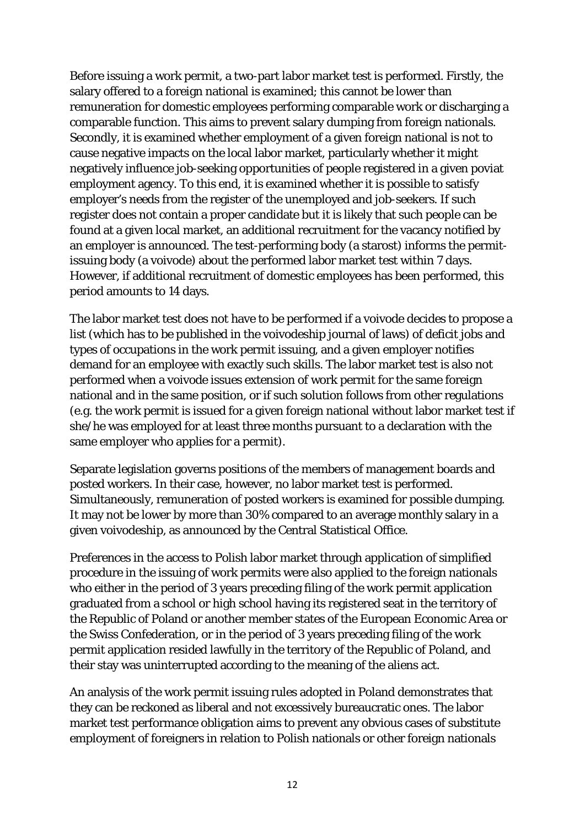Before issuing a work permit, a two-part labor market test is performed. Firstly, the salary offered to a foreign national is examined; this cannot be lower than remuneration for domestic employees performing comparable work or discharging a comparable function. This aims to prevent salary dumping from foreign nationals. Secondly, it is examined whether employment of a given foreign national is not to cause negative impacts on the local labor market, particularly whether it might negatively influence job-seeking opportunities of people registered in a given poviat employment agency. To this end, it is examined whether it is possible to satisfy employer's needs from the register of the unemployed and job-seekers. If such register does not contain a proper candidate but it is likely that such people can be found at a given local market, an additional recruitment for the vacancy notified by an employer is announced. The test-performing body (a starost) informs the permitissuing body (a voivode) about the performed labor market test within 7 days. However, if additional recruitment of domestic employees has been performed, this period amounts to 14 days.

The labor market test does not have to be performed if a voivode decides to propose a list (which has to be published in the voivodeship journal of laws) of deficit jobs and types of occupations in the work permit issuing, and a given employer notifies demand for an employee with exactly such skills. The labor market test is also not performed when a voivode issues extension of work permit for the same foreign national and in the same position, or if such solution follows from other regulations (e.g. the work permit is issued for a given foreign national without labor market test if she/he was employed for at least three months pursuant to a declaration with the same employer who applies for a permit).

Separate legislation governs positions of the members of management boards and posted workers. In their case, however, no labor market test is performed. Simultaneously, remuneration of posted workers is examined for possible dumping. It may not be lower by more than 30% compared to an average monthly salary in a given voivodeship, as announced by the Central Statistical Office.

Preferences in the access to Polish labor market through application of simplified procedure in the issuing of work permits were also applied to the foreign nationals who either in the period of 3 years preceding filing of the work permit application graduated from a school or high school having its registered seat in the territory of the Republic of Poland or another member states of the European Economic Area or the Swiss Confederation, or in the period of 3 years preceding filing of the work permit application resided lawfully in the territory of the Republic of Poland, and their stay was uninterrupted according to the meaning of the aliens act.

An analysis of the work permit issuing rules adopted in Poland demonstrates that they can be reckoned as liberal and not excessively bureaucratic ones. The labor market test performance obligation aims to prevent any obvious cases of substitute employment of foreigners in relation to Polish nationals or other foreign nationals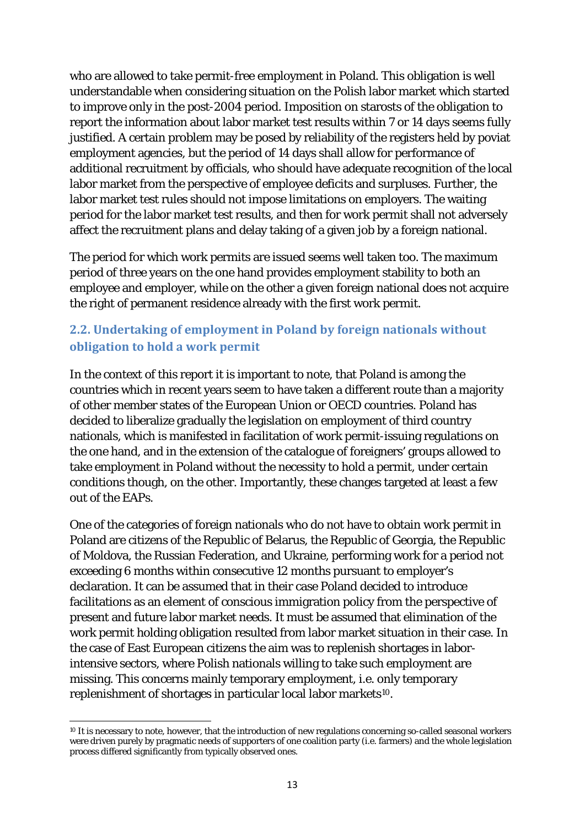who are allowed to take permit-free employment in Poland. This obligation is well understandable when considering situation on the Polish labor market which started to improve only in the post-2004 period. Imposition on starosts of the obligation to report the information about labor market test results within 7 or 14 days seems fully justified. A certain problem may be posed by reliability of the registers held by poviat employment agencies, but the period of 14 days shall allow for performance of additional recruitment by officials, who should have adequate recognition of the local labor market from the perspective of employee deficits and surpluses. Further, the labor market test rules should not impose limitations on employers. The waiting period for the labor market test results, and then for work permit shall not adversely affect the recruitment plans and delay taking of a given job by a foreign national.

The period for which work permits are issued seems well taken too. The maximum period of three years on the one hand provides employment stability to both an employee and employer, while on the other a given foreign national does not acquire the right of permanent residence already with the first work permit.

# <span id="page-14-0"></span>**2.2. Undertaking of employment in Poland by foreign nationals without obligation to hold a work permit**

In the context of this report it is important to note, that Poland is among the countries which in recent years seem to have taken a different route than a majority of other member states of the European Union or OECD countries. Poland has decided to liberalize gradually the legislation on employment of third country nationals, which is manifested in facilitation of work permit-issuing regulations on the one hand, and in the extension of the catalogue of foreigners' groups allowed to take employment in Poland without the necessity to hold a permit, under certain conditions though, on the other. Importantly, these changes targeted at least a few out of the EAPs.

One of the categories of foreign nationals who do not have to obtain work permit in Poland are citizens of the Republic of Belarus, the Republic of Georgia, the Republic of Moldova, the Russian Federation, and Ukraine, performing work for a period not exceeding 6 months within consecutive 12 months pursuant to employer's declaration. It can be assumed that in their case Poland decided to introduce facilitations as an element of conscious immigration policy from the perspective of present and future labor market needs. It must be assumed that elimination of the work permit holding obligation resulted from labor market situation in their case. In the case of East European citizens the aim was to replenish shortages in laborintensive sectors, where Polish nationals willing to take such employment are missing. This concerns mainly temporary employment, i.e. only temporary replenishment of shortages in particular local labor markets[10.](#page-12-5)

<span id="page-14-1"></span> $\overline{a}$ <sup>10</sup> It is necessary to note, however, that the introduction of new regulations concerning so-called seasonal workers were driven purely by pragmatic needs of supporters of one coalition party (i.e. farmers) and the whole legislation process differed significantly from typically observed ones.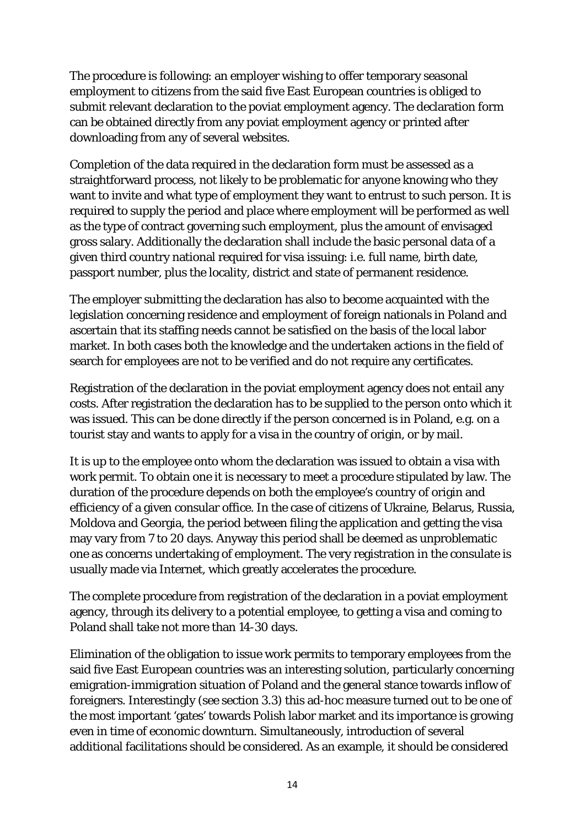The procedure is following: an employer wishing to offer temporary seasonal employment to citizens from the said five East European countries is obliged to submit relevant declaration to the poviat employment agency. The declaration form can be obtained directly from any poviat employment agency or printed after downloading from any of several websites.

Completion of the data required in the declaration form must be assessed as a straightforward process, not likely to be problematic for anyone knowing who they want to invite and what type of employment they want to entrust to such person. It is required to supply the period and place where employment will be performed as well as the type of contract governing such employment, plus the amount of envisaged gross salary. Additionally the declaration shall include the basic personal data of a given third country national required for visa issuing: i.e. full name, birth date, passport number, plus the locality, district and state of permanent residence.

The employer submitting the declaration has also to become acquainted with the legislation concerning residence and employment of foreign nationals in Poland and ascertain that its staffing needs cannot be satisfied on the basis of the local labor market. In both cases both the knowledge and the undertaken actions in the field of search for employees are not to be verified and do not require any certificates.

Registration of the declaration in the poviat employment agency does not entail any costs. After registration the declaration has to be supplied to the person onto which it was issued. This can be done directly if the person concerned is in Poland, e.g. on a tourist stay and wants to apply for a visa in the country of origin, or by mail.

It is up to the employee onto whom the declaration was issued to obtain a visa with work permit. To obtain one it is necessary to meet a procedure stipulated by law. The duration of the procedure depends on both the employee's country of origin and efficiency of a given consular office. In the case of citizens of Ukraine, Belarus, Russia, Moldova and Georgia, the period between filing the application and getting the visa may vary from 7 to 20 days. Anyway this period shall be deemed as unproblematic one as concerns undertaking of employment. The very registration in the consulate is usually made via Internet, which greatly accelerates the procedure.

The complete procedure from registration of the declaration in a poviat employment agency, through its delivery to a potential employee, to getting a visa and coming to Poland shall take not more than 14-30 days.

Elimination of the obligation to issue work permits to temporary employees from the said five East European countries was an interesting solution, particularly concerning emigration-immigration situation of Poland and the general stance towards inflow of foreigners. Interestingly (see section 3.3) this ad-hoc measure turned out to be one of the most important 'gates' towards Polish labor market and its importance is growing even in time of economic downturn. Simultaneously, introduction of several additional facilitations should be considered. As an example, it should be considered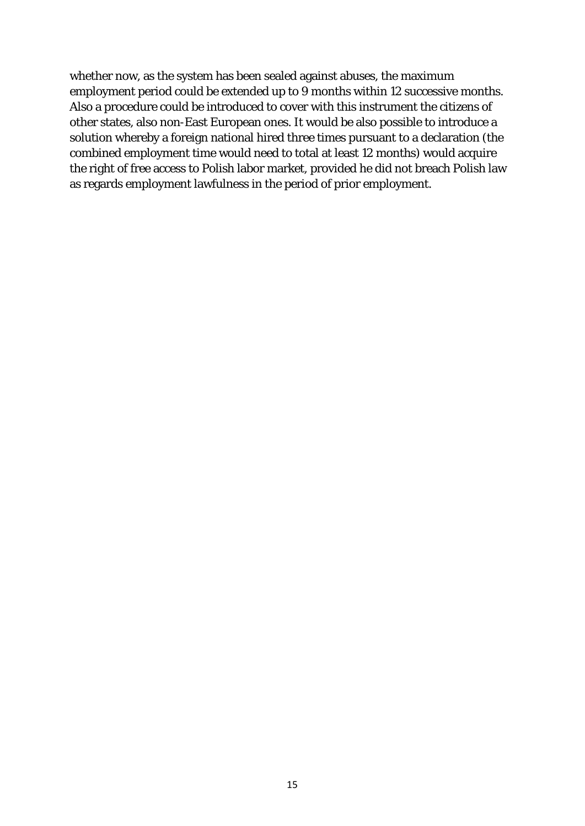whether now, as the system has been sealed against abuses, the maximum employment period could be extended up to 9 months within 12 successive months. Also a procedure could be introduced to cover with this instrument the citizens of other states, also non-East European ones. It would be also possible to introduce a solution whereby a foreign national hired three times pursuant to a declaration (the combined employment time would need to total at least 12 months) would acquire the right of free access to Polish labor market, provided he did not breach Polish law as regards employment lawfulness in the period of prior employment.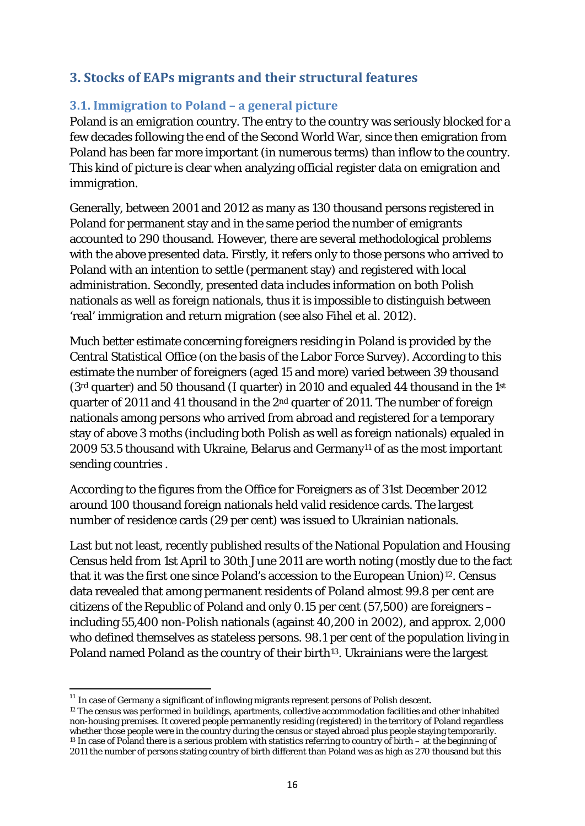# <span id="page-17-0"></span>**3. Stocks of EAPs migrants and their structural features**

### <span id="page-17-1"></span>**3.1. Immigration to Poland – a general picture**

Poland is an emigration country. The entry to the country was seriously blocked for a few decades following the end of the Second World War, since then emigration from Poland has been far more important (in numerous terms) than inflow to the country. This kind of picture is clear when analyzing official register data on emigration and immigration.

Generally, between 2001 and 2012 as many as 130 thousand persons registered in Poland for permanent stay and in the same period the number of emigrants accounted to 290 thousand. However, there are several methodological problems with the above presented data. Firstly, it refers only to those persons who arrived to Poland with an intention to settle (permanent stay) and registered with local administration. Secondly, presented data includes information on both Polish nationals as well as foreign nationals, thus it is impossible to distinguish between 'real' immigration and return migration (see also Fihel et al. 2012).

Much better estimate concerning foreigners residing in Poland is provided by the Central Statistical Office (on the basis of the Labor Force Survey). According to this estimate the number of foreigners (aged 15 and more) varied between 39 thousand (3rd quarter) and 50 thousand (I quarter) in 2010 and equaled 44 thousand in the 1st quarter of 2011 and 41 thousand in the 2nd quarter of 2011. The number of foreign nationals among persons who arrived from abroad and registered for a temporary stay of above 3 moths (including both Polish as well as foreign nationals) equaled in 2009 53.5 thousand with Ukraine, Belarus and Germany[11](#page-14-1) of as the most important sending countries .

According to the figures from the Office for Foreigners as of 31st December 2012 around 100 thousand foreign nationals held valid residence cards. The largest number of residence cards (29 per cent) was issued to Ukrainian nationals.

Last but not least, recently published results of the National Population and Housing Census held from 1st April to 30th June 2011 are worth noting (mostly due to the fact that it was the first one since Poland's accession to the European Union)<sup>12</sup>. Census data revealed that among permanent residents of Poland almost 99.8 per cent are citizens of the Republic of Poland and only 0.15 per cent (57,500) are foreigners – including 55,400 non-Polish nationals (against 40,200 in 2002), and approx. 2,000 who defined themselves as stateless persons. 98.1 per cent of the population living in Poland named Poland as the country of their birth<sup>13</sup>. Ukrainians were the largest

 $^{\rm 11}$  In case of Germany a significant of inflowing migrants represent persons of Polish descent.

<span id="page-17-3"></span><span id="page-17-2"></span><sup>&</sup>lt;sup>12</sup> The census was performed in buildings, apartments, collective accommodation facilities and other inhabited non-housing premises. It covered people permanently residing (registered) in the territory of Poland regardless whether those people were in the country during the census or stayed abroad plus people staying temporarily. <sup>13</sup> In case of Poland there is a serious problem with statistics referring to country of birth – at the beginning of 2011 the number of persons stating country of birth different than Poland was as high as 270 thousand but this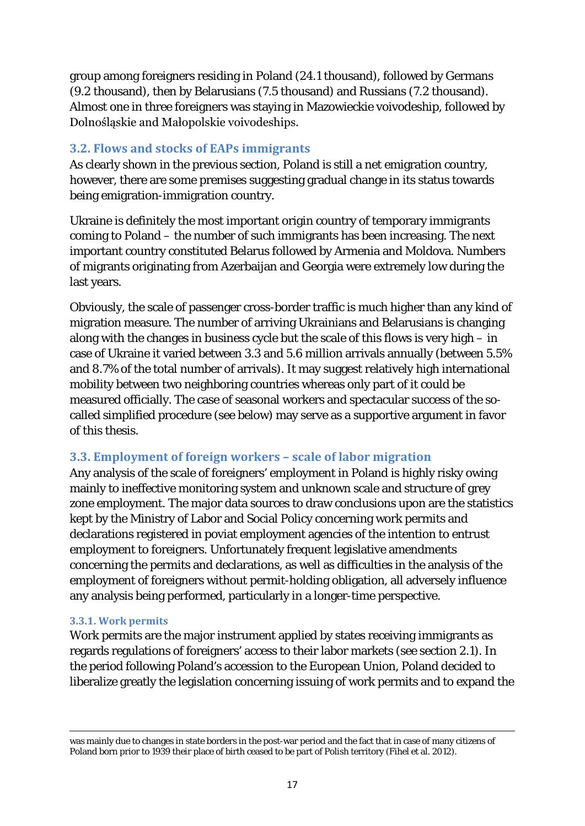group among foreigners residing in Poland (24.1 thousand), followed by Germans (9.2 thousand), then by Belarusians (7.5 thousand) and Russians (7.2 thousand). Almost one in three foreigners was staying in Mazowieckie voivodeship, followed by Dolnośląskie and Małopolskie voivodeships.

#### <span id="page-18-0"></span>**3.2. Flows and stocks of EAPs immigrants**

As clearly shown in the previous section, Poland is still a net emigration country, however, there are some premises suggesting gradual change in its status towards being emigration-immigration country.

Ukraine is definitely the most important origin country of temporary immigrants coming to Poland – the number of such immigrants has been increasing. The next important country constituted Belarus followed by Armenia and Moldova. Numbers of migrants originating from Azerbaijan and Georgia were extremely low during the last years.

Obviously, the scale of passenger cross-border traffic is much higher than any kind of migration measure. The number of arriving Ukrainians and Belarusians is changing along with the changes in business cycle but the scale of this flows is very high – in case of Ukraine it varied between 3.3 and 5.6 million arrivals annually (between 5.5% and 8.7% of the total number of arrivals). It may suggest relatively high international mobility between two neighboring countries whereas only part of it could be measured officially. The case of seasonal workers and spectacular success of the socalled simplified procedure (see below) may serve as a supportive argument in favor of this thesis.

# <span id="page-18-1"></span>**3.3. Employment of foreign workers – scale of labor migration**

Any analysis of the scale of foreigners' employment in Poland is highly risky owing mainly to ineffective monitoring system and unknown scale and structure of grey zone employment. The major data sources to draw conclusions upon are the statistics kept by the Ministry of Labor and Social Policy concerning work permits and declarations registered in poviat employment agencies of the intention to entrust employment to foreigners. Unfortunately frequent legislative amendments concerning the permits and declarations, as well as difficulties in the analysis of the employment of foreigners without permit-holding obligation, all adversely influence any analysis being performed, particularly in a longer-time perspective.

#### <span id="page-18-2"></span>**3.3.1. Work permits**

 $\overline{a}$ 

Work permits are the major instrument applied by states receiving immigrants as regards regulations of foreigners' access to their labor markets (see section 2.1). In the period following Poland's accession to the European Union, Poland decided to liberalize greatly the legislation concerning issuing of work permits and to expand the

was mainly due to changes in state borders in the post-war period and the fact that in case of many citizens of Poland born prior to 1939 their place of birth ceased to be part of Polish territory (Fihel et al. 2012).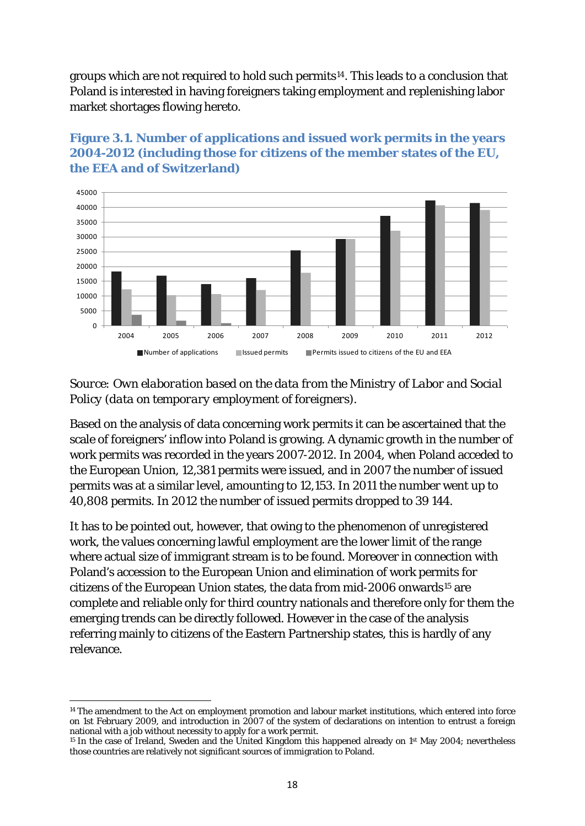groups which are not required to hold such permits[14.](#page-17-2) This leads to a conclusion that Poland is interested in having foreigners taking employment and replenishing labor market shortages flowing hereto.

<span id="page-19-0"></span>



*Source: Own elaboration based on the data from the Ministry of Labor and Social Policy (data on temporary employment of foreigners).*

Based on the analysis of data concerning work permits it can be ascertained that the scale of foreigners' inflow into Poland is growing. A dynamic growth in the number of work permits was recorded in the years 2007-2012. In 2004, when Poland acceded to the European Union, 12,381 permits were issued, and in 2007 the number of issued permits was at a similar level, amounting to 12,153. In 2011 the number went up to 40,808 permits. In 2012 the number of issued permits dropped to 39 144.

It has to be pointed out, however, that owing to the phenomenon of unregistered work, the values concerning lawful employment are the lower limit of the range where actual size of immigrant stream is to be found. Moreover in connection with Poland's accession to the European Union and elimination of work permits for citizens of the European Union states, the data from mid-2006 onwards[15](#page-19-1) are complete and reliable only for third country nationals and therefore only for them the emerging trends can be directly followed. However in the case of the analysis referring mainly to citizens of the Eastern Partnership states, this is hardly of any relevance.

 $\overline{a}$ <sup>14</sup> The amendment to the Act on employment promotion and labour market institutions, which entered into force on 1st February 2009, and introduction in 2007 of the system of declarations on intention to entrust a foreign national with a job without necessity to apply for a work permit.

<span id="page-19-2"></span><span id="page-19-1"></span><sup>&</sup>lt;sup>15</sup> In the case of Ireland, Sweden and the United Kingdom this happened already on  $1<sup>st</sup>$  May 2004; nevertheless those countries are relatively not significant sources of immigration to Poland.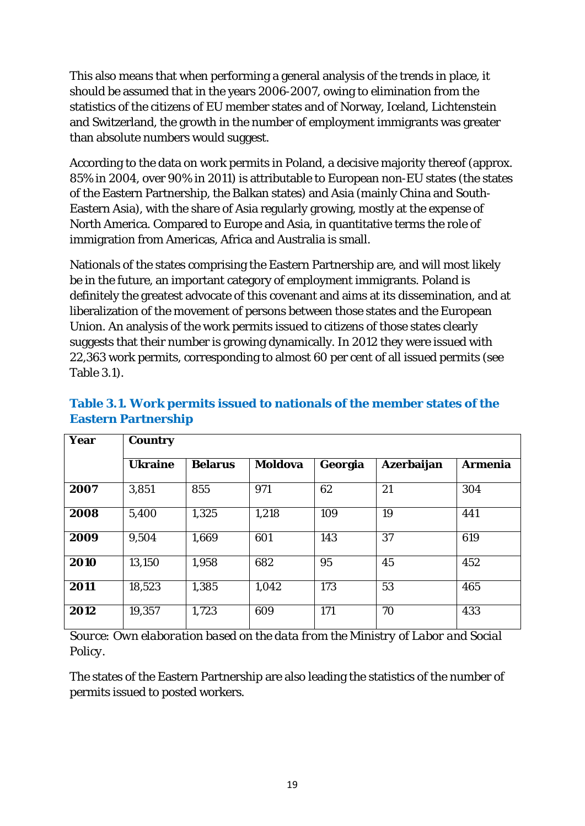This also means that when performing a general analysis of the trends in place, it should be assumed that in the years 2006-2007, owing to elimination from the statistics of the citizens of EU member states and of Norway, Iceland, Lichtenstein and Switzerland, the growth in the number of employment immigrants was greater than absolute numbers would suggest.

According to the data on work permits in Poland, a decisive majority thereof (approx. 85% in 2004, over 90% in 2011) is attributable to European non-EU states (the states of the Eastern Partnership, the Balkan states) and Asia (mainly China and South-Eastern Asia), with the share of Asia regularly growing, mostly at the expense of North America. Compared to Europe and Asia, in quantitative terms the role of immigration from Americas, Africa and Australia is small.

Nationals of the states comprising the Eastern Partnership are, and will most likely be in the future, an important category of employment immigrants. Poland is definitely the greatest advocate of this covenant and aims at its dissemination, and at liberalization of the movement of persons between those states and the European Union. An analysis of the work permits issued to citizens of those states clearly suggests that their number is growing dynamically. In 2012 they were issued with 22,363 work permits, corresponding to almost 60 per cent of all issued permits (see Table 3.1).

| Year | Country        |                |                |         |                   |                |  |  |  |  |  |  |
|------|----------------|----------------|----------------|---------|-------------------|----------------|--|--|--|--|--|--|
|      | <b>Ukraine</b> | <b>Belarus</b> | <b>Moldova</b> | Georgia | <b>Azerbaijan</b> | <b>Armenia</b> |  |  |  |  |  |  |
| 2007 | 3,851          | 855            | 971            | 62      | 21                | 304            |  |  |  |  |  |  |
| 2008 | 5,400          | 1,325          | 1,218          | 109     | 19                | 441            |  |  |  |  |  |  |
| 2009 | 9,504          | 1,669          | 601            | 143     | 37                | 619            |  |  |  |  |  |  |
| 2010 | 13,150         | 1,958          | 682            | 95      | 45                | 452            |  |  |  |  |  |  |
| 2011 | 18,523         | 1,385          | 1,042          | 173     | 53                | 465            |  |  |  |  |  |  |
| 2012 | 19,357         | 1,723          | 609            | 171     | 70                | 433            |  |  |  |  |  |  |

# <span id="page-20-0"></span>**Table 3.1. Work permits issued to nationals of the member states of the Eastern Partnership**

*Source: Own elaboration based on the data from the Ministry of Labor and Social Policy.*

The states of the Eastern Partnership are also leading the statistics of the number of permits issued to posted workers.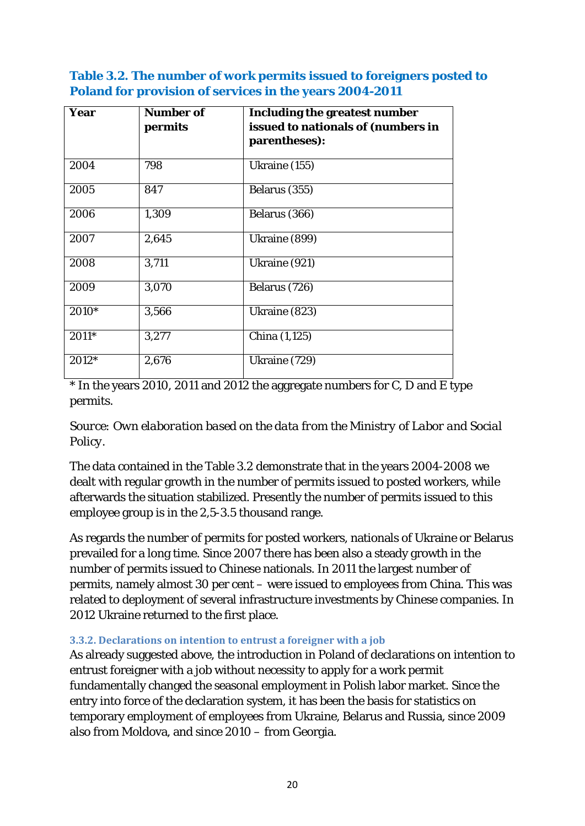### <span id="page-21-1"></span>**Table 3.2. The number of work permits issued to foreigners posted to Poland for provision of services in the years 2004-2011**

| Year    | <b>Number of</b><br>permits | <b>Including the greatest number</b><br>issued to nationals of (numbers in<br>parentheses): |
|---------|-----------------------------|---------------------------------------------------------------------------------------------|
| 2004    | 798                         | Ukraine (155)                                                                               |
| 2005    | 847                         | Belarus (355)                                                                               |
| 2006    | 1,309                       | Belarus (366)                                                                               |
| 2007    | 2,645                       | Ukraine (899)                                                                               |
| 2008    | 3,711                       | Ukraine (921)                                                                               |
| 2009    | 3,070                       | Belarus (726)                                                                               |
| 2010*   | 3,566                       | Ukraine (823)                                                                               |
| $2011*$ | 3,277                       | China (1,125)                                                                               |
| 2012*   | 2,676                       | Ukraine (729)                                                                               |

\* In the years 2010, 2011 and 2012 the aggregate numbers for C, D and E type permits.

*Source: Own elaboration based on the data from the Ministry of Labor and Social Policy.*

The data contained in the Table 3.2 demonstrate that in the years 2004-2008 we dealt with regular growth in the number of permits issued to posted workers, while afterwards the situation stabilized. Presently the number of permits issued to this employee group is in the 2,5-3.5 thousand range.

As regards the number of permits for posted workers, nationals of Ukraine or Belarus prevailed for a long time. Since 2007 there has been also a steady growth in the number of permits issued to Chinese nationals. In 2011 the largest number of permits, namely almost 30 per cent – were issued to employees from China. This was related to deployment of several infrastructure investments by Chinese companies. In 2012 Ukraine returned to the first place.

#### <span id="page-21-0"></span>**3.3.2. Declarations on intention to entrust a foreigner with a job**

As already suggested above, the introduction in Poland of declarations on intention to entrust foreigner with a job without necessity to apply for a work permit fundamentally changed the seasonal employment in Polish labor market. Since the entry into force of the declaration system, it has been the basis for statistics on temporary employment of employees from Ukraine, Belarus and Russia, since 2009 also from Moldova, and since 2010 – from Georgia.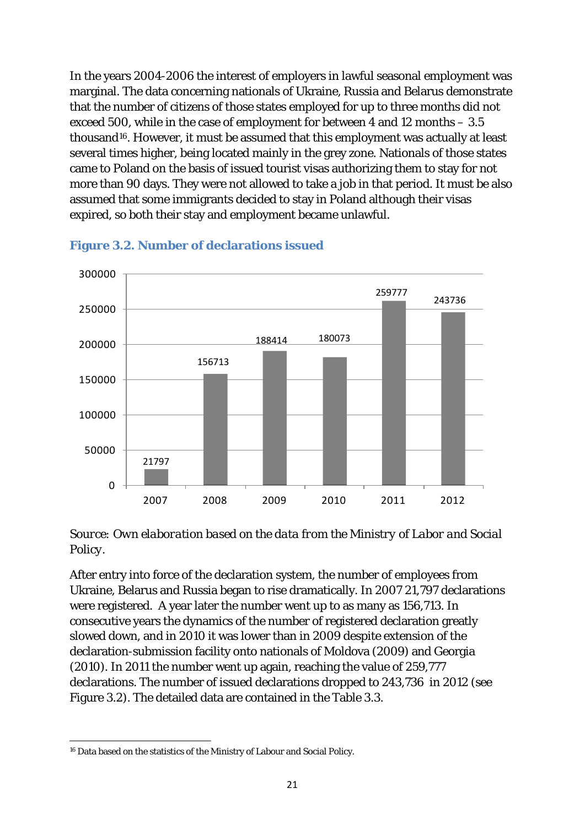In the years 2004-2006 the interest of employers in lawful seasonal employment was marginal. The data concerning nationals of Ukraine, Russia and Belarus demonstrate that the number of citizens of those states employed for up to three months did not exceed 500, while in the case of employment for between 4 and 12 months – 3.5 thousand[16](#page-19-2). However, it must be assumed that this employment was actually at least several times higher, being located mainly in the grey zone. Nationals of those states came to Poland on the basis of issued tourist visas authorizing them to stay for not more than 90 days. They were not allowed to take a job in that period. It must be also assumed that some immigrants decided to stay in Poland although their visas expired, so both their stay and employment became unlawful.



#### <span id="page-22-0"></span>**Figure 3.2. Number of declarations issued**

*Source: Own elaboration based on the data from the Ministry of Labor and Social Policy.*

After entry into force of the declaration system, the number of employees from Ukraine, Belarus and Russia began to rise dramatically. In 2007 21,797 declarations were registered. A year later the number went up to as many as 156,713. In consecutive years the dynamics of the number of registered declaration greatly slowed down, and in 2010 it was lower than in 2009 despite extension of the declaration-submission facility onto nationals of Moldova (2009) and Georgia (2010). In 2011 the number went up again, reaching the value of 259,777 declarations. The number of issued declarations dropped to 243,736 in 2012 (see Figure 3.2). The detailed data are contained in the Table 3.3.

<span id="page-22-1"></span> $\overline{a}$ <sup>16</sup> Data based on the statistics of the Ministry of Labour and Social Policy.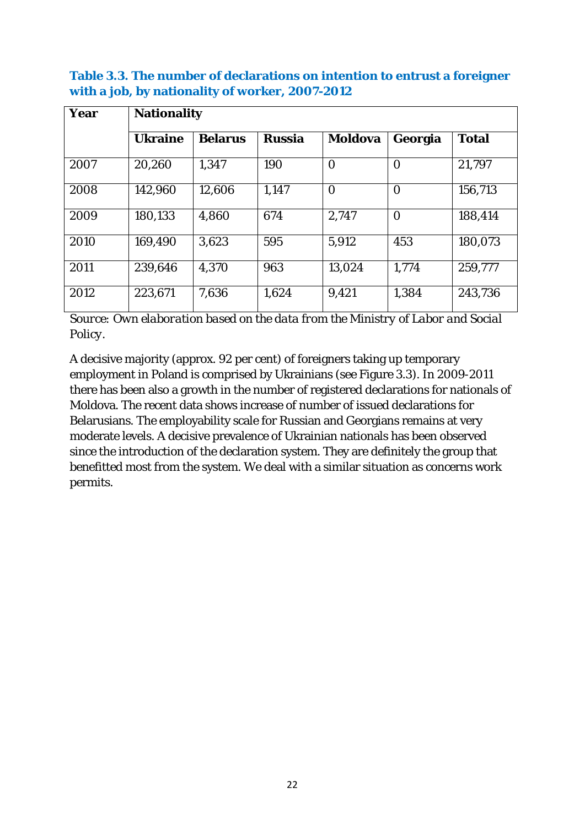| Year | <b>Nationality</b> |                |               |                  |                  |              |  |  |  |  |  |  |
|------|--------------------|----------------|---------------|------------------|------------------|--------------|--|--|--|--|--|--|
|      | <b>Ukraine</b>     | <b>Belarus</b> | <b>Russia</b> | <b>Moldova</b>   | Georgia          | <b>Total</b> |  |  |  |  |  |  |
| 2007 | 20,260             | 1,347          | 190           | $\boldsymbol{0}$ | $\boldsymbol{0}$ | 21,797       |  |  |  |  |  |  |
| 2008 | 142,960            | 12,606         | 1,147         | $\mathbf{0}$     | $\Omega$         | 156,713      |  |  |  |  |  |  |
| 2009 | 180,133            | 4,860          | 674           | 2,747            | $\mathbf{0}$     | 188,414      |  |  |  |  |  |  |
| 2010 | 169,490            | 3,623          | 595           | 5,912            | 453              | 180,073      |  |  |  |  |  |  |
| 2011 | 239,646            | 4,370          | 963           | 13,024           | 1,774            | 259,777      |  |  |  |  |  |  |
| 2012 | 223,671            | 7,636          | 1,624         | 9,421            | 1,384            | 243,736      |  |  |  |  |  |  |

<span id="page-23-0"></span>**Table 3.3. The number of declarations on intention to entrust a foreigner with a job, by nationality of worker, 2007-2012**

*Source: Own elaboration based on the data from the Ministry of Labor and Social Policy.*

A decisive majority (approx. 92 per cent) of foreigners taking up temporary employment in Poland is comprised by Ukrainians (see Figure 3.3). In 2009-2011 there has been also a growth in the number of registered declarations for nationals of Moldova. The recent data shows increase of number of issued declarations for Belarusians. The employability scale for Russian and Georgians remains at very moderate levels. A decisive prevalence of Ukrainian nationals has been observed since the introduction of the declaration system. They are definitely the group that benefitted most from the system. We deal with a similar situation as concerns work permits.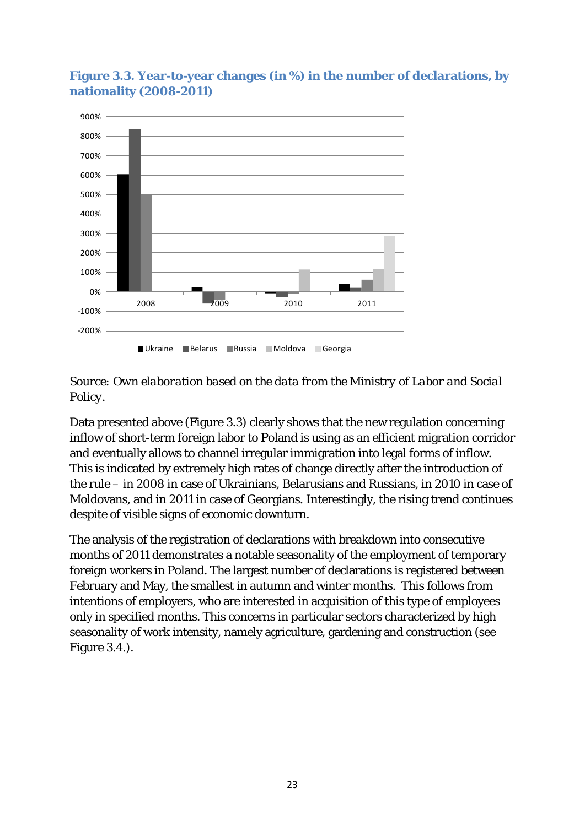

<span id="page-24-0"></span>**Figure 3.3. Year-to-year changes (in %) in the number of declarations, by nationality (2008-2011)** 

*Source: Own elaboration based on the data from the Ministry of Labor and Social Policy.*

Data presented above (Figure 3.3) clearly shows that the new regulation concerning inflow of short-term foreign labor to Poland is using as an efficient migration corridor and eventually allows to channel irregular immigration into legal forms of inflow. This is indicated by extremely high rates of change directly after the introduction of the rule – in 2008 in case of Ukrainians, Belarusians and Russians, in 2010 in case of Moldovans, and in 2011 in case of Georgians. Interestingly, the rising trend continues despite of visible signs of economic downturn.

The analysis of the registration of declarations with breakdown into consecutive months of 2011 demonstrates a notable seasonality of the employment of temporary foreign workers in Poland. The largest number of declarations is registered between February and May, the smallest in autumn and winter months. This follows from intentions of employers, who are interested in acquisition of this type of employees only in specified months. This concerns in particular sectors characterized by high seasonality of work intensity, namely agriculture, gardening and construction (see Figure 3.4.).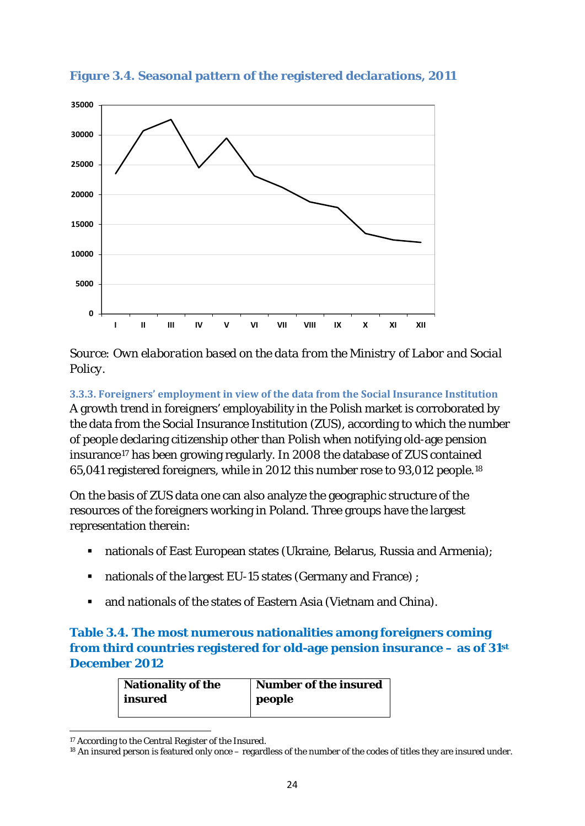

<span id="page-25-1"></span>**Figure 3.4. Seasonal pattern of the registered declarations, 2011**

*Source: Own elaboration based on the data from the Ministry of Labor and Social Policy.*

<span id="page-25-0"></span>**3.3.3. Foreigners' employment in view of the data from the Social Insurance Institution** A growth trend in foreigners' employability in the Polish market is corroborated by the data from the Social Insurance Institution (ZUS), according to which the number of people declaring citizenship other than Polish when notifying old-age pension insurance<sup>[17](#page-22-1)</sup> has been growing regularly. In 2008 the database of ZUS contained 65,041 registered foreigners, while in 2012 this number rose to 93,012 people.[18](#page-25-3)

On the basis of ZUS data one can also analyze the geographic structure of the resources of the foreigners working in Poland. Three groups have the largest representation therein:

- nationals of East European states (Ukraine, Belarus, Russia and Armenia);
- nationals of the largest EU-15 states (Germany and France) ;
- and nationals of the states of Eastern Asia (Vietnam and China).

<span id="page-25-2"></span>**Table 3.4. The most numerous nationalities among foreigners coming from third countries registered for old-age pension insurance – as of 31st December 2012**

| <b>Nationality of the</b> | Number of the insured |
|---------------------------|-----------------------|
| insured                   | people                |
|                           |                       |

<span id="page-25-4"></span> $\overline{a}$ 

<span id="page-25-3"></span><sup>&</sup>lt;sup>17</sup> According to the Central Register of the Insured.<br><sup>18</sup> An insured person is featured only once – regardless of the number of the codes of titles they are insured under.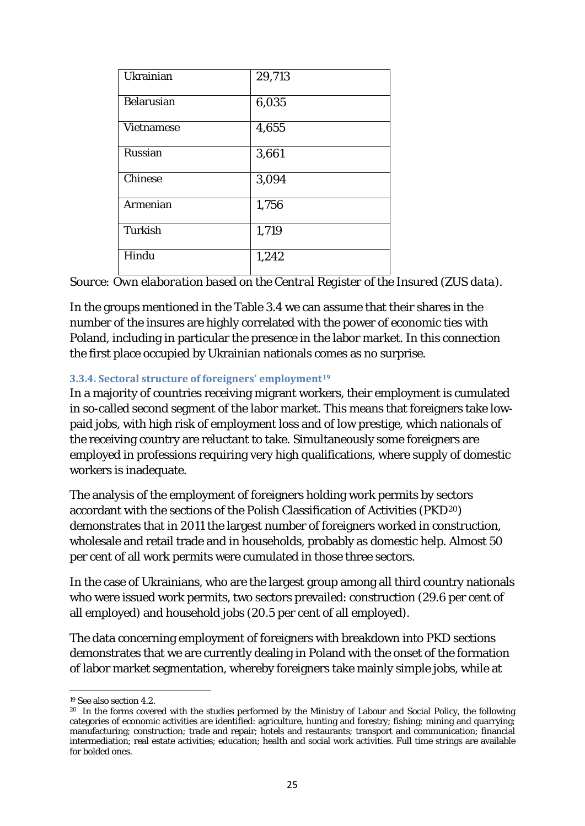| Ukrainian         | 29,713 |
|-------------------|--------|
| <b>Belarusian</b> | 6,035  |
| <b>Vietnamese</b> | 4,655  |
| <b>Russian</b>    | 3,661  |
| Chinese           | 3,094  |
| <b>Armenian</b>   | 1,756  |
| <b>Turkish</b>    | 1,719  |
| Hindu             | 1,242  |
|                   |        |

*Source: Own elaboration based on the Central Register of the Insured (ZUS data).*

In the groups mentioned in the Table 3.4 we can assume that their shares in the number of the insures are highly correlated with the power of economic ties with Poland, including in particular the presence in the labor market. In this connection the first place occupied by Ukrainian nationals comes as no surprise.

#### <span id="page-26-0"></span>**3.3.4. Sectoral structure of foreigners' employment[19](#page-25-4)**

In a majority of countries receiving migrant workers, their employment is cumulated in so-called second segment of the labor market. This means that foreigners take lowpaid jobs, with high risk of employment loss and of low prestige, which nationals of the receiving country are reluctant to take. Simultaneously some foreigners are employed in professions requiring very high qualifications, where supply of domestic workers is inadequate.

The analysis of the employment of foreigners holding work permits by sectors accordant with the sections of the Polish Classification of Activities (PKD[20\)](#page-26-1) demonstrates that in 2011 the largest number of foreigners worked in construction, wholesale and retail trade and in households, probably as domestic help. Almost 50 per cent of all work permits were cumulated in those three sectors.

In the case of Ukrainians, who are the largest group among all third country nationals who were issued work permits, two sectors prevailed: construction (29.6 per cent of all employed) and household jobs (20.5 per cent of all employed).

The data concerning employment of foreigners with breakdown into PKD sections demonstrates that we are currently dealing in Poland with the onset of the formation of labor market segmentation, whereby foreigners take mainly simple jobs, while at

<span id="page-26-2"></span> $\ddot{\phantom{a}}$ <sup>19</sup> See also section 4.2.

<span id="page-26-1"></span><sup>&</sup>lt;sup>20</sup> In the forms covered with the studies performed by the Ministry of Labour and Social Policy, the following categories of economic activities are identified: agriculture, hunting and forestry; fishing; mining and quarrying; manufacturing; construction; trade and repair; hotels and restaurants; transport and communication; financial intermediation; real estate activities; education; health and social work activities. Full time strings are available for bolded ones.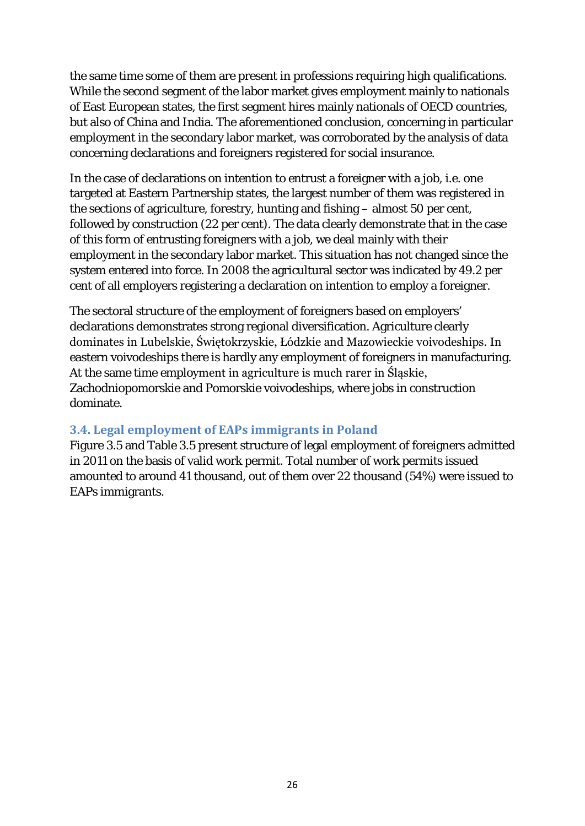the same time some of them are present in professions requiring high qualifications. While the second segment of the labor market gives employment mainly to nationals of East European states, the first segment hires mainly nationals of OECD countries, but also of China and India. The aforementioned conclusion, concerning in particular employment in the secondary labor market, was corroborated by the analysis of data concerning declarations and foreigners registered for social insurance.

In the case of declarations on intention to entrust a foreigner with a job, i.e. one targeted at Eastern Partnership states, the largest number of them was registered in the sections of agriculture, forestry, hunting and fishing – almost 50 per cent, followed by construction (22 per cent). The data clearly demonstrate that in the case of this form of entrusting foreigners with a job, we deal mainly with their employment in the secondary labor market. This situation has not changed since the system entered into force. In 2008 the agricultural sector was indicated by 49.2 per cent of all employers registering a declaration on intention to employ a foreigner.

The sectoral structure of the employment of foreigners based on employers' declarations demonstrates strong regional diversification. Agriculture clearly dominates in Lubelskie, Świętokrzyskie, Łódzkie and Mazowieckie voivodeships. In eastern voivodeships there is hardly any employment of foreigners in manufacturing. At the same time employment in agriculture is much rarer in Śląskie, Zachodniopomorskie and Pomorskie voivodeships, where jobs in construction dominate.

# <span id="page-27-0"></span>**3.4. Legal employment of EAPs immigrants in Poland**

Figure 3.5 and Table 3.5 present structure of legal employment of foreigners admitted in 2011 on the basis of valid work permit. Total number of work permits issued amounted to around 41 thousand, out of them over 22 thousand (54%) were issued to EAPs immigrants.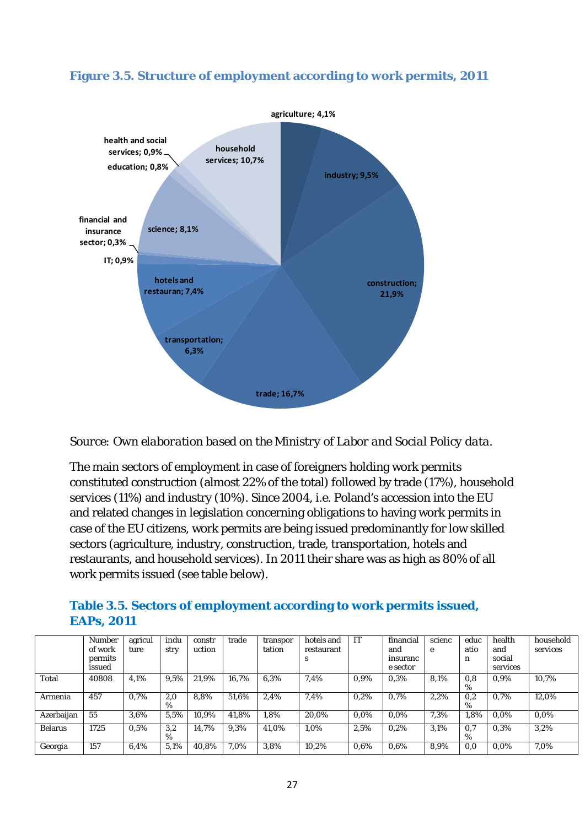#### <span id="page-28-0"></span>**Figure 3.5. Structure of employment according to work permits, 2011**



*Source: Own elaboration based on the Ministry of Labor and Social Policy data.*

The main sectors of employment in case of foreigners holding work permits constituted construction (almost 22% of the total) followed by trade (17%), household services (11%) and industry (10%). Since 2004, i.e. Poland's accession into the EU and related changes in legislation concerning obligations to having work permits in case of the EU citizens, work permits are being issued predominantly for low skilled sectors (agriculture, industry, construction, trade, transportation, hotels and restaurants, and household services). In 2011 their share was as high as 80% of all work permits issued (see table below).

<span id="page-28-1"></span>

|                   | Table 3.5. Sectors of employment according to work permits issued, |  |  |
|-------------------|--------------------------------------------------------------------|--|--|
| <b>EAPs, 2011</b> |                                                                    |  |  |

|                | Number<br>of work<br>permits<br>issued | agricul<br>ture | indu<br>stry | constr<br>uction | trade | transpor<br>tation | hotels and<br>restaurant<br>S | IT      | financial<br>and<br>insuranc<br>e sector | scienc<br>e | educ<br>atio<br>n | health<br>and<br>social<br>services | household<br>services |
|----------------|----------------------------------------|-----------------|--------------|------------------|-------|--------------------|-------------------------------|---------|------------------------------------------|-------------|-------------------|-------------------------------------|-----------------------|
| Total          | 40808                                  | 4,1%            | 9,5%         | 21,9%            | 16.7% | 6,3%               | 7,4%                          | $0.9\%$ | 0,3%                                     | 8,1%        | 0,8<br>%          | $0.9\%$                             | 10,7%                 |
| Armenia        | 457                                    | 0.7%            | 2,0<br>%     | 8.8%             | 51.6% | 2,4%               | 7,4%                          | 0.2%    | 0.7%                                     | 2,2%        | 0,2<br>%          | 0.7%                                | 12,0%                 |
| Azerbaijan     | 55                                     | 3,6%            | 5,5%         | 10,9%            | 41,8% | 1,8%               | 20,0%                         | $0.0\%$ | $0.0\%$                                  | 7,3%        | 1,8%              | $0.0\%$                             | $0.0\%$               |
| <b>Belarus</b> | 1725                                   | 0.5%            | 3,2<br>%     | 14,7%            | 9,3%  | 41,0%              | 1,0%                          | 2,5%    | 0.2%                                     | 3,1%        | 0,7<br>%          | 0,3%                                | 3,2%                  |
| Georgia        | 157                                    | 6,4%            | 5,1%         | 40,8%            | 7.0%  | 3,8%               | 10,2%                         | 0.6%    | 0.6%                                     | 8,9%        | 0,0               | $0.0\%$                             | 7,0%                  |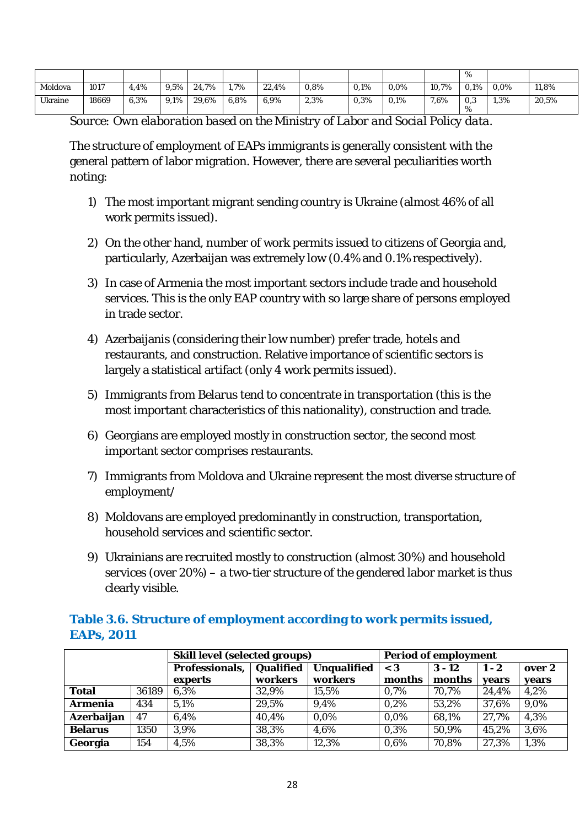|         |       |      |         |       |      |       |      |      |         |         | %        |         |       |
|---------|-------|------|---------|-------|------|-------|------|------|---------|---------|----------|---------|-------|
| Moldova | 1017  | 4,4% | 9,5%    | 24.7% | 1,7% | 22,4% | 0,8% | 0,1% | $0.0\%$ | 10,7%   | 0.1%     | $0.0\%$ | 11,8% |
| Ukraine | 18669 | 6,3% | $9.1\%$ | 29.6% | 6,8% | 6,9%  | 2,3% | 0,3% | 0,1%    | $7.6\%$ | 0.3<br>% | 1,3%    | 20,5% |

*Source: Own elaboration based on the Ministry of Labor and Social Policy data.*

The structure of employment of EAPs immigrants is generally consistent with the general pattern of labor migration. However, there are several peculiarities worth noting:

- 1) The most important migrant sending country is Ukraine (almost 46% of all work permits issued).
- 2) On the other hand, number of work permits issued to citizens of Georgia and, particularly, Azerbaijan was extremely low (0.4% and 0.1% respectively).
- 3) In case of Armenia the most important sectors include trade and household services. This is the only EAP country with so large share of persons employed in trade sector.
- 4) Azerbaijanis (considering their low number) prefer trade, hotels and restaurants, and construction. Relative importance of scientific sectors is largely a statistical artifact (only 4 work permits issued).
- 5) Immigrants from Belarus tend to concentrate in transportation (this is the most important characteristics of this nationality), construction and trade.
- 6) Georgians are employed mostly in construction sector, the second most important sector comprises restaurants.
- 7) Immigrants from Moldova and Ukraine represent the most diverse structure of employment/
- 8) Moldovans are employed predominantly in construction, transportation, household services and scientific sector.
- 9) Ukrainians are recruited mostly to construction (almost 30%) and household services (over 20%) – a two-tier structure of the gendered labor market is thus clearly visible.

#### <span id="page-29-0"></span>**Table 3.6. Structure of employment according to work permits issued, EAPs, 2011**

|                |       | <b>Skill level (selected groups)</b> |           |                    | <b>Period of employment</b> |          |         |        |  |  |
|----------------|-------|--------------------------------------|-----------|--------------------|-----------------------------|----------|---------|--------|--|--|
|                |       | Professionals,                       | Qualified | <b>Unqualified</b> | $\leq 3$                    | $3 - 12$ | $1 - 2$ | over 2 |  |  |
|                |       | experts                              | workers   | workers            | months                      | months   | vears   | vears  |  |  |
| <b>Total</b>   | 36189 | 6.3%                                 | 32,9%     | 15,5%              | 0.7%                        | 70,7%    | 24,4%   | 4,2%   |  |  |
| <b>Armenia</b> | 434   | 5,1%                                 | 29,5%     | 9.4%               | 0.2%                        | 53,2%    | 37,6%   | 9,0%   |  |  |
| Azerbaijan     | 47    | $6.4\%$                              | 40,4%     | $0.0\%$            | $0.0\%$                     | 68,1%    | 27,7%   | 4,3%   |  |  |
| <b>Belarus</b> | 1350  | 3,9%                                 | 38,3%     | 4.6%               | 0.3%                        | 50,9%    | 45,2%   | 3,6%   |  |  |
| Georgia        | 154   | 4,5%                                 | 38,3%     | 12,3%              | 0,6%                        | 70,8%    | 27,3%   | 1,3%   |  |  |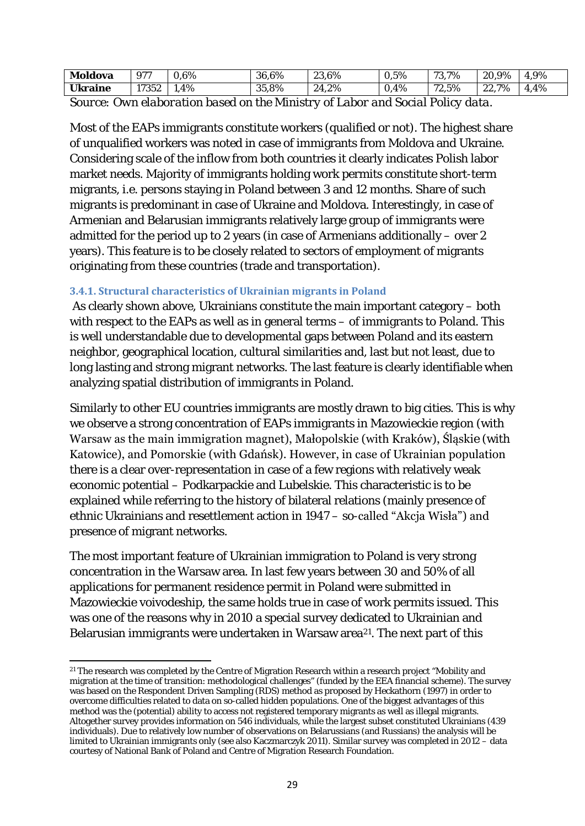| <b>Moldova</b> | 977   | 0,6% | 36,6% | 23,6%<br>ററ   | 0,5% | 70<br>$73,7\%$  | 20,9%      | 4,9% |
|----------------|-------|------|-------|---------------|------|-----------------|------------|------|
| <b>Ukraine</b> | 17352 | 1,4% | 35,8% | 24,2%         | 0,4% | $72.5\%$<br>70. | 22,7<br>7% | 4,4% |
| $\sim$         |       | . .  |       | $\sim$ $\sim$ | '~   | $\mathbf{r}$    |            |      |

*Source: Own elaboration based on the Ministry of Labor and Social Policy data.*

Most of the EAPs immigrants constitute workers (qualified or not). The highest share of unqualified workers was noted in case of immigrants from Moldova and Ukraine. Considering scale of the inflow from both countries it clearly indicates Polish labor market needs. Majority of immigrants holding work permits constitute short-term migrants, i.e. persons staying in Poland between 3 and 12 months. Share of such migrants is predominant in case of Ukraine and Moldova. Interestingly, in case of Armenian and Belarusian immigrants relatively large group of immigrants were admitted for the period up to 2 years (in case of Armenians additionally – over 2 years). This feature is to be closely related to sectors of employment of migrants originating from these countries (trade and transportation).

#### <span id="page-30-0"></span>**3.4.1. Structural characteristics of Ukrainian migrants in Poland**

As clearly shown above, Ukrainians constitute the main important category – both with respect to the EAPs as well as in general terms – of immigrants to Poland. This is well understandable due to developmental gaps between Poland and its eastern neighbor, geographical location, cultural similarities and, last but not least, due to long lasting and strong migrant networks. The last feature is clearly identifiable when analyzing spatial distribution of immigrants in Poland.

Similarly to other EU countries immigrants are mostly drawn to big cities. This is why we observe a strong concentration of EAPs immigrants in Mazowieckie region (with Warsaw as the main immigration magnet), Małopolskie (with Kraków), Śląskie (with Katowice), and Pomorskie (with Gdańsk). However, in case of Ukrainian population there is a clear over-representation in case of a few regions with relatively weak economic potential – Podkarpackie and Lubelskie. This characteristic is to be explained while referring to the history of bilateral relations (mainly presence of ethnic Ukrainians and resettlement action in 1947 – so-called "Akcja Wisła") and presence of migrant networks.

The most important feature of Ukrainian immigration to Poland is very strong concentration in the Warsaw area. In last few years between 30 and 50% of all applications for permanent residence permit in Poland were submitted in Mazowieckie voivodeship, the same holds true in case of work permits issued. This was one of the reasons why in 2010 a special survey dedicated to Ukrainian and Belarusian immigrants were undertaken in Warsaw area<sup>21</sup>. The next part of this

 $\overline{a}$ 

<span id="page-30-1"></span><sup>&</sup>lt;sup>21</sup> The research was completed by the Centre of Migration Research within a research project "Mobility and migration at the time of transition: methodological challenges" (funded by the EEA financial scheme). The survey was based on the Respondent Driven Sampling (RDS) method as proposed by Heckathorn (1997) in order to overcome difficulties related to data on so-called hidden populations. One of the biggest advantages of this method was the (potential) ability to access not registered temporary migrants as well as illegal migrants. Altogether survey provides information on 546 individuals, while the largest subset constituted Ukrainians (439 individuals). Due to relatively low number of observations on Belarussians (and Russians) the analysis will be limited to Ukrainian immigrants only (see also Kaczmarczyk 2011). Similar survey was completed in 2012 – data courtesy of National Bank of Poland and Centre of Migration Research Foundation.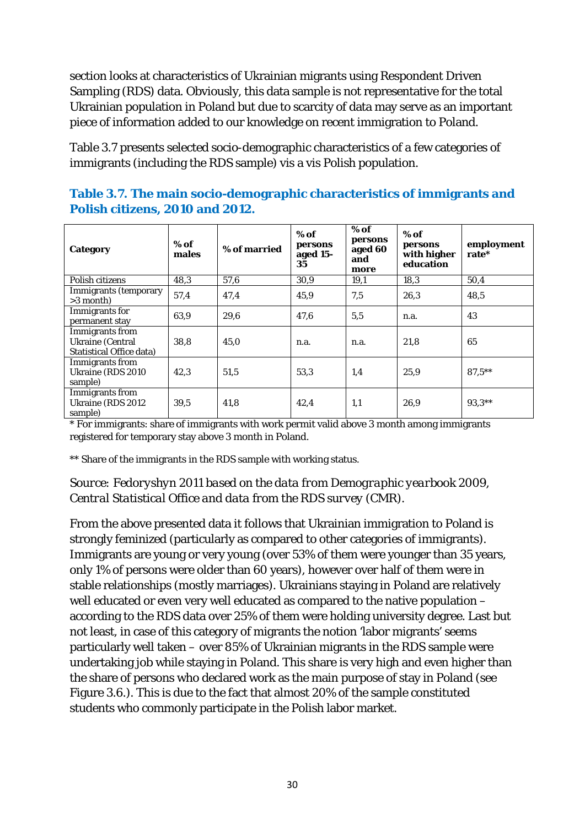section looks at characteristics of Ukrainian migrants using Respondent Driven Sampling (RDS) data. Obviously, this data sample is not representative for the total Ukrainian population in Poland but due to scarcity of data may serve as an important piece of information added to our knowledge on recent immigration to Poland.

Table 3.7 presents selected socio-demographic characteristics of a few categories of immigrants (including the RDS sample) vis a vis Polish population.

| Category                                                                      | $%$ of<br>males | % of married | $%$ of<br>persons<br>aged 15-<br>35 | $%$ of<br>persons<br>aged 60<br>and<br>more | $%$ of<br>persons<br>with higher<br>education | employment<br>rate* |
|-------------------------------------------------------------------------------|-----------------|--------------|-------------------------------------|---------------------------------------------|-----------------------------------------------|---------------------|
| Polish citizens                                                               | 48,3            | 57.6         | 30.9                                | 19,1                                        | 18,3                                          | 50,4                |
| Immigrants (temporary<br>$>3$ month)                                          | 57,4            | 47,4         | 45.9                                | 7,5                                         | 26.3                                          | 48,5                |
| <b>Immigrants for</b><br>permanent stay                                       | 63.9            | 29.6         | 47,6                                | 5,5                                         | n.a.                                          | 43                  |
| Immigrants from<br><b>Ukraine</b> (Central<br><b>Statistical Office data)</b> | 38.8            | 45.0         | n.a.                                | n.a.                                        | 21,8                                          | 65                  |
| <b>Immigrants</b> from<br>Ukraine (RDS 2010)<br>sample)                       | 42,3            | 51,5         | 53,3                                | 1,4                                         | 25,9                                          | $87.5***$           |
| <b>Immigrants</b> from<br>Ukraine (RDS 2012)<br>sample)                       | 39,5            | 41,8         | 42,4                                | 1,1                                         | 26,9                                          | $93.3**$            |

<span id="page-31-0"></span>**Table 3.7. The main socio-demographic characteristics of immigrants and Polish citizens, 2010 and 2012.**

\* For immigrants: share of immigrants with work permit valid above 3 month among immigrants registered for temporary stay above 3 month in Poland.

\*\* Share of the immigrants in the RDS sample with working status.

#### *Source: Fedoryshyn 2011 based on the data from Demographic yearbook 2009, Central Statistical Office and data from the RDS survey (CMR).*

From the above presented data it follows that Ukrainian immigration to Poland is strongly feminized (particularly as compared to other categories of immigrants). Immigrants are young or very young (over 53% of them were younger than 35 years, only 1% of persons were older than 60 years), however over half of them were in stable relationships (mostly marriages). Ukrainians staying in Poland are relatively well educated or even very well educated as compared to the native population – according to the RDS data over 25% of them were holding university degree. Last but not least, in case of this category of migrants the notion 'labor migrants' seems particularly well taken – over 85% of Ukrainian migrants in the RDS sample were undertaking job while staying in Poland. This share is very high and even higher than the share of persons who declared work as the main purpose of stay in Poland (see Figure 3.6.). This is due to the fact that almost 20% of the sample constituted students who commonly participate in the Polish labor market.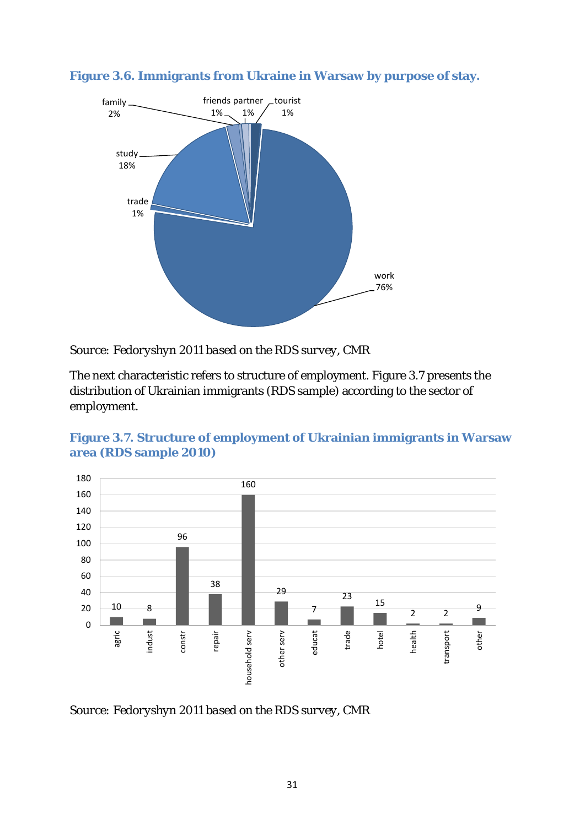

<span id="page-32-0"></span>

*Source: Fedoryshyn 2011 based on the RDS survey, CMR*

The next characteristic refers to structure of employment. Figure 3.7 presents the distribution of Ukrainian immigrants (RDS sample) according to the sector of employment.



<span id="page-32-1"></span>**Figure 3.7. Structure of employment of Ukrainian immigrants in Warsaw area (RDS sample 2010)**

*Source: Fedoryshyn 2011 based on the RDS survey, CMR*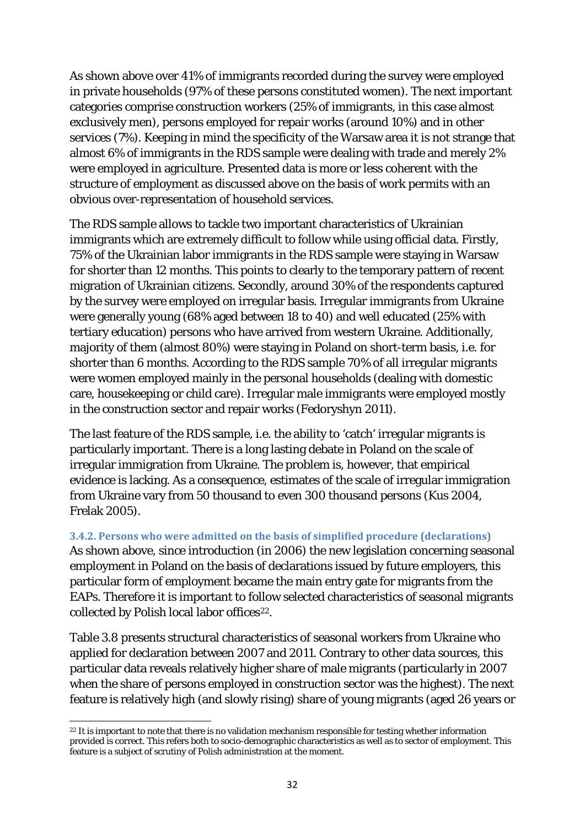As shown above over 41% of immigrants recorded during the survey were employed in private households (97% of these persons constituted women). The next important categories comprise construction workers (25% of immigrants, in this case almost exclusively men), persons employed for repair works (around 10%) and in other services (7%). Keeping in mind the specificity of the Warsaw area it is not strange that almost 6% of immigrants in the RDS sample were dealing with trade and merely 2% were employed in agriculture. Presented data is more or less coherent with the structure of employment as discussed above on the basis of work permits with an obvious over-representation of household services.

The RDS sample allows to tackle two important characteristics of Ukrainian immigrants which are extremely difficult to follow while using official data. Firstly, 75% of the Ukrainian labor immigrants in the RDS sample were staying in Warsaw for shorter than 12 months. This points to clearly to the temporary pattern of recent migration of Ukrainian citizens. Secondly, around 30% of the respondents captured by the survey were employed on irregular basis. Irregular immigrants from Ukraine were generally young (68% aged between 18 to 40) and well educated (25% with tertiary education) persons who have arrived from western Ukraine. Additionally, majority of them (almost 80%) were staying in Poland on short-term basis, i.e. for shorter than 6 months. According to the RDS sample 70% of all irregular migrants were women employed mainly in the personal households (dealing with domestic care, housekeeping or child care). Irregular male immigrants were employed mostly in the construction sector and repair works (Fedoryshyn 2011).

The last feature of the RDS sample, i.e. the ability to 'catch' irregular migrants is particularly important. There is a long lasting debate in Poland on the scale of irregular immigration from Ukraine. The problem is, however, that empirical evidence is lacking. As a consequence, estimates of the scale of irregular immigration from Ukraine vary from 50 thousand to even 300 thousand persons (Kus 2004, Frelak 2005).

#### <span id="page-33-0"></span>**3.4.2. Persons who were admitted on the basis of simplified procedure (declarations)**

As shown above, since introduction (in 2006) the new legislation concerning seasonal employment in Poland on the basis of declarations issued by future employers, this particular form of employment became the main entry gate for migrants from the EAPs. Therefore it is important to follow selected characteristics of seasonal migrants collected by Polish local labor offices<sup>22</sup>.

Table 3.8 presents structural characteristics of seasonal workers from Ukraine who applied for declaration between 2007 and 2011. Contrary to other data sources, this particular data reveals relatively higher share of male migrants (particularly in 2007 when the share of persons employed in construction sector was the highest). The next feature is relatively high (and slowly rising) share of young migrants (aged 26 years or

<span id="page-33-1"></span> $\overline{a}$  $22$  It is important to note that there is no validation mechanism responsible for testing whether information provided is correct. This refers both to socio-demographic characteristics as well as to sector of employment. This feature is a subject of scrutiny of Polish administration at the moment.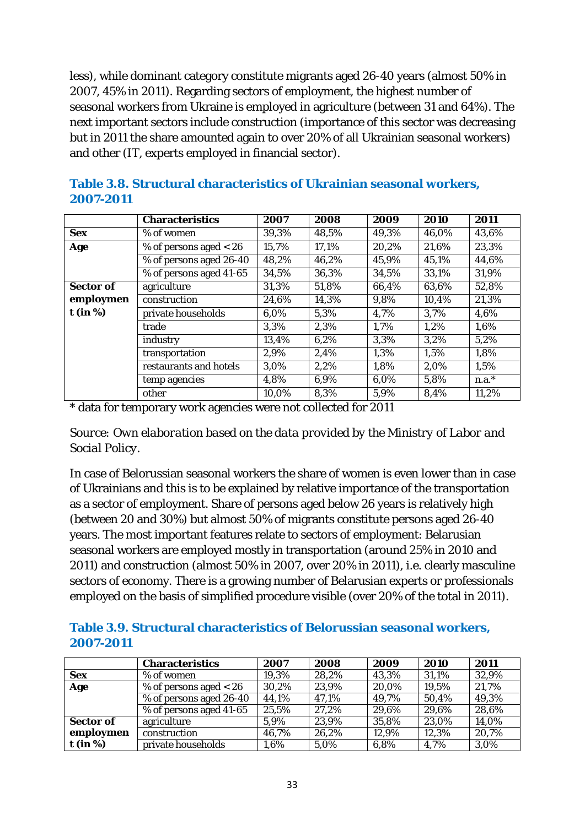less), while dominant category constitute migrants aged 26-40 years (almost 50% in 2007, 45% in 2011). Regarding sectors of employment, the highest number of seasonal workers from Ukraine is employed in agriculture (between 31 and 64%). The next important sectors include construction (importance of this sector was decreasing but in 2011 the share amounted again to over 20% of all Ukrainian seasonal workers) and other (IT, experts employed in financial sector).

|                  | <b>Characteristics</b>   | 2007  | 2008  | 2009  | 2010  | 2011    |
|------------------|--------------------------|-------|-------|-------|-------|---------|
| <b>Sex</b>       | % of women               | 39,3% | 48,5% | 49,3% | 46,0% | 43,6%   |
| Age              | % of persons aged $< 26$ | 15,7% | 17,1% | 20,2% | 21,6% | 23,3%   |
|                  | % of persons aged 26-40  | 48,2% | 46,2% | 45,9% | 45,1% | 44,6%   |
|                  | % of persons aged 41-65  | 34,5% | 36,3% | 34,5% | 33,1% | 31,9%   |
| <b>Sector of</b> | agriculture              | 31,3% | 51,8% | 66,4% | 63,6% | 52,8%   |
| employmen        | construction             | 24,6% | 14,3% | 9,8%  | 10,4% | 21,3%   |
| $t$ (in %)       | private households       | 6,0%  | 5,3%  | 4,7%  | 3,7%  | 4,6%    |
|                  | trade                    | 3.3%  | 2,3%  | 1,7%  | 1,2%  | 1,6%    |
|                  | industry                 | 13,4% | 6,2%  | 3,3%  | 3,2%  | 5,2%    |
|                  | transportation           | 2,9%  | 2,4%  | 1,3%  | 1,5%  | 1,8%    |
|                  | restaurants and hotels   | 3,0%  | 2,2%  | 1,8%  | 2,0%  | 1,5%    |
|                  | temp agencies            | 4,8%  | 6,9%  | 6.0%  | 5,8%  | $n.a.*$ |
|                  | other                    | 10,0% | 8,3%  | 5,9%  | 8,4%  | 11,2%   |

<span id="page-34-0"></span>**Table 3.8. Structural characteristics of Ukrainian seasonal workers, 2007-2011**

\* data for temporary work agencies were not collected for 2011

*Source: Own elaboration based on the data provided by the Ministry of Labor and Social Policy.*

In case of Belorussian seasonal workers the share of women is even lower than in case of Ukrainians and this is to be explained by relative importance of the transportation as a sector of employment. Share of persons aged below 26 years is relatively high (between 20 and 30%) but almost 50% of migrants constitute persons aged 26-40 years. The most important features relate to sectors of employment: Belarusian seasonal workers are employed mostly in transportation (around 25% in 2010 and 2011) and construction (almost 50% in 2007, over 20% in 2011), i.e. clearly masculine sectors of economy. There is a growing number of Belarusian experts or professionals employed on the basis of simplified procedure visible (over 20% of the total in 2011).

<span id="page-34-1"></span>**Table 3.9. Structural characteristics of Belorussian seasonal workers, 2007-2011**

|                  | <b>Characteristics</b>   | 2007  | 2008  | 2009  | 2010  | 2011  |
|------------------|--------------------------|-------|-------|-------|-------|-------|
| <b>Sex</b>       | % of women               | 19,3% | 28,2% | 43,3% | 31,1% | 32,9% |
| Age              | % of persons aged $< 26$ | 30,2% | 23,9% | 20,0% | 19,5% | 21,7% |
|                  | % of persons aged 26-40  | 44,1% | 47,1% | 49,7% | 50,4% | 49,3% |
|                  | % of persons aged 41-65  | 25,5% | 27,2% | 29,6% | 29,6% | 28,6% |
| <b>Sector of</b> | agriculture              | 5,9%  | 23,9% | 35,8% | 23,0% | 14,0% |
| employmen        | construction             | 46,7% | 26,2% | 12,9% | 12,3% | 20,7% |
| $t$ (in %)       | private households       | 1,6%  | 5,0%  | 6,8%  | 4,7%  | 3,0%  |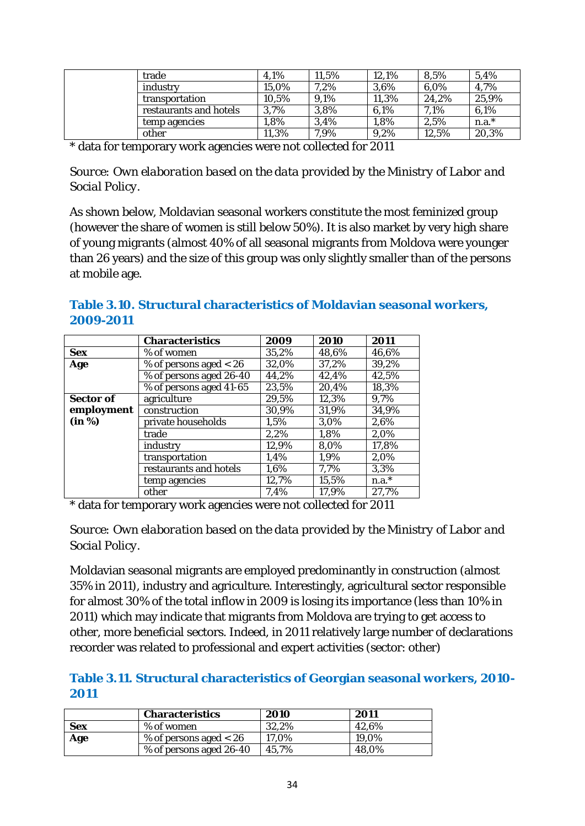| trade    |                        | 4.1%    | 11.5%   | 12,1% | 8,5%    | 5,4%    |
|----------|------------------------|---------|---------|-------|---------|---------|
| industry |                        | 15,0%   | 7,2%    | 3.6%  | $6.0\%$ | 4,7%    |
|          | transportation         | 10.5%   | 9,1%    | 11,3% | 24,2%   | 25,9%   |
|          | restaurants and hotels | 3.7%    | 3,8%    | 6.1%  | 7.1%    | 6,1%    |
|          | temp agencies          | $0.8\%$ | 3.4%    | 1,8%  | 2,5%    | $n.a.*$ |
| other    |                        | 11,3%   | $7.9\%$ | 9,2%  | 12,5%   | 20,3%   |

\* data for temporary work agencies were not collected for 2011

*Source: Own elaboration based on the data provided by the Ministry of Labor and Social Policy.*

As shown below, Moldavian seasonal workers constitute the most feminized group (however the share of women is still below 50%). It is also market by very high share of young migrants (almost 40% of all seasonal migrants from Moldova were younger than 26 years) and the size of this group was only slightly smaller than of the persons at mobile age.

<span id="page-35-0"></span>**Table 3.10. Structural characteristics of Moldavian seasonal workers, 2009-2011**

|            | <b>Characteristics</b>   | 2009  | 2010  | 2011    |
|------------|--------------------------|-------|-------|---------|
| <b>Sex</b> | % of women               | 35,2% | 48,6% | 46,6%   |
| Age        | % of persons aged $< 26$ | 32,0% | 37,2% | 39,2%   |
|            | % of persons aged 26-40  | 44,2% | 42,4% | 42,5%   |
|            | % of persons aged 41-65  | 23,5% | 20,4% | 18,3%   |
| Sector of  | agriculture              | 29,5% | 12,3% | 9,7%    |
| employment | construction             | 30,9% | 31,9% | 34,9%   |
| (in %)     | private households       | 1,5%  | 3,0%  | 2,6%    |
|            | trade                    | 2,2%  | 1,8%  | 2,0%    |
|            | industry                 | 12,9% | 8,0%  | 17,8%   |
|            | transportation           | 1,4%  | 1,9%  | 2,0%    |
|            | restaurants and hotels   | 1,6%  | 7,7%  | 3,3%    |
|            | temp agencies            | 12,7% | 15,5% | $n.a.*$ |
|            | other                    | 7,4%  | 17,9% | 27,7%   |

\* data for temporary work agencies were not collected for 2011

*Source: Own elaboration based on the data provided by the Ministry of Labor and Social Policy.*

Moldavian seasonal migrants are employed predominantly in construction (almost 35% in 2011), industry and agriculture. Interestingly, agricultural sector responsible for almost 30% of the total inflow in 2009 is losing its importance (less than 10% in 2011) which may indicate that migrants from Moldova are trying to get access to other, more beneficial sectors. Indeed, in 2011 relatively large number of declarations recorder was related to professional and expert activities (sector: other)

#### <span id="page-35-1"></span>**Table 3.11. Structural characteristics of Georgian seasonal workers, 2010- 2011**

|     | <b>Characteristics</b>   | 2010  | 2011  |
|-----|--------------------------|-------|-------|
| Sex | % of women               | 32,2% | 42,6% |
| Age | % of persons aged $< 26$ | 17.0% | 19.0% |
|     | % of persons aged 26-40  | 45.7% | 48.0% |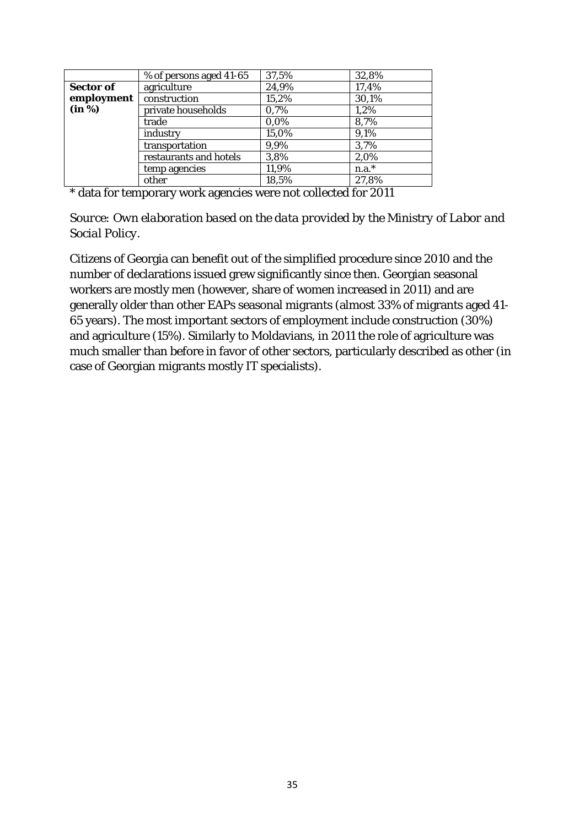|            | % of persons aged 41-65 | 37,5%   | 32,8%   |
|------------|-------------------------|---------|---------|
| Sector of  | agriculture             | 24,9%   | 17,4%   |
| employment | construction            | 15,2%   | 30,1%   |
| (in %)     | private households      | 0,7%    | 1,2%    |
|            | trade                   | $0.0\%$ | 8,7%    |
|            | industry                | 15,0%   | 9,1%    |
|            | transportation          | 9.9%    | 3,7%    |
|            | restaurants and hotels  | 3,8%    | 2,0%    |
|            | temp agencies           | 11,9%   | $n.a.*$ |
|            | other                   | 18,5%   | 27,8%   |
| .          |                         | $- -$   | .       |

\* data for temporary work agencies were not collected for 2011

*Source: Own elaboration based on the data provided by the Ministry of Labor and Social Policy.*

Citizens of Georgia can benefit out of the simplified procedure since 2010 and the number of declarations issued grew significantly since then. Georgian seasonal workers are mostly men (however, share of women increased in 2011) and are generally older than other EAPs seasonal migrants (almost 33% of migrants aged 41- 65 years). The most important sectors of employment include construction (30%) and agriculture (15%). Similarly to Moldavians, in 2011 the role of agriculture was much smaller than before in favor of other sectors, particularly described as other (in case of Georgian migrants mostly IT specialists).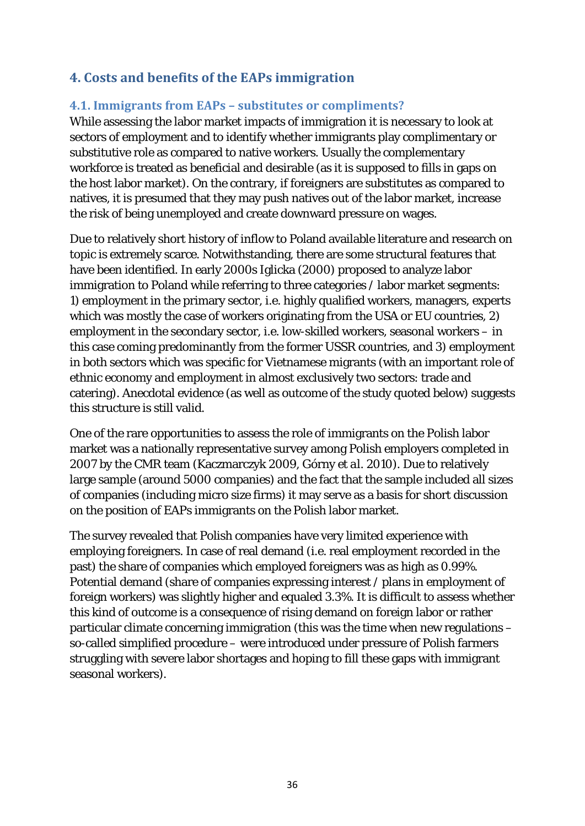# <span id="page-37-0"></span>**4. Costs and benefits of the EAPs immigration**

# <span id="page-37-1"></span>**4.1. Immigrants from EAPs – substitutes or compliments?**

While assessing the labor market impacts of immigration it is necessary to look at sectors of employment and to identify whether immigrants play complimentary or substitutive role as compared to native workers. Usually the complementary workforce is treated as beneficial and desirable (as it is supposed to fills in gaps on the host labor market). On the contrary, if foreigners are substitutes as compared to natives, it is presumed that they may push natives out of the labor market, increase the risk of being unemployed and create downward pressure on wages.

Due to relatively short history of inflow to Poland available literature and research on topic is extremely scarce. Notwithstanding, there are some structural features that have been identified. In early 2000s Iglicka (2000) proposed to analyze labor immigration to Poland while referring to three categories / labor market segments: 1) employment in the primary sector, i.e. highly qualified workers, managers, experts which was mostly the case of workers originating from the USA or EU countries, 2) employment in the secondary sector, i.e. low-skilled workers, seasonal workers – in this case coming predominantly from the former USSR countries, and 3) employment in both sectors which was specific for Vietnamese migrants (with an important role of ethnic economy and employment in almost exclusively two sectors: trade and catering). Anecdotal evidence (as well as outcome of the study quoted below) suggests this structure is still valid.

One of the rare opportunities to assess the role of immigrants on the Polish labor market was a nationally representative survey among Polish employers completed in 2007 by the CMR team (Kaczmarczyk 2009, Górny *et al.* 2010). Due to relatively large sample (around 5000 companies) and the fact that the sample included all sizes of companies (including micro size firms) it may serve as a basis for short discussion on the position of EAPs immigrants on the Polish labor market.

The survey revealed that Polish companies have very limited experience with employing foreigners. In case of real demand (i.e. real employment recorded in the past) the share of companies which employed foreigners was as high as 0.99%. Potential demand (share of companies expressing interest / plans in employment of foreign workers) was slightly higher and equaled 3.3%. It is difficult to assess whether this kind of outcome is a consequence of rising demand on foreign labor or rather particular climate concerning immigration (this was the time when new regulations – so-called simplified procedure – were introduced under pressure of Polish farmers struggling with severe labor shortages and hoping to fill these gaps with immigrant seasonal workers).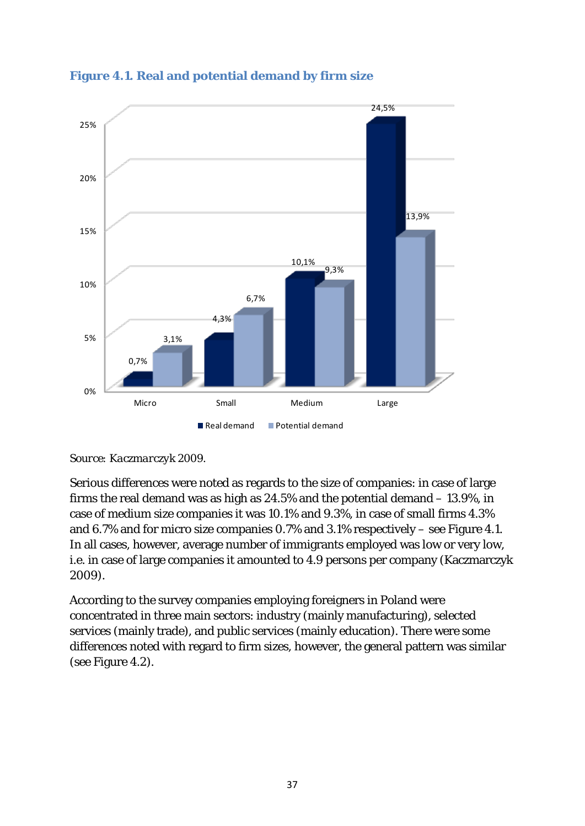

<span id="page-38-0"></span>**Figure 4.1. Real and potential demand by firm size**

Serious differences were noted as regards to the size of companies: in case of large firms the real demand was as high as 24.5% and the potential demand – 13.9%, in case of medium size companies it was 10.1% and 9.3%, in case of small firms 4.3% and 6.7% and for micro size companies 0.7% and 3.1% respectively – see Figure 4.1. In all cases, however, average number of immigrants employed was low or very low, i.e. in case of large companies it amounted to 4.9 persons per company (Kaczmarczyk 2009).

According to the survey companies employing foreigners in Poland were concentrated in three main sectors: industry (mainly manufacturing), selected services (mainly trade), and public services (mainly education). There were some differences noted with regard to firm sizes, however, the general pattern was similar (see Figure 4.2).

*Source: Kaczmarczyk 2009.*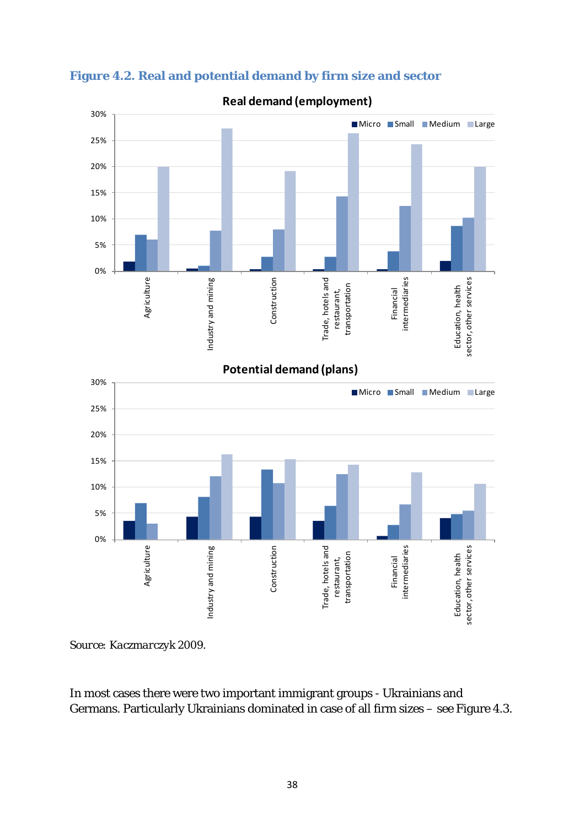

<span id="page-39-0"></span>**Figure 4.2. Real and potential demand by firm size and sector**

In most cases there were two important immigrant groups - Ukrainians and Germans. Particularly Ukrainians dominated in case of all firm sizes – see Figure 4.3.

*Source: Kaczmarczyk 2009.*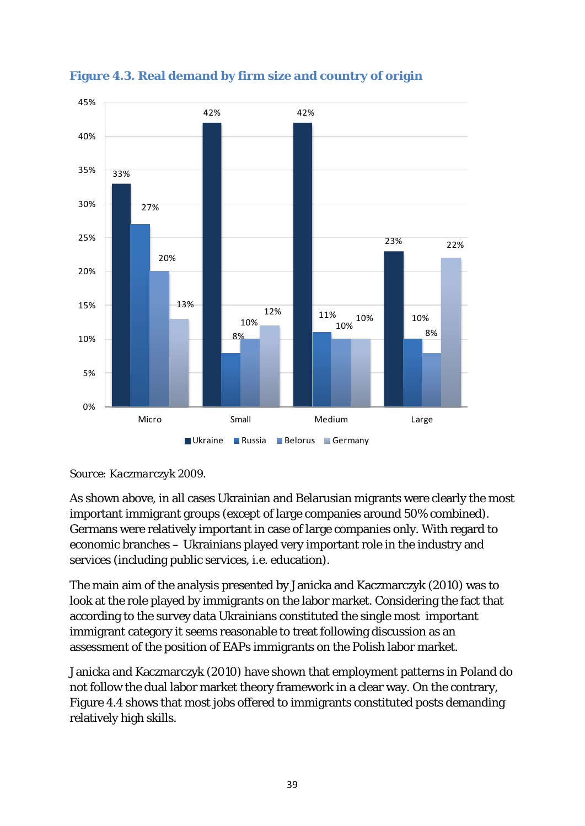

<span id="page-40-0"></span>**Figure 4.3. Real demand by firm size and country of origin** 

#### *Source: Kaczmarczyk 2009.*

As shown above, in all cases Ukrainian and Belarusian migrants were clearly the most important immigrant groups (except of large companies around 50% combined). Germans were relatively important in case of large companies only. With regard to economic branches – Ukrainians played very important role in the industry and services (including public services, i.e. education).

The main aim of the analysis presented by Janicka and Kaczmarczyk (2010) was to look at the role played by immigrants on the labor market. Considering the fact that according to the survey data Ukrainians constituted the single most important immigrant category it seems reasonable to treat following discussion as an assessment of the position of EAPs immigrants on the Polish labor market.

Janicka and Kaczmarczyk (2010) have shown that employment patterns in Poland do not follow the dual labor market theory framework in a clear way. On the contrary, Figure 4.4 shows that most jobs offered to immigrants constituted posts demanding relatively high skills.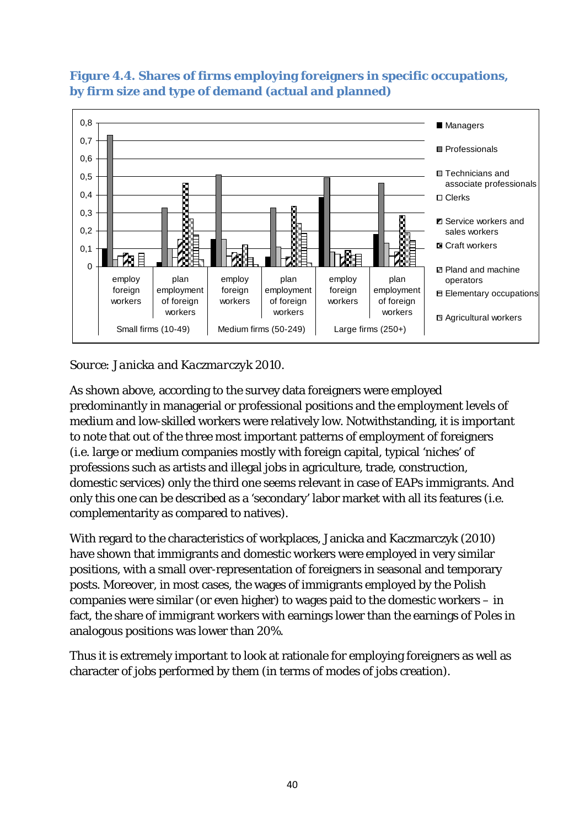

# <span id="page-41-0"></span>**Figure 4.4. Shares of firms employing foreigners in specific occupations, by firm size and type of demand (actual and planned)**

# *Source: Janicka and Kaczmarczyk 2010.*

As shown above, according to the survey data foreigners were employed predominantly in managerial or professional positions and the employment levels of medium and low-skilled workers were relatively low. Notwithstanding, it is important to note that out of the three most important patterns of employment of foreigners (i.e. large or medium companies mostly with foreign capital, typical 'niches' of professions such as artists and illegal jobs in agriculture, trade, construction, domestic services) only the third one seems relevant in case of EAPs immigrants. And only this one can be described as a 'secondary' labor market with all its features (i.e. complementarity as compared to natives).

With regard to the characteristics of workplaces, Janicka and Kaczmarczyk (2010) have shown that immigrants and domestic workers were employed in very similar positions, with a small over-representation of foreigners in seasonal and temporary posts. Moreover, in most cases, the wages of immigrants employed by the Polish companies were similar (or even higher) to wages paid to the domestic workers – in fact, the share of immigrant workers with earnings lower than the earnings of Poles in analogous positions was lower than 20%.

Thus it is extremely important to look at rationale for employing foreigners as well as character of jobs performed by them (in terms of modes of jobs creation).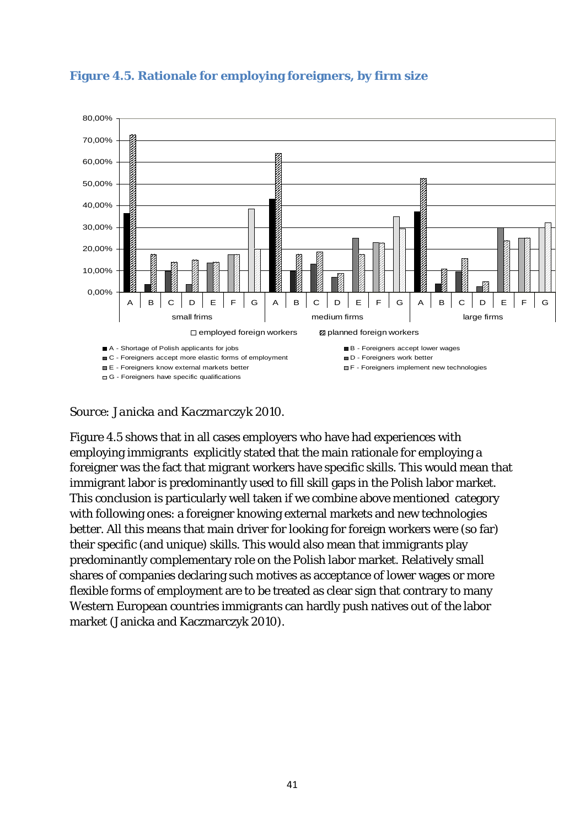

## <span id="page-42-0"></span>**Figure 4.5. Rationale for employing foreigners, by firm size**

#### *Source: Janicka and Kaczmarczyk 2010.*

Figure 4.5 shows that in all cases employers who have had experiences with employing immigrants explicitly stated that the main rationale for employing a foreigner was the fact that migrant workers have specific skills. This would mean that immigrant labor is predominantly used to fill skill gaps in the Polish labor market. This conclusion is particularly well taken if we combine above mentioned category with following ones: a foreigner knowing external markets and new technologies better. All this means that main driver for looking for foreign workers were (so far) their specific (and unique) skills. This would also mean that immigrants play predominantly complementary role on the Polish labor market. Relatively small shares of companies declaring such motives as acceptance of lower wages or more flexible forms of employment are to be treated as clear sign that contrary to many Western European countries immigrants can hardly push natives out of the labor market (Janicka and Kaczmarczyk 2010).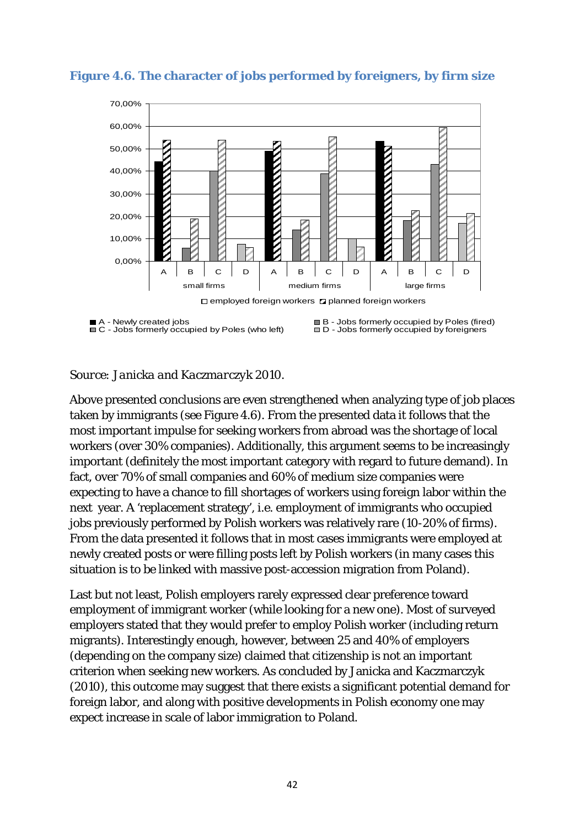![](_page_43_Figure_0.jpeg)

#### <span id="page-43-0"></span>**Figure 4.6. The character of jobs performed by foreigners, by firm size**

![](_page_43_Figure_2.jpeg)

# *Source: Janicka and Kaczmarczyk 2010.*

Above presented conclusions are even strengthened when analyzing type of job places taken by immigrants (see Figure 4.6). From the presented data it follows that the most important impulse for seeking workers from abroad was the shortage of local workers (over 30% companies). Additionally, this argument seems to be increasingly important (definitely the most important category with regard to future demand). In fact, over 70% of small companies and 60% of medium size companies were expecting to have a chance to fill shortages of workers using foreign labor within the next year. A 'replacement strategy', i.e. employment of immigrants who occupied jobs previously performed by Polish workers was relatively rare (10-20% of firms). From the data presented it follows that in most cases immigrants were employed at newly created posts or were filling posts left by Polish workers (in many cases this situation is to be linked with massive post-accession migration from Poland).

Last but not least, Polish employers rarely expressed clear preference toward employment of immigrant worker (while looking for a new one). Most of surveyed employers stated that they would prefer to employ Polish worker (including return migrants). Interestingly enough, however, between 25 and 40% of employers (depending on the company size) claimed that citizenship is not an important criterion when seeking new workers. As concluded by Janicka and Kaczmarczyk (2010), this outcome may suggest that there exists a significant potential demand for foreign labor, and along with positive developments in Polish economy one may expect increase in scale of labor immigration to Poland.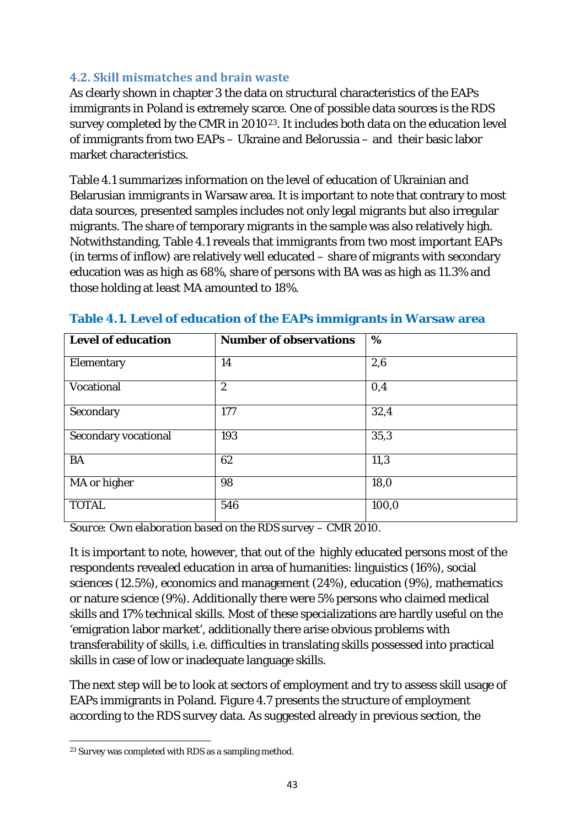## <span id="page-44-0"></span>**4.2. Skill mismatches and brain waste**

As clearly shown in chapter 3 the data on structural characteristics of the EAPs immigrants in Poland is extremely scarce. One of possible data sources is the RDS survey completed by the CMR in 2010[23.](#page-33-1) It includes both data on the education level of immigrants from two EAPs – Ukraine and Belorussia – and their basic labor market characteristics.

Table 4.1 summarizes information on the level of education of Ukrainian and Belarusian immigrants in Warsaw area. It is important to note that contrary to most data sources, presented samples includes not only legal migrants but also irregular migrants. The share of temporary migrants in the sample was also relatively high. Notwithstanding, Table 4.1 reveals that immigrants from two most important EAPs (in terms of inflow) are relatively well educated – share of migrants with secondary education was as high as 68%, share of persons with BA was as high as 11.3% and those holding at least MA amounted to 18%.

| <b>Level of education</b>   | <b>Number of observations</b> | %     |
|-----------------------------|-------------------------------|-------|
| Elementary                  | 14                            | 2,6   |
| <b>Vocational</b>           | $\boldsymbol{2}$              | 0,4   |
| Secondary                   | 177                           | 32,4  |
| <b>Secondary vocational</b> | 193                           | 35,3  |
| <b>BA</b>                   | 62                            | 11,3  |
| MA or higher                | 98                            | 18,0  |
| <b>TOTAL</b>                | 546                           | 100,0 |

#### <span id="page-44-1"></span>**Table 4.1. Level of education of the EAPs immigrants in Warsaw area**

*Source: Own elaboration based on the RDS survey – CMR 2010.*

It is important to note, however, that out of the highly educated persons most of the respondents revealed education in area of humanities: linguistics (16%), social sciences (12.5%), economics and management (24%), education (9%), mathematics or nature science (9%). Additionally there were 5% persons who claimed medical skills and 17% technical skills. Most of these specializations are hardly useful on the 'emigration labor market', additionally there arise obvious problems with transferability of skills, i.e. difficulties in translating skills possessed into practical skills in case of low or inadequate language skills.

The next step will be to look at sectors of employment and try to assess skill usage of EAPs immigrants in Poland. Figure 4.7 presents the structure of employment according to the RDS survey data. As suggested already in previous section, the

<span id="page-44-2"></span> $\overline{a}$ <sup>23</sup> Survey was completed with RDS as a sampling method.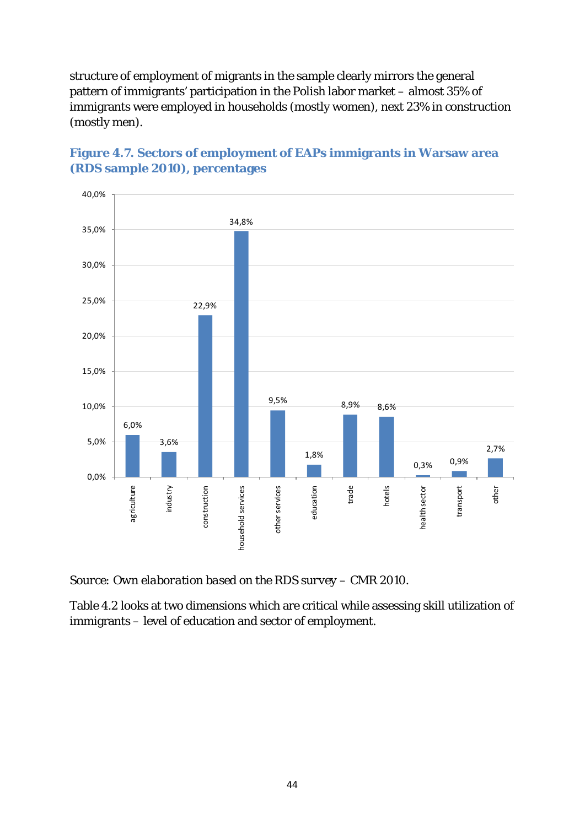structure of employment of migrants in the sample clearly mirrors the general pattern of immigrants' participation in the Polish labor market – almost 35% of immigrants were employed in households (mostly women), next 23% in construction (mostly men).

![](_page_45_Figure_1.jpeg)

# <span id="page-45-0"></span>**Figure 4.7. Sectors of employment of EAPs immigrants in Warsaw area (RDS sample 2010), percentages**

*Source: Own elaboration based on the RDS survey – CMR 2010.*

Table 4.2 looks at two dimensions which are critical while assessing skill utilization of immigrants – level of education and sector of employment.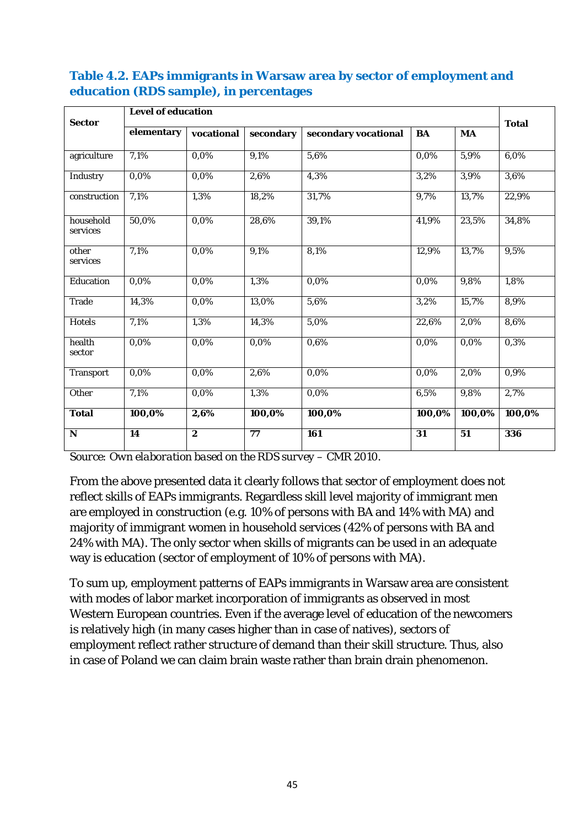| <b>Sector</b>         | <b>Level of education</b> |                  |                                                 |        |                    |                        |              |  |
|-----------------------|---------------------------|------------------|-------------------------------------------------|--------|--------------------|------------------------|--------------|--|
|                       | elementary                |                  | vocational<br>secondary vocational<br>secondary |        | BA                 | $\mathbf{M}\mathbf{A}$ | <b>Total</b> |  |
| agriculture           | 7,1%                      | 0,0%             | 9,1%                                            | 5,6%   | 0,0%               | 5,9%                   | 6,0%         |  |
| Industry              | 0,0%                      | 0,0%             | 2,6%                                            | 4,3%   | 3,2%               | 3,9%                   | 3,6%         |  |
| construction          | 7,1%                      | 1,3%             | 18,2%                                           | 31,7%  | $\overline{9,7\%}$ | 13,7%                  | 22,9%        |  |
| household<br>services | 50,0%                     | 0.0%             | 28,6%                                           | 39,1%  | 41,9%              | 23,5%                  | 34,8%        |  |
| other<br>services     | 7,1%                      | 0,0%             | 9,1%                                            | 8,1%   | 12,9%              | 13,7%                  | 9,5%         |  |
| Education             | 0,0%                      | 0,0%             | 1,3%                                            | 0,0%   | 0,0%               | 9,8%                   | 1,8%         |  |
| <b>Trade</b>          | 14,3%                     | 0,0%             | 13,0%                                           | 5,6%   | 3,2%               | 15,7%                  | 8,9%         |  |
| <b>Hotels</b>         | 7,1%                      | 1,3%             | 14,3%                                           | 5,0%   | 22,6%              | 2,0%                   | 8,6%         |  |
| health<br>sector      | 0,0%                      | 0,0%             | 0,0%                                            | 0,6%   | 0,0%               | 0,0%                   | 0,3%         |  |
| <b>Transport</b>      | 0.0%                      | 0.0%             | 2.6%                                            | 0.0%   | 0.0%               | 2.0%                   | 0,9%         |  |
| Other                 | 7,1%                      | 0,0%             | 1,3%                                            | 0,0%   | 6,5%               | 9,8%                   | 2,7%         |  |
| <b>Total</b>          | 100,0%                    | 2,6%             | 100,0%                                          | 100,0% | 100,0%             | 100,0%                 | 100,0%       |  |
| N                     | 14                        | $\boldsymbol{2}$ | 77                                              | 161    | 31                 | 51                     | 336          |  |

# <span id="page-46-0"></span>**Table 4.2. EAPs immigrants in Warsaw area by sector of employment and education (RDS sample), in percentages**

*Source: Own elaboration based on the RDS survey – CMR 2010.*

From the above presented data it clearly follows that sector of employment does not reflect skills of EAPs immigrants. Regardless skill level majority of immigrant men are employed in construction (e.g. 10% of persons with BA and 14% with MA) and majority of immigrant women in household services (42% of persons with BA and 24% with MA). The only sector when skills of migrants can be used in an adequate way is education (sector of employment of 10% of persons with MA).

To sum up, employment patterns of EAPs immigrants in Warsaw area are consistent with modes of labor market incorporation of immigrants as observed in most Western European countries. Even if the average level of education of the newcomers is relatively high (in many cases higher than in case of natives), sectors of employment reflect rather structure of demand than their skill structure. Thus, also in case of Poland we can claim brain waste rather than brain drain phenomenon.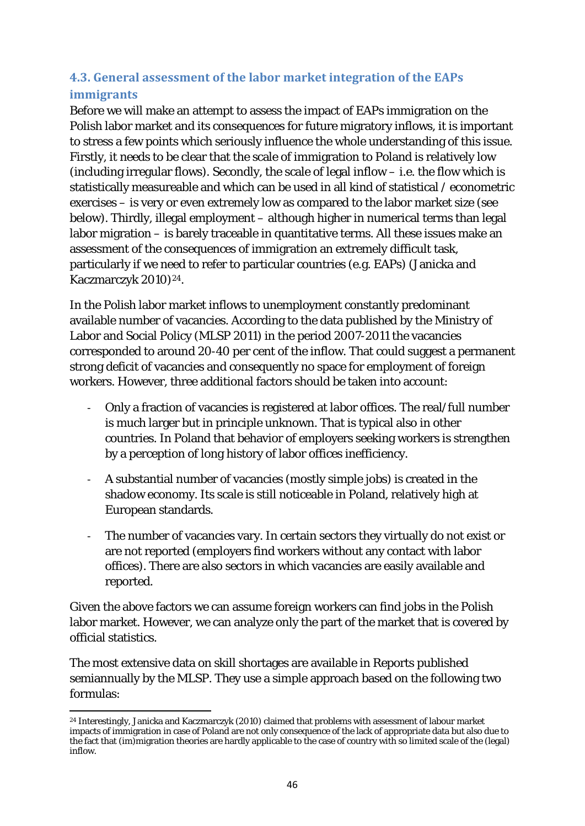# <span id="page-47-0"></span>**4.3. General assessment of the labor market integration of the EAPs immigrants**

Before we will make an attempt to assess the impact of EAPs immigration on the Polish labor market and its consequences for future migratory inflows, it is important to stress a few points which seriously influence the whole understanding of this issue. Firstly, it needs to be clear that the scale of immigration to Poland is relatively low (including irregular flows). Secondly, the scale of legal inflow – i.e. the flow which is statistically measureable and which can be used in all kind of statistical / econometric exercises – is very or even extremely low as compared to the labor market size (see below). Thirdly, illegal employment – although higher in numerical terms than legal labor migration – is barely traceable in quantitative terms. All these issues make an assessment of the consequences of immigration an extremely difficult task, particularly if we need to refer to particular countries (e.g. EAPs) (Janicka and Kaczmarczyk 2010)<sup>[24](#page-44-2)</sup>.

In the Polish labor market inflows to unemployment constantly predominant available number of vacancies. According to the data published by the Ministry of Labor and Social Policy (MLSP 2011) in the period 2007-2011 the vacancies corresponded to around 20-40 per cent of the inflow. That could suggest a permanent strong deficit of vacancies and consequently no space for employment of foreign workers. However, three additional factors should be taken into account:

- Only a fraction of vacancies is registered at labor offices. The real/full number is much larger but in principle unknown. That is typical also in other countries. In Poland that behavior of employers seeking workers is strengthen by a perception of long history of labor offices inefficiency.
- A substantial number of vacancies (mostly simple jobs) is created in the shadow economy. Its scale is still noticeable in Poland, relatively high at European standards.
- The number of vacancies vary. In certain sectors they virtually do not exist or are not reported (employers find workers without any contact with labor offices). There are also sectors in which vacancies are easily available and reported.

Given the above factors we can assume foreign workers can find jobs in the Polish labor market. However, we can analyze only the part of the market that is covered by official statistics.

The most extensive data on skill shortages are available in Reports published semiannually by the MLSP. They use a simple approach based on the following two formulas:

<span id="page-47-1"></span> $\overline{a}$ <sup>24</sup> Interestingly, Janicka and Kaczmarczyk (2010) claimed that problems with assessment of labour market impacts of immigration in case of Poland are not only consequence of the lack of appropriate data but also due to the fact that (im)migration theories are hardly applicable to the case of country with so limited scale of the (legal) inflow.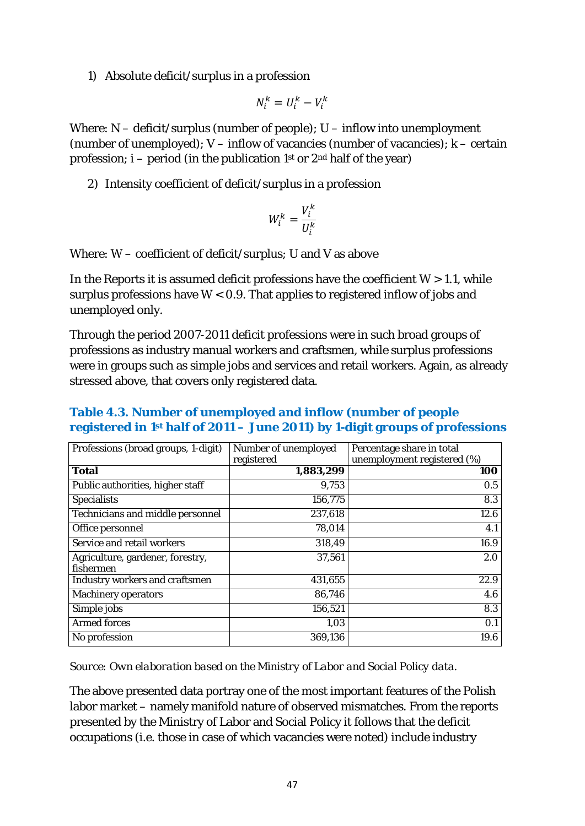1) Absolute deficit/surplus in a profession

$$
N_i^k = U_i^k - V_i^k
$$

Where:  $N -$  deficit/surplus (number of people);  $U -$  inflow into unemployment (number of unemployed);  $V - inflow$  of vacancies (number of vacancies);  $k -$  certain profession;  $i$  – period (in the publication 1<sup>st</sup> or 2<sup>nd</sup> half of the year)

2) Intensity coefficient of deficit/surplus in a profession

$$
W_i^k = \frac{V_i^k}{U_i^k}
$$

Where: W – coefficient of deficit/surplus; U and V as above

In the Reports it is assumed deficit professions have the coefficient  $W > 1.1$ , while surplus professions have  $W < 0.9$ . That applies to registered inflow of jobs and unemployed only.

Through the period 2007-2011 deficit professions were in such broad groups of professions as industry manual workers and craftsmen, while surplus professions were in groups such as simple jobs and services and retail workers. Again, as already stressed above, that covers only registered data.

| Professions (broad groups, 1-digit)           | Number of unemployed<br>registered | Percentage share in total<br>unemployment registered (%) |
|-----------------------------------------------|------------------------------------|----------------------------------------------------------|
| <b>Total</b>                                  | 1,883,299                          | 100                                                      |
| Public authorities, higher staff              | 9,753                              | 0.5                                                      |
| <b>Specialists</b>                            | 156,775                            | 8.3                                                      |
| <b>Technicians and middle personnel</b>       | 237,618                            | 12.6                                                     |
| Office personnel                              | 78,014                             | 4.1                                                      |
| Service and retail workers                    | 318,49                             | 16.9                                                     |
| Agriculture, gardener, forestry,<br>fishermen | 37,561                             | 2.0                                                      |
| Industry workers and craftsmen                | 431,655                            | 22.9                                                     |
| <b>Machinery operators</b>                    | 86,746                             | 4.6                                                      |
| Simple jobs                                   | 156,521                            | 8.3                                                      |
| <b>Armed forces</b>                           | 1,03                               | 0.1                                                      |
| No profession                                 | 369,136                            | 19.6                                                     |

<span id="page-48-0"></span>**Table 4.3. Number of unemployed and inflow (number of people registered in 1st half of 2011 – June 2011) by 1-digit groups of professions**

*Source: Own elaboration based on the Ministry of Labor and Social Policy data.*

The above presented data portray one of the most important features of the Polish labor market – namely manifold nature of observed mismatches. From the reports presented by the Ministry of Labor and Social Policy it follows that the deficit occupations (i.e. those in case of which vacancies were noted) include industry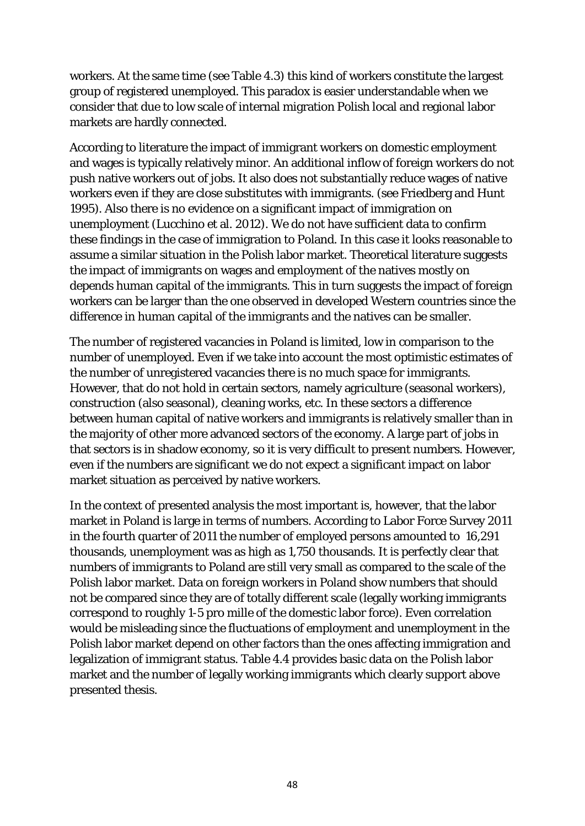workers. At the same time (see Table 4.3) this kind of workers constitute the largest group of registered unemployed. This paradox is easier understandable when we consider that due to low scale of internal migration Polish local and regional labor markets are hardly connected.

According to literature the impact of immigrant workers on domestic employment and wages is typically relatively minor. An additional inflow of foreign workers do not push native workers out of jobs. It also does not substantially reduce wages of native workers even if they are close substitutes with immigrants. (see Friedberg and Hunt 1995). Also there is no evidence on a significant impact of immigration on unemployment (Lucchino et al. 2012). We do not have sufficient data to confirm these findings in the case of immigration to Poland. In this case it looks reasonable to assume a similar situation in the Polish labor market. Theoretical literature suggests the impact of immigrants on wages and employment of the natives mostly on depends human capital of the immigrants. This in turn suggests the impact of foreign workers can be larger than the one observed in developed Western countries since the difference in human capital of the immigrants and the natives can be smaller.

The number of registered vacancies in Poland is limited, low in comparison to the number of unemployed. Even if we take into account the most optimistic estimates of the number of unregistered vacancies there is no much space for immigrants. However, that do not hold in certain sectors, namely agriculture (seasonal workers), construction (also seasonal), cleaning works, etc. In these sectors a difference between human capital of native workers and immigrants is relatively smaller than in the majority of other more advanced sectors of the economy. A large part of jobs in that sectors is in shadow economy, so it is very difficult to present numbers. However, even if the numbers are significant we do not expect a significant impact on labor market situation as perceived by native workers.

In the context of presented analysis the most important is, however, that the labor market in Poland is large in terms of numbers. According to Labor Force Survey 2011 in the fourth quarter of 2011 the number of employed persons amounted to 16,291 thousands, unemployment was as high as 1,750 thousands. It is perfectly clear that numbers of immigrants to Poland are still very small as compared to the scale of the Polish labor market. Data on foreign workers in Poland show numbers that should not be compared since they are of totally different scale (legally working immigrants correspond to roughly 1-5 pro mille of the domestic labor force). Even correlation would be misleading since the fluctuations of employment and unemployment in the Polish labor market depend on other factors than the ones affecting immigration and legalization of immigrant status. Table 4.4 provides basic data on the Polish labor market and the number of legally working immigrants which clearly support above presented thesis.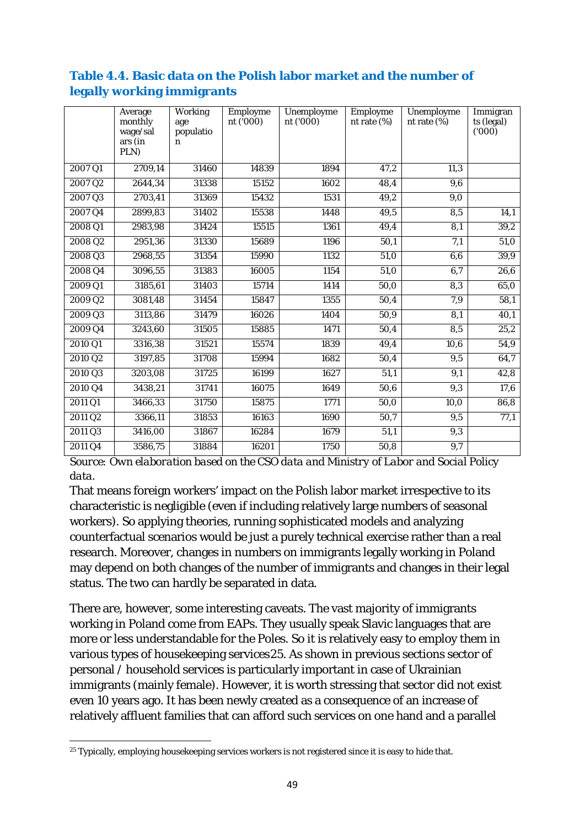|                     | Average<br>monthly<br>wage/sal | <b>Working</b><br>age<br>populatio | Employme<br>nt ('000) | Unemployme<br>nt ('000) | Employme<br>nt rate $(\%)$ | Unemployme<br>nt rate $(\%)$ | Immigran<br>ts (legal)<br>(000) |
|---------------------|--------------------------------|------------------------------------|-----------------------|-------------------------|----------------------------|------------------------------|---------------------------------|
|                     | ars (in<br>PLN)                | $\mathbf n$                        |                       |                         |                            |                              |                                 |
| 2007 Q1             | 2709,14                        | 31460                              | 14839                 | 1894                    | 47,2                       | 11,3                         |                                 |
| 2007 Q2             | 2644,34                        | 31338                              | 15152                 | 1602                    | 48,4                       | 9,6                          |                                 |
| 2007 Q3             | 2703,41                        | 31369                              | 15432                 | 1531                    | 49,2                       | 9,0                          |                                 |
| 2007 Q4             | 2899,83                        | 31402                              | 15538                 | 1448                    | 49,5                       | 8,5                          | 14,1                            |
| 2008 Q1             | 2983,98                        | 31424                              | 15515                 | 1361                    | 49,4                       | 8,1                          | 39,2                            |
| 2008 Q <sub>2</sub> | 2951,36                        | 31330                              | 15689                 | 1196                    | 50,1                       | 7,1                          | 51,0                            |
| 2008 Q3             | 2968,55                        | 31354                              | 15990                 | 1132                    | $\overline{51,0}$          | 6,6                          | 39,9                            |
| 2008 Q4             | 3096,55                        | 31383                              | 16005                 | 1154                    | $\overline{51,0}$          | 6,7                          | $\overline{26,6}$               |
| 2009 Q1             | 3185,61                        | 31403                              | 15714                 | 1414                    | 50,0                       | 8,3                          | 65,0                            |
| 2009 Q2             | 3081,48                        | 31454                              | 15847                 | 1355                    | 50,4                       | 7,9                          | 58,1                            |
| 2009 Q3             | 3113,86                        | 31479                              | 16026                 | 1404                    | 50,9                       | 8,1                          | 40,1                            |
| 2009 Q4             | 3243,60                        | 31505                              | 15885                 | 1471                    | 50,4                       | $\overline{8,5}$             | $\overline{25,2}$               |
| 2010 Q1             | 3316,38                        | 31521                              | 15574                 | 1839                    | 49,4                       | 10,6                         | 54,9                            |
| 2010 Q <sub>2</sub> | 3197,85                        | 31708                              | 15994                 | 1682                    | 50,4                       | $\overline{9,5}$             | 64,7                            |
| 2010Q3              | 3203,08                        | 31725                              | 16199                 | 1627                    | 51,1                       | 9,1                          | 42,8                            |
| 2010 Q4             | 3438,21                        | 31741                              | 16075                 | 1649                    | 50,6                       | 9,3                          | 17,6                            |
| 2011 Q1             | 3466,33                        | 31750                              | 15875                 | 1771                    | 50,0                       | 10,0                         | 86,8                            |
| 2011 Q2             | 3366,11                        | 31853                              | 16163                 | 1690                    | 50,7                       | 9,5                          | 77,1                            |
| 2011 Q3             | 3416,00                        | 31867                              | 16284                 | 1679                    | 51,1                       | 9,3                          |                                 |
| 2011 Q4             | 3586,75                        | 31884                              | 16201                 | 1750                    | 50,8                       | $\overline{9,7}$             |                                 |

# <span id="page-50-0"></span>**Table 4.4. Basic data on the Polish labor market and the number of legally working immigrants**

*Source: Own elaboration based on the CSO data and Ministry of Labor and Social Policy data.*

That means foreign workers' impact on the Polish labor market irrespective to its characteristic is negligible (even if including relatively large numbers of seasonal workers). So applying theories, running sophisticated models and analyzing counterfactual scenarios would be just a purely technical exercise rather than a real research. Moreover, changes in numbers on immigrants legally working in Poland may depend on both changes of the number of immigrants and changes in their legal status. The two can hardly be separated in data.

There are, however, some interesting caveats. The vast majority of immigrants working in Poland come from EAPs. They usually speak Slavic languages that are more or less understandable for the Poles. So it is relatively easy to employ them in various types of housekeeping services[25](#page-47-1). As shown in previous sections sector of personal / household services is particularly important in case of Ukrainian immigrants (mainly female). However, it is worth stressing that sector did not exist even 10 years ago. It has been newly created as a consequence of an increase of relatively affluent families that can afford such services on one hand and a parallel

<span id="page-50-1"></span> $\overline{a}$  $^{25}$  Typically, employing housekeeping services workers is not registered since it is easy to hide that.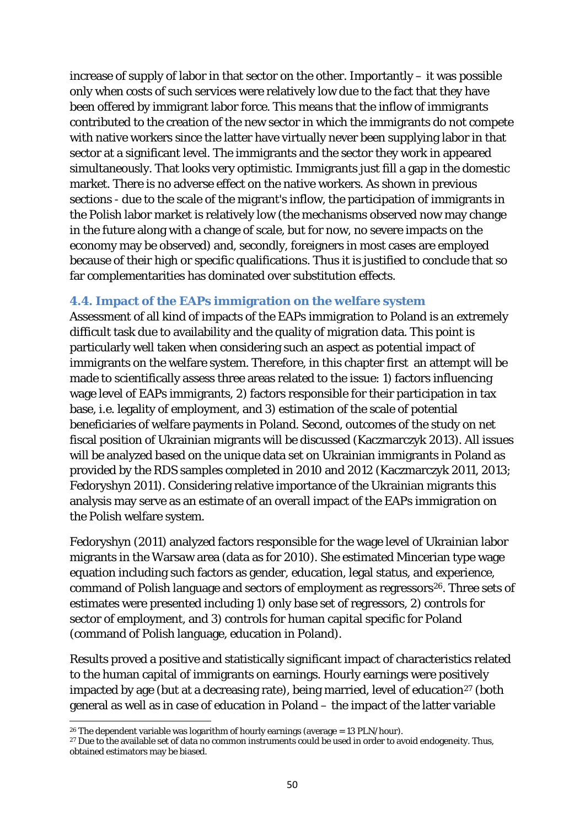increase of supply of labor in that sector on the other. Importantly – it was possible only when costs of such services were relatively low due to the fact that they have been offered by immigrant labor force. This means that the inflow of immigrants contributed to the creation of the new sector in which the immigrants do not compete with native workers since the latter have virtually never been supplying labor in that sector at a significant level. The immigrants and the sector they work in appeared simultaneously. That looks very optimistic. Immigrants just fill a gap in the domestic market. There is no adverse effect on the native workers. As shown in previous sections - due to the scale of the migrant's inflow, the participation of immigrants in the Polish labor market is relatively low (the mechanisms observed now may change in the future along with a change of scale, but for now, no severe impacts on the economy may be observed) and, secondly, foreigners in most cases are employed because of their high or specific qualifications. Thus it is justified to conclude that so far complementarities has dominated over substitution effects.

#### <span id="page-51-0"></span>**4.4. Impact of the EAPs immigration on the welfare system**

Assessment of all kind of impacts of the EAPs immigration to Poland is an extremely difficult task due to availability and the quality of migration data. This point is particularly well taken when considering such an aspect as potential impact of immigrants on the welfare system. Therefore, in this chapter first an attempt will be made to scientifically assess three areas related to the issue: 1) factors influencing wage level of EAPs immigrants, 2) factors responsible for their participation in tax base, i.e. legality of employment, and 3) estimation of the scale of potential beneficiaries of welfare payments in Poland. Second, outcomes of the study on net fiscal position of Ukrainian migrants will be discussed (Kaczmarczyk 2013). All issues will be analyzed based on the unique data set on Ukrainian immigrants in Poland as provided by the RDS samples completed in 2010 and 2012 (Kaczmarczyk 2011, 2013; Fedoryshyn 2011). Considering relative importance of the Ukrainian migrants this analysis may serve as an estimate of an overall impact of the EAPs immigration on the Polish welfare system.

Fedoryshyn (2011) analyzed factors responsible for the wage level of Ukrainian labor migrants in the Warsaw area (data as for 2010). She estimated Mincerian type wage equation including such factors as gender, education, legal status, and experience, command of Polish language and sectors of employment as regressors[26](#page-50-1). Three sets of estimates were presented including 1) only base set of regressors, 2) controls for sector of employment, and 3) controls for human capital specific for Poland (command of Polish language, education in Poland).

Results proved a positive and statistically significant impact of characteristics related to the human capital of immigrants on earnings. Hourly earnings were positively impacted by age (but at a decreasing rate), being married, level of education<sup>[27](#page-51-1)</sup> (both general as well as in case of education in Poland – the impact of the latter variable

 $\overline{a}$ 

<span id="page-51-1"></span><sup>&</sup>lt;sup>26</sup> The dependent variable was logarithm of hourly earnings (average = 13 PLN/hour).<br><sup>27</sup> Due to the available set of data no common instruments could be used in order to avoid endogeneity. Thus, obtained estimators may be biased.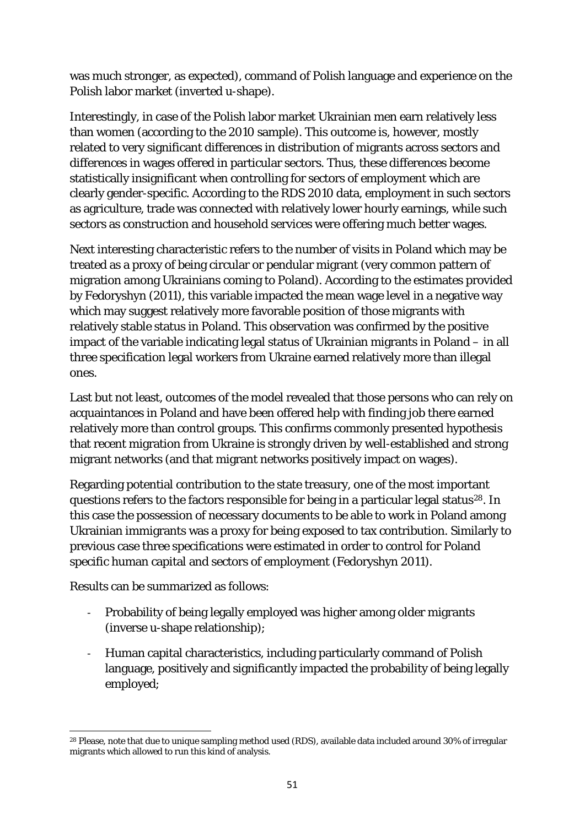was much stronger, as expected), command of Polish language and experience on the Polish labor market (inverted u-shape).

Interestingly, in case of the Polish labor market Ukrainian men earn relatively less than women (according to the 2010 sample). This outcome is, however, mostly related to very significant differences in distribution of migrants across sectors and differences in wages offered in particular sectors. Thus, these differences become statistically insignificant when controlling for sectors of employment which are clearly gender-specific. According to the RDS 2010 data, employment in such sectors as agriculture, trade was connected with relatively lower hourly earnings, while such sectors as construction and household services were offering much better wages.

Next interesting characteristic refers to the number of visits in Poland which may be treated as a proxy of being circular or pendular migrant (very common pattern of migration among Ukrainians coming to Poland). According to the estimates provided by Fedoryshyn (2011), this variable impacted the mean wage level in a negative way which may suggest relatively more favorable position of those migrants with relatively stable status in Poland. This observation was confirmed by the positive impact of the variable indicating legal status of Ukrainian migrants in Poland – in all three specification legal workers from Ukraine earned relatively more than illegal ones.

Last but not least, outcomes of the model revealed that those persons who can rely on acquaintances in Poland and have been offered help with finding job there earned relatively more than control groups. This confirms commonly presented hypothesis that recent migration from Ukraine is strongly driven by well-established and strong migrant networks (and that migrant networks positively impact on wages).

Regarding potential contribution to the state treasury, one of the most important questions refers to the factors responsible for being in a particular legal status[28](#page-51-1). In this case the possession of necessary documents to be able to work in Poland among Ukrainian immigrants was a proxy for being exposed to tax contribution. Similarly to previous case three specifications were estimated in order to control for Poland specific human capital and sectors of employment (Fedoryshyn 2011).

Results can be summarized as follows:

- Probability of being legally employed was higher among older migrants (inverse u-shape relationship);
- Human capital characteristics, including particularly command of Polish language, positively and significantly impacted the probability of being legally employed;

<span id="page-52-0"></span> $\overline{a}$ <sup>28</sup> Please, note that due to unique sampling method used (RDS), available data included around 30% of irregular migrants which allowed to run this kind of analysis.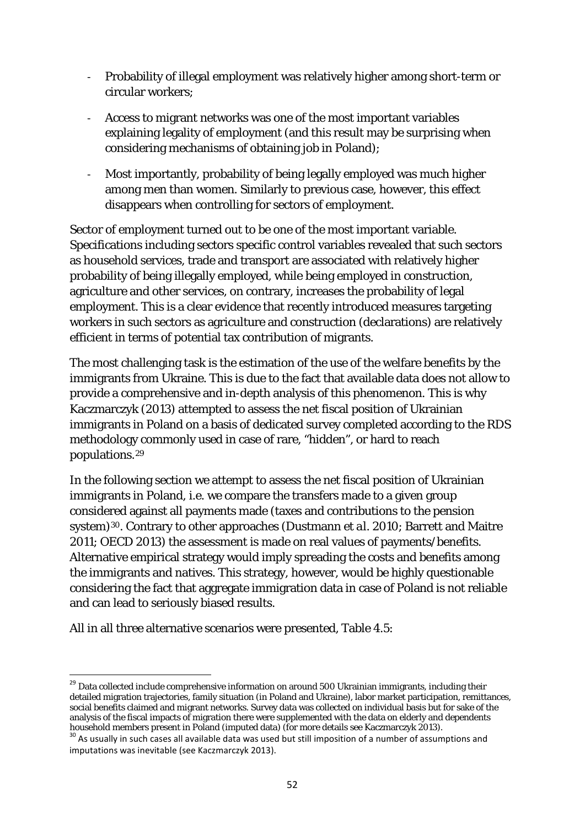- Probability of illegal employment was relatively higher among short-term or circular workers;
- Access to migrant networks was one of the most important variables explaining legality of employment (and this result may be surprising when considering mechanisms of obtaining job in Poland);
- Most importantly, probability of being legally employed was much higher among men than women. Similarly to previous case, however, this effect disappears when controlling for sectors of employment.

Sector of employment turned out to be one of the most important variable. Specifications including sectors specific control variables revealed that such sectors as household services, trade and transport are associated with relatively higher probability of being illegally employed, while being employed in construction, agriculture and other services, on contrary, increases the probability of legal employment. This is a clear evidence that recently introduced measures targeting workers in such sectors as agriculture and construction (declarations) are relatively efficient in terms of potential tax contribution of migrants.

The most challenging task is the estimation of the use of the welfare benefits by the immigrants from Ukraine. This is due to the fact that available data does not allow to provide a comprehensive and in-depth analysis of this phenomenon. This is why Kaczmarczyk (2013) attempted to assess the net fiscal position of Ukrainian immigrants in Poland on a basis of dedicated survey completed according to the RDS methodology commonly used in case of rare, "hidden", or hard to reach populations.[29](#page-52-0)

In the following section we attempt to assess the net fiscal position of Ukrainian immigrants in Poland, i.e. we compare the transfers made to a given group considered against all payments made (taxes and contributions to the pension system)[30.](#page-53-0) Contrary to other approaches (Dustmann *et al.* 2010; Barrett and Maitre 2011; OECD 2013) the assessment is made on real values of payments/benefits. Alternative empirical strategy would imply spreading the costs and benefits among the immigrants and natives. This strategy, however, would be highly questionable considering the fact that aggregate immigration data in case of Poland is not reliable and can lead to seriously biased results.

All in all three alternative scenarios were presented, Table 4.5:

<sup>&</sup>lt;sup>29</sup> Data collected include comprehensive information on around 500 Ukrainian immigrants, including their detailed migration trajectories, family situation (in Poland and Ukraine), labor market participation, remittances, social benefits claimed and migrant networks. Survey data was collected on individual basis but for sake of the analysis of the fiscal impacts of migration there were supplemented with the data on elderly and dependents household members present in Poland (imputed data) (for more details see Kaczmarczyk 2013).

<span id="page-53-1"></span><span id="page-53-0"></span><sup>&</sup>lt;sup>30</sup> As usually in such cases all available data was used but still imposition of a number of assumptions and imputations was inevitable (see Kaczmarczyk 2013).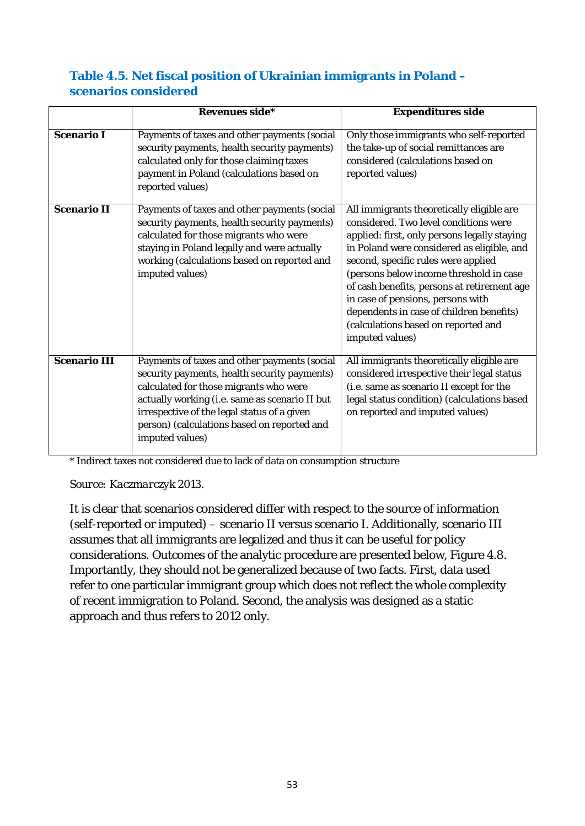# <span id="page-54-0"></span>**Table 4.5. Net fiscal position of Ukrainian immigrants in Poland – scenarios considered**

|                     | Revenues side*                                                                                                                                                                                                                                                                                            | <b>Expenditures</b> side                                                                                                                                                                                                                                                                                                                                                                                                                                     |
|---------------------|-----------------------------------------------------------------------------------------------------------------------------------------------------------------------------------------------------------------------------------------------------------------------------------------------------------|--------------------------------------------------------------------------------------------------------------------------------------------------------------------------------------------------------------------------------------------------------------------------------------------------------------------------------------------------------------------------------------------------------------------------------------------------------------|
| <b>Scenario I</b>   | Payments of taxes and other payments (social<br>security payments, health security payments)<br>calculated only for those claiming taxes<br>payment in Poland (calculations based on<br>reported values)                                                                                                  | Only those immigrants who self-reported<br>the take-up of social remittances are<br>considered (calculations based on<br>reported values)                                                                                                                                                                                                                                                                                                                    |
| <b>Scenario II</b>  | Payments of taxes and other payments (social<br>security payments, health security payments)<br>calculated for those migrants who were<br>staying in Poland legally and were actually<br>working (calculations based on reported and<br>imputed values)                                                   | All immigrants theoretically eligible are<br>considered. Two level conditions were<br>applied: first, only persons legally staying<br>in Poland were considered as eligible, and<br>second, specific rules were applied<br>(persons below income threshold in case<br>of cash benefits, persons at retirement age<br>in case of pensions, persons with<br>dependents in case of children benefits)<br>(calculations based on reported and<br>imputed values) |
| <b>Scenario III</b> | Payments of taxes and other payments (social<br>security payments, health security payments)<br>calculated for those migrants who were<br>actually working (i.e. same as scenario II but<br>irrespective of the legal status of a given<br>person) (calculations based on reported and<br>imputed values) | All immigrants theoretically eligible are<br>considered irrespective their legal status<br>(i.e. same as scenario II except for the<br>legal status condition) (calculations based<br>on reported and imputed values)                                                                                                                                                                                                                                        |

\* Indirect taxes not considered due to lack of data on consumption structure

*Source: Kaczmarczyk 2013.*

It is clear that scenarios considered differ with respect to the source of information (self-reported or imputed) – scenario II versus scenario I. Additionally, scenario III assumes that all immigrants are legalized and thus it can be useful for policy considerations. Outcomes of the analytic procedure are presented below, Figure 4.8. Importantly, they should not be generalized because of two facts. First, data used refer to one particular immigrant group which does not reflect the whole complexity of recent immigration to Poland. Second, the analysis was designed as a static approach and thus refers to 2012 only.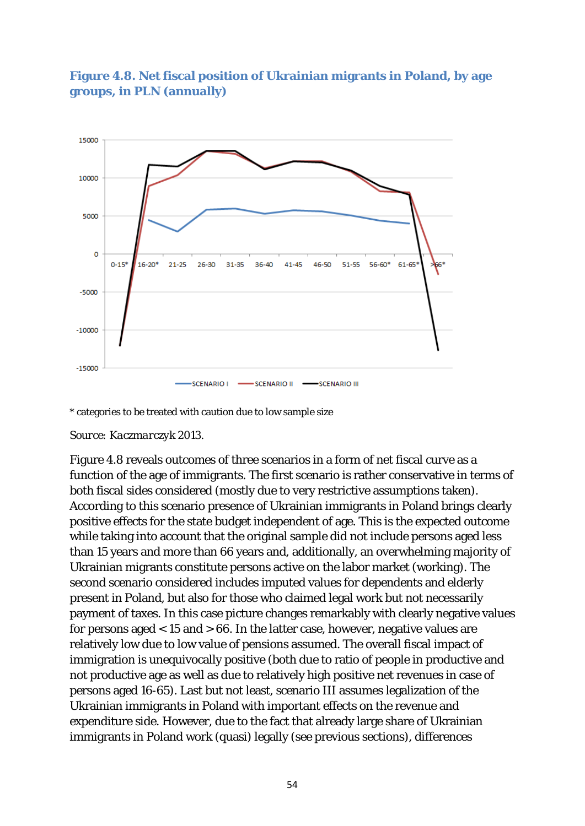![](_page_55_Figure_0.jpeg)

### <span id="page-55-0"></span>**Figure 4.8. Net fiscal position of Ukrainian migrants in Poland, by age groups, in PLN (annually)**

\* categories to be treated with caution due to low sample size

#### *Source: Kaczmarczyk 2013.*

Figure 4.8 reveals outcomes of three scenarios in a form of net fiscal curve as a function of the age of immigrants. The first scenario is rather conservative in terms of both fiscal sides considered (mostly due to very restrictive assumptions taken). According to this scenario presence of Ukrainian immigrants in Poland brings clearly positive effects for the state budget independent of age. This is the expected outcome while taking into account that the original sample did not include persons aged less than 15 years and more than 66 years and, additionally, an overwhelming majority of Ukrainian migrants constitute persons active on the labor market (working). The second scenario considered includes imputed values for dependents and elderly present in Poland, but also for those who claimed legal work but not necessarily payment of taxes. In this case picture changes remarkably with clearly negative values for persons aged < 15 and > 66. In the latter case, however, negative values are relatively low due to low value of pensions assumed. The overall fiscal impact of immigration is unequivocally positive (both due to ratio of people in productive and not productive age as well as due to relatively high positive net revenues in case of persons aged 16-65). Last but not least, scenario III assumes legalization of the Ukrainian immigrants in Poland with important effects on the revenue and expenditure side. However, due to the fact that already large share of Ukrainian immigrants in Poland work (quasi) legally (see previous sections), differences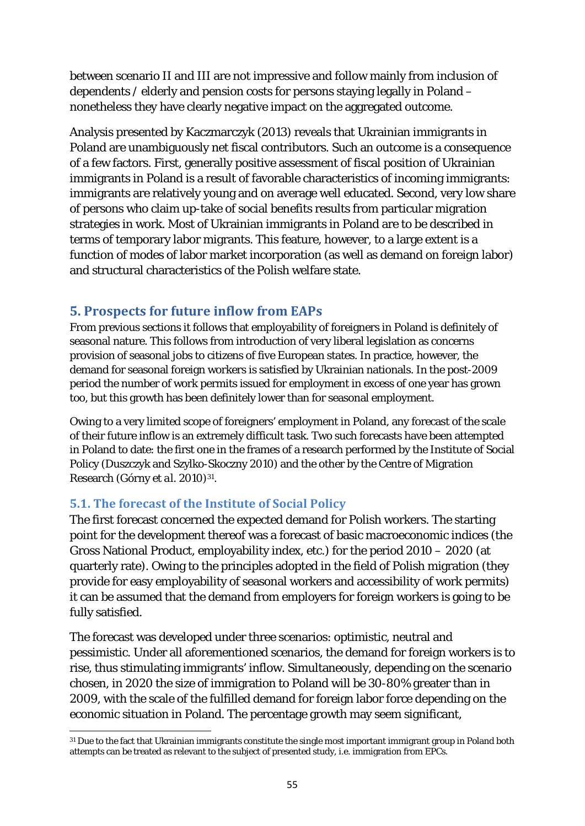between scenario II and III are not impressive and follow mainly from inclusion of dependents / elderly and pension costs for persons staying legally in Poland – nonetheless they have clearly negative impact on the aggregated outcome.

Analysis presented by Kaczmarczyk (2013) reveals that Ukrainian immigrants in Poland are unambiguously net fiscal contributors. Such an outcome is a consequence of a few factors. First, generally positive assessment of fiscal position of Ukrainian immigrants in Poland is a result of favorable characteristics of incoming immigrants: immigrants are relatively young and on average well educated. Second, very low share of persons who claim up-take of social benefits results from particular migration strategies in work. Most of Ukrainian immigrants in Poland are to be described in terms of temporary labor migrants. This feature, however, to a large extent is a function of modes of labor market incorporation (as well as demand on foreign labor) and structural characteristics of the Polish welfare state.

# <span id="page-56-0"></span>**5. Prospects for future inflow from EAPs**

From previous sections it follows that employability of foreigners in Poland is definitely of seasonal nature. This follows from introduction of very liberal legislation as concerns provision of seasonal jobs to citizens of five European states. In practice, however, the demand for seasonal foreign workers is satisfied by Ukrainian nationals. In the post-2009 period the number of work permits issued for employment in excess of one year has grown too, but this growth has been definitely lower than for seasonal employment.

Owing to a very limited scope of foreigners' employment in Poland, any forecast of the scale of their future inflow is an extremely difficult task. Two such forecasts have been attempted in Poland to date: the first one in the frames of a research performed by the Institute of Social Policy (Duszczyk and Szylko-Skoczny 2010) and the other by the Centre of Migration Research (Górny *et al.* 2010)<sup>31</sup>.

# <span id="page-56-1"></span>**5.1. The forecast of the Institute of Social Policy**

The first forecast concerned the expected demand for Polish workers. The starting point for the development thereof was a forecast of basic macroeconomic indices (the Gross National Product, employability index, etc.) for the period 2010 – 2020 (at quarterly rate). Owing to the principles adopted in the field of Polish migration (they provide for easy employability of seasonal workers and accessibility of work permits) it can be assumed that the demand from employers for foreign workers is going to be fully satisfied.

The forecast was developed under three scenarios: optimistic, neutral and pessimistic. Under all aforementioned scenarios, the demand for foreign workers is to rise, thus stimulating immigrants' inflow. Simultaneously, depending on the scenario chosen, in 2020 the size of immigration to Poland will be 30-80% greater than in 2009, with the scale of the fulfilled demand for foreign labor force depending on the economic situation in Poland. The percentage growth may seem significant,

 $\overline{a}$ <sup>31</sup> Due to the fact that Ukrainian immigrants constitute the single most important immigrant group in Poland both attempts can be treated as relevant to the subject of presented study, i.e. immigration from EPCs.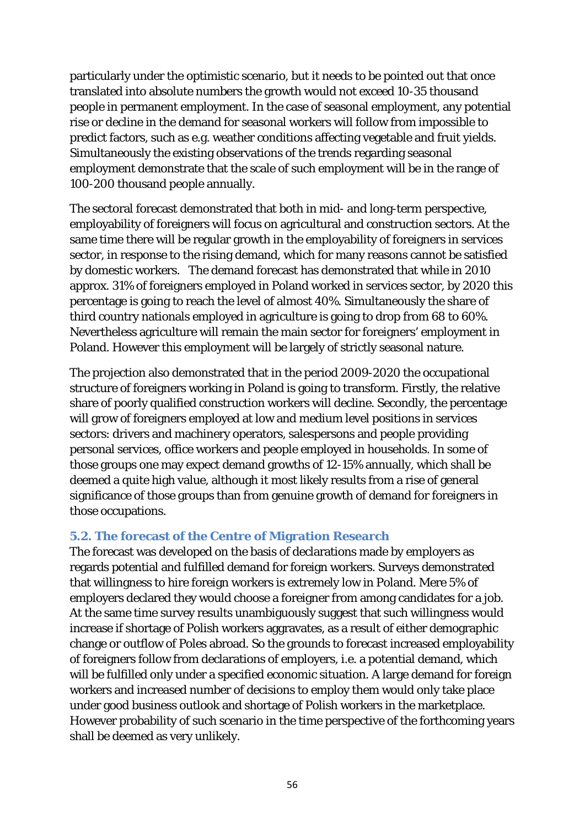particularly under the optimistic scenario, but it needs to be pointed out that once translated into absolute numbers the growth would not exceed 10-35 thousand people in permanent employment. In the case of seasonal employment, any potential rise or decline in the demand for seasonal workers will follow from impossible to predict factors, such as e.g. weather conditions affecting vegetable and fruit yields. Simultaneously the existing observations of the trends regarding seasonal employment demonstrate that the scale of such employment will be in the range of 100-200 thousand people annually.

The sectoral forecast demonstrated that both in mid- and long-term perspective, employability of foreigners will focus on agricultural and construction sectors. At the same time there will be regular growth in the employability of foreigners in services sector, in response to the rising demand, which for many reasons cannot be satisfied by domestic workers. The demand forecast has demonstrated that while in 2010 approx. 31% of foreigners employed in Poland worked in services sector, by 2020 this percentage is going to reach the level of almost 40%. Simultaneously the share of third country nationals employed in agriculture is going to drop from 68 to 60%. Nevertheless agriculture will remain the main sector for foreigners' employment in Poland. However this employment will be largely of strictly seasonal nature.

The projection also demonstrated that in the period 2009-2020 the occupational structure of foreigners working in Poland is going to transform. Firstly, the relative share of poorly qualified construction workers will decline. Secondly, the percentage will grow of foreigners employed at low and medium level positions in services sectors: drivers and machinery operators, salespersons and people providing personal services, office workers and people employed in households. In some of those groups one may expect demand growths of 12-15% annually, which shall be deemed a quite high value, although it most likely results from a rise of general significance of those groups than from genuine growth of demand for foreigners in those occupations.

#### <span id="page-57-0"></span>**5.2. The forecast of the Centre of Migration Research**

The forecast was developed on the basis of declarations made by employers as regards potential and fulfilled demand for foreign workers. Surveys demonstrated that willingness to hire foreign workers is extremely low in Poland. Mere 5% of employers declared they would choose a foreigner from among candidates for a job. At the same time survey results unambiguously suggest that such willingness would increase if shortage of Polish workers aggravates, as a result of either demographic change or outflow of Poles abroad. So the grounds to forecast increased employability of foreigners follow from declarations of employers, i.e. a potential demand, which will be fulfilled only under a specified economic situation. A large demand for foreign workers and increased number of decisions to employ them would only take place under good business outlook and shortage of Polish workers in the marketplace. However probability of such scenario in the time perspective of the forthcoming years shall be deemed as very unlikely.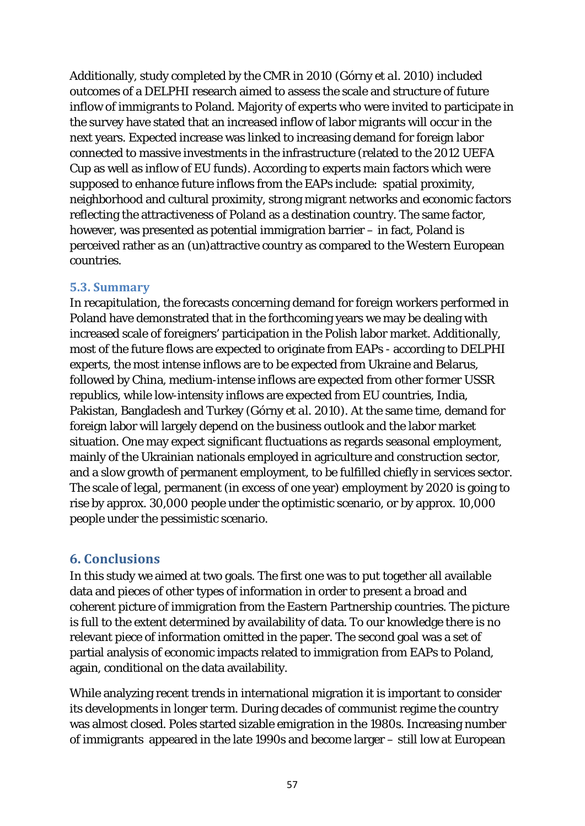Additionally, study completed by the CMR in 2010 (Górny *et al.* 2010) included outcomes of a DELPHI research aimed to assess the scale and structure of future inflow of immigrants to Poland. Majority of experts who were invited to participate in the survey have stated that an increased inflow of labor migrants will occur in the next years. Expected increase was linked to increasing demand for foreign labor connected to massive investments in the infrastructure (related to the 2012 UEFA Cup as well as inflow of EU funds). According to experts main factors which were supposed to enhance future inflows from the EAPs include: spatial proximity, neighborhood and cultural proximity, strong migrant networks and economic factors reflecting the attractiveness of Poland as a destination country. The same factor, however, was presented as potential immigration barrier – in fact, Poland is perceived rather as an (un)attractive country as compared to the Western European countries.

#### <span id="page-58-0"></span>**5.3. Summary**

In recapitulation, the forecasts concerning demand for foreign workers performed in Poland have demonstrated that in the forthcoming years we may be dealing with increased scale of foreigners' participation in the Polish labor market. Additionally, most of the future flows are expected to originate from EAPs - according to DELPHI experts, the most intense inflows are to be expected from Ukraine and Belarus, followed by China, medium-intense inflows are expected from other former USSR republics, while low-intensity inflows are expected from EU countries, India, Pakistan, Bangladesh and Turkey (Górny *et al*. 2010). At the same time, demand for foreign labor will largely depend on the business outlook and the labor market situation. One may expect significant fluctuations as regards seasonal employment, mainly of the Ukrainian nationals employed in agriculture and construction sector, and a slow growth of permanent employment, to be fulfilled chiefly in services sector. The scale of legal, permanent (in excess of one year) employment by 2020 is going to rise by approx. 30,000 people under the optimistic scenario, or by approx. 10,000 people under the pessimistic scenario.

# <span id="page-58-1"></span>**6. Conclusions**

In this study we aimed at two goals. The first one was to put together all available data and pieces of other types of information in order to present a broad and coherent picture of immigration from the Eastern Partnership countries. The picture is full to the extent determined by availability of data. To our knowledge there is no relevant piece of information omitted in the paper. The second goal was a set of partial analysis of economic impacts related to immigration from EAPs to Poland, again, conditional on the data availability.

While analyzing recent trends in international migration it is important to consider its developments in longer term. During decades of communist regime the country was almost closed. Poles started sizable emigration in the 1980s. Increasing number of immigrants appeared in the late 1990s and become larger – still low at European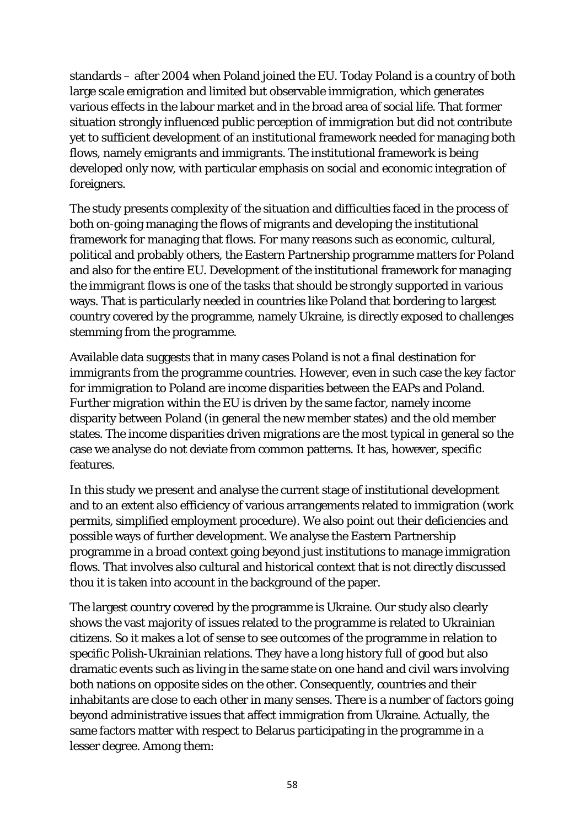standards – after 2004 when Poland joined the EU. Today Poland is a country of both large scale emigration and limited but observable immigration, which generates various effects in the labour market and in the broad area of social life. That former situation strongly influenced public perception of immigration but did not contribute yet to sufficient development of an institutional framework needed for managing both flows, namely emigrants and immigrants. The institutional framework is being developed only now, with particular emphasis on social and economic integration of foreigners.

The study presents complexity of the situation and difficulties faced in the process of both on-going managing the flows of migrants and developing the institutional framework for managing that flows. For many reasons such as economic, cultural, political and probably others, the Eastern Partnership programme matters for Poland and also for the entire EU. Development of the institutional framework for managing the immigrant flows is one of the tasks that should be strongly supported in various ways. That is particularly needed in countries like Poland that bordering to largest country covered by the programme, namely Ukraine, is directly exposed to challenges stemming from the programme.

Available data suggests that in many cases Poland is not a final destination for immigrants from the programme countries. However, even in such case the key factor for immigration to Poland are income disparities between the EAPs and Poland. Further migration within the EU is driven by the same factor, namely income disparity between Poland (in general the new member states) and the old member states. The income disparities driven migrations are the most typical in general so the case we analyse do not deviate from common patterns. It has, however, specific features.

In this study we present and analyse the current stage of institutional development and to an extent also efficiency of various arrangements related to immigration (work permits, simplified employment procedure). We also point out their deficiencies and possible ways of further development. We analyse the Eastern Partnership programme in a broad context going beyond just institutions to manage immigration flows. That involves also cultural and historical context that is not directly discussed thou it is taken into account in the background of the paper.

The largest country covered by the programme is Ukraine. Our study also clearly shows the vast majority of issues related to the programme is related to Ukrainian citizens. So it makes a lot of sense to see outcomes of the programme in relation to specific Polish-Ukrainian relations. They have a long history full of good but also dramatic events such as living in the same state on one hand and civil wars involving both nations on opposite sides on the other. Consequently, countries and their inhabitants are close to each other in many senses. There is a number of factors going beyond administrative issues that affect immigration from Ukraine. Actually, the same factors matter with respect to Belarus participating in the programme in a lesser degree. Among them: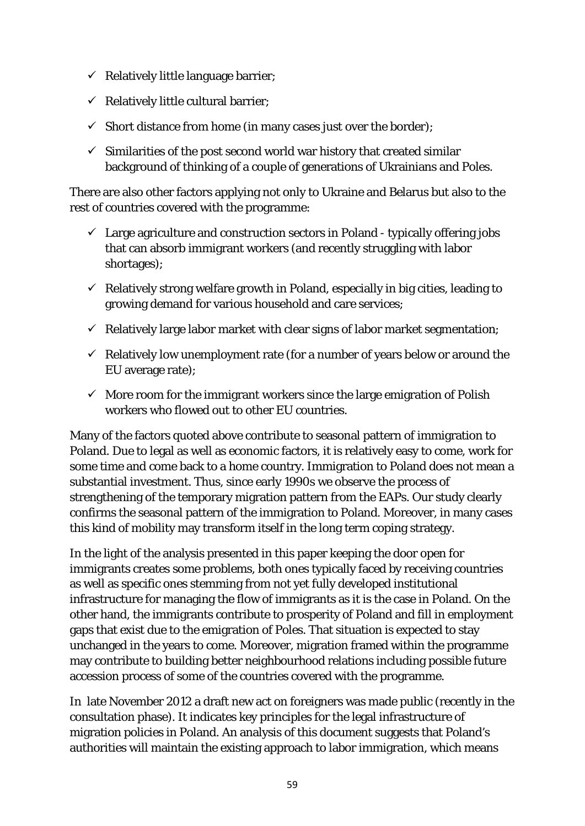- $\checkmark$  Relatively little language barrier;
- $\checkmark$  Relatively little cultural barrier;
- $\checkmark$  Short distance from home (in many cases just over the border);
- $\checkmark$  Similarities of the post second world war history that created similar background of thinking of a couple of generations of Ukrainians and Poles.

There are also other factors applying not only to Ukraine and Belarus but also to the rest of countries covered with the programme:

- $\checkmark$  Large agriculture and construction sectors in Poland typically offering jobs that can absorb immigrant workers (and recently struggling with labor shortages);
- $\checkmark$  Relatively strong welfare growth in Poland, especially in big cities, leading to growing demand for various household and care services;
- $\checkmark$  Relatively large labor market with clear signs of labor market segmentation;
- $\checkmark$  Relatively low unemployment rate (for a number of years below or around the EU average rate);
- $\checkmark$  More room for the immigrant workers since the large emigration of Polish workers who flowed out to other EU countries.

Many of the factors quoted above contribute to seasonal pattern of immigration to Poland. Due to legal as well as economic factors, it is relatively easy to come, work for some time and come back to a home country. Immigration to Poland does not mean a substantial investment. Thus, since early 1990s we observe the process of strengthening of the temporary migration pattern from the EAPs. Our study clearly confirms the seasonal pattern of the immigration to Poland. Moreover, in many cases this kind of mobility may transform itself in the long term coping strategy.

In the light of the analysis presented in this paper keeping the door open for immigrants creates some problems, both ones typically faced by receiving countries as well as specific ones stemming from not yet fully developed institutional infrastructure for managing the flow of immigrants as it is the case in Poland. On the other hand, the immigrants contribute to prosperity of Poland and fill in employment gaps that exist due to the emigration of Poles. That situation is expected to stay unchanged in the years to come. Moreover, migration framed within the programme may contribute to building better neighbourhood relations including possible future accession process of some of the countries covered with the programme.

In late November 2012 a draft new act on foreigners was made public (recently in the consultation phase). It indicates key principles for the legal infrastructure of migration policies in Poland. An analysis of this document suggests that Poland's authorities will maintain the existing approach to labor immigration, which means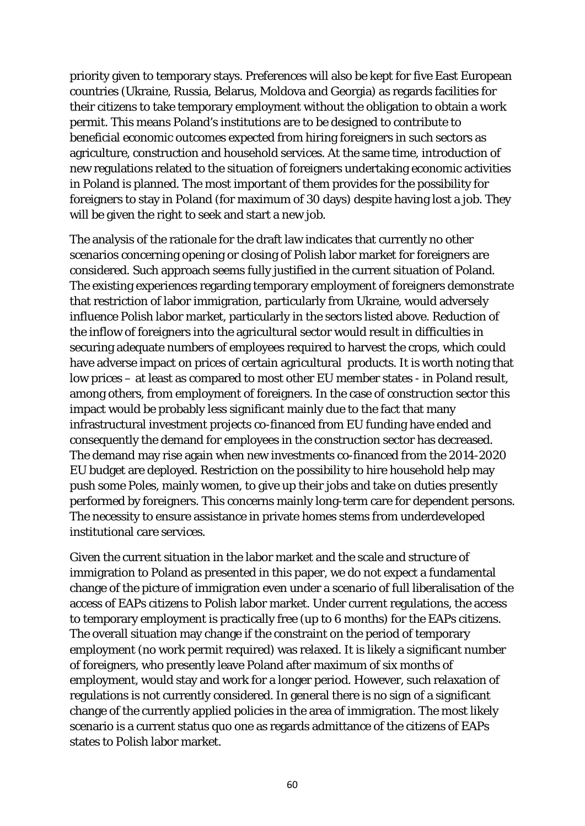priority given to temporary stays. Preferences will also be kept for five East European countries (Ukraine, Russia, Belarus, Moldova and Georgia) as regards facilities for their citizens to take temporary employment without the obligation to obtain a work permit. This means Poland's institutions are to be designed to contribute to beneficial economic outcomes expected from hiring foreigners in such sectors as agriculture, construction and household services. At the same time, introduction of new regulations related to the situation of foreigners undertaking economic activities in Poland is planned. The most important of them provides for the possibility for foreigners to stay in Poland (for maximum of 30 days) despite having lost a job. They will be given the right to seek and start a new job.

The analysis of the rationale for the draft law indicates that currently no other scenarios concerning opening or closing of Polish labor market for foreigners are considered. Such approach seems fully justified in the current situation of Poland. The existing experiences regarding temporary employment of foreigners demonstrate that restriction of labor immigration, particularly from Ukraine, would adversely influence Polish labor market, particularly in the sectors listed above. Reduction of the inflow of foreigners into the agricultural sector would result in difficulties in securing adequate numbers of employees required to harvest the crops, which could have adverse impact on prices of certain agricultural products. It is worth noting that low prices – at least as compared to most other EU member states - in Poland result, among others, from employment of foreigners. In the case of construction sector this impact would be probably less significant mainly due to the fact that many infrastructural investment projects co-financed from EU funding have ended and consequently the demand for employees in the construction sector has decreased. The demand may rise again when new investments co-financed from the 2014-2020 EU budget are deployed. Restriction on the possibility to hire household help may push some Poles, mainly women, to give up their jobs and take on duties presently performed by foreigners. This concerns mainly long-term care for dependent persons. The necessity to ensure assistance in private homes stems from underdeveloped institutional care services.

Given the current situation in the labor market and the scale and structure of immigration to Poland as presented in this paper, we do not expect a fundamental change of the picture of immigration even under a scenario of full liberalisation of the access of EAPs citizens to Polish labor market. Under current regulations, the access to temporary employment is practically free (up to 6 months) for the EAPs citizens. The overall situation may change if the constraint on the period of temporary employment (no work permit required) was relaxed. It is likely a significant number of foreigners, who presently leave Poland after maximum of six months of employment, would stay and work for a longer period. However, such relaxation of regulations is not currently considered. In general there is no sign of a significant change of the currently applied policies in the area of immigration. The most likely scenario is a current status quo one as regards admittance of the citizens of EAPs states to Polish labor market.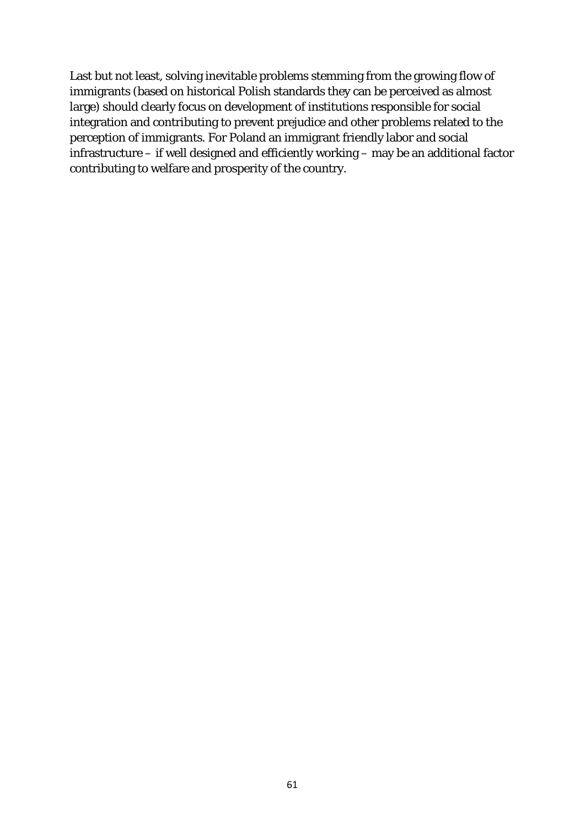Last but not least, solving inevitable problems stemming from the growing flow of immigrants (based on historical Polish standards they can be perceived as almost large) should clearly focus on development of institutions responsible for social integration and contributing to prevent prejudice and other problems related to the perception of immigrants. For Poland an immigrant friendly labor and social infrastructure – if well designed and efficiently working – may be an additional factor contributing to welfare and prosperity of the country.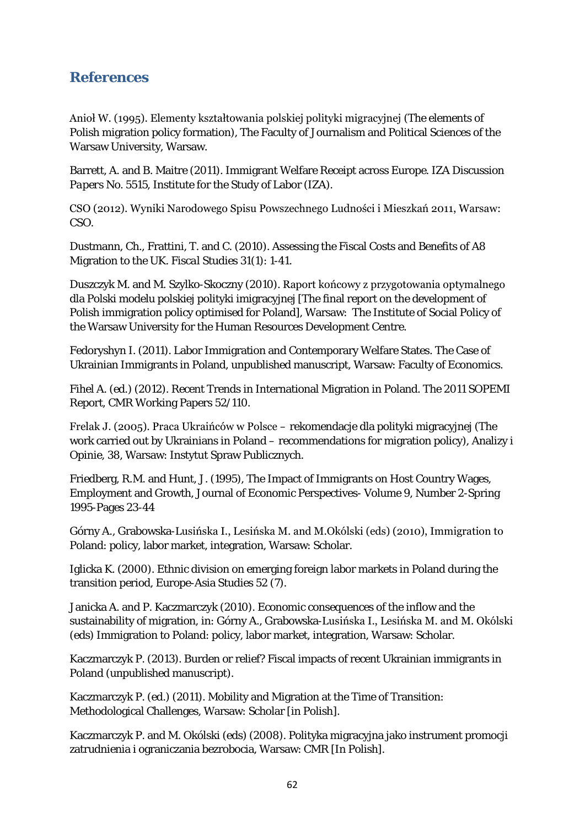# <span id="page-63-0"></span>**References**

Anioł W. (1995). Elementy kształtowania polskiej polityki migracyjnej (The elements of Polish migration policy formation), The Faculty of Journalism and Political Sciences of the Warsaw University, Warsaw.

Barrett, A. and B. Maitre (2011). Immigrant Welfare Receipt across Europe. *IZA Discussion Papers No. 5515*, Institute for the Study of Labor (IZA).

CSO (2012). Wyniki Narodowego Spisu Powszechnego Ludności i Mieszkań 2011, Warsaw: CSO.

Dustmann, Ch., Frattini, T. and C. (2010). Assessing the Fiscal Costs and Benefits of A8 Migration to the UK. *Fiscal Studies* 31(1): 1-41.

Duszczyk M. and M. Szylko-Skoczny (2010). Raport końcowy z przygotowania optymalnego dla Polski modelu polskiej polityki imigracyjnej [The final report on the development of Polish immigration policy optimised for Poland], Warsaw: The Institute of Social Policy of the Warsaw University for the Human Resources Development Centre.

Fedoryshyn I. (2011). Labor Immigration and Contemporary Welfare States. The Case of Ukrainian Immigrants in Poland, unpublished manuscript, Warsaw: Faculty of Economics.

Fihel A. (ed.) (2012). Recent Trends in International Migration in Poland. The 2011 SOPEMI Report, CMR Working Papers 52/110.

Frelak J. (2005). Praca Ukraińców w Polsce – rekomendacje dla polityki migracyjnej (The work carried out by Ukrainians in Poland – recommendations for migration policy), Analizy i Opinie, 38, Warsaw: Instytut Spraw Publicznych.

Friedberg, R.M. and Hunt, J. (1995), The Impact of Immigrants on Host Country Wages, Employment and Growth, Journal of Economic Perspectives- Volume 9, Number 2-Spring 1995-Pages 23-44

Górny A., Grabowska-Lusińska I., Lesińska M. and M.Okólski (eds) (2010), Immigration to Poland: policy, labor market, integration, Warsaw: Scholar.

Iglicka K. (2000). Ethnic division on emerging foreign labor markets in Poland during the transition period, Europe-Asia Studies 52 (7).

Janicka A. and P. Kaczmarczyk (2010). Economic consequences of the inflow and the sustainability of migration, in: Górny A., Grabowska-Lusińska I., Lesińska M. and M. Okólski (eds) Immigration to Poland: policy, labor market, integration, Warsaw: Scholar.

Kaczmarczyk P. (2013). Burden or relief? Fiscal impacts of recent Ukrainian immigrants in Poland (unpublished manuscript).

Kaczmarczyk P. (ed.) (2011). Mobility and Migration at the Time of Transition: Methodological Challenges, Warsaw: Scholar [in Polish].

Kaczmarczyk P. and M. Okólski (eds) (2008). Polityka migracyjna jako instrument promocji zatrudnienia i ograniczania bezrobocia, Warsaw: CMR [In Polish].